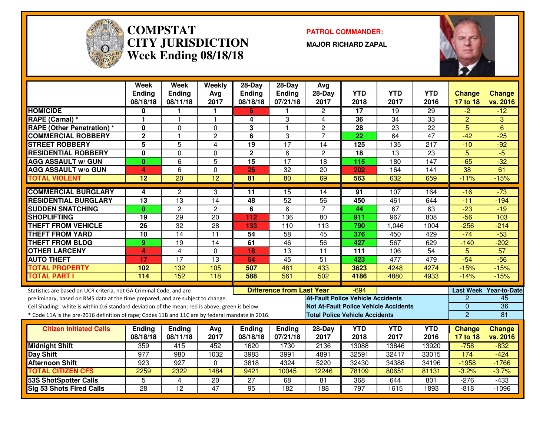

#### **COMPSTAT PATROL COMMANDER: CITY JURISDICTIONWeek Ending 08/18/18**

**MAJOR RICHARD ZAPAL**



|                                                                                                  | <b>Week</b>     | <b>Week</b>             | Weekly          | $28-Day$        | $28 - Day$                       | Avg                                      |                 |                                              |                  |                |                          |
|--------------------------------------------------------------------------------------------------|-----------------|-------------------------|-----------------|-----------------|----------------------------------|------------------------------------------|-----------------|----------------------------------------------|------------------|----------------|--------------------------|
|                                                                                                  | <b>Ending</b>   | <b>Ending</b>           | Avg             | Ending          | Ending                           | 28-Day                                   | <b>YTD</b>      | <b>YTD</b>                                   | <b>YTD</b>       | <b>Change</b>  | <b>Change</b>            |
|                                                                                                  | 08/18/18        | 08/11/18                | 2017            | 08/18/18        | 07/21/18                         | 2017                                     | 2018            | 2017                                         | 2016             | 17 to 18       | vs. 2016                 |
| <b>HOMICIDE</b>                                                                                  | 0               |                         |                 | 6               |                                  | $\overline{2}$                           | 17              | 19                                           | 29               | -2             | $-12$                    |
| RAPE (Carnal) *                                                                                  | 1               | $\mathbf{1}$            | 1               | 4               | 3                                | 4                                        | 36              | $\overline{34}$                              | $\overline{33}$  | $\overline{2}$ | 3                        |
| <b>RAPE (Other Penetration) *</b>                                                                | $\mathbf{0}$    | $\Omega$                | $\mathbf{0}$    | 3               | $\mathbf{1}$                     | $\overline{c}$                           | 28              | $\overline{23}$                              | $\overline{22}$  | $\overline{5}$ | 6                        |
| <b>COMMERCIAL ROBBERY</b>                                                                        | $\overline{2}$  | $\mathbf{1}$            | $\overline{c}$  | 6               | 3                                | $\overline{7}$                           | $\overline{22}$ | 64                                           | $\overline{47}$  | $-42$          | $-25$                    |
| <b>STREET ROBBERY</b>                                                                            | $\overline{5}$  | $\overline{5}$          | 4               | $\overline{19}$ | $\overline{17}$                  | 14                                       | 125             | 135                                          | $\overline{217}$ | $-10$          | $-92$                    |
| <b>RESIDENTIAL ROBBERY</b>                                                                       | $\mathbf{0}$    | $\mathbf 0$             | 0               | $\overline{2}$  | 6                                | $\overline{c}$                           | 18              | $\overline{13}$                              | $\overline{23}$  | $\overline{5}$ | $-5$                     |
| <b>AGG ASSAULT w/ GUN</b>                                                                        | $\mathbf{0}$    | 6                       | 5               | 15              | $\overline{17}$                  | 18                                       | 115             | 180                                          | 147              | $-65$          | $-32$                    |
| <b>AGG ASSAULT w/o GUN</b>                                                                       | 4               | 6                       | 0               | 26              | 32                               | 20                                       | 202             | 164                                          | 141              | 38             | 61                       |
| <b>TOTAL VIOLENT</b>                                                                             | 12              | 20                      | $\overline{12}$ | 81              | 80                               | 69                                       | 563             | 632                                          | 659              | $-11%$         | $-15%$                   |
| <b>COMMERCIAL BURGLARY</b>                                                                       | 4               | $\overline{2}$          | 3               | 11              | 15                               | 14                                       | 91              | 107                                          | 164              | $-16$          | $-73$                    |
| <b>RESIDENTIAL BURGLARY</b>                                                                      | $\overline{13}$ | $\overline{13}$         | $\overline{14}$ | 48              | 52                               | $\overline{56}$                          | 450             | 461                                          | 644              | $-11$          | $-194$                   |
| <b>SUDDEN SNATCHING</b>                                                                          | $\mathbf{0}$    | $\overline{2}$          | $\overline{2}$  | 6               | $\overline{6}$                   | $\overline{7}$                           | 44              | 67                                           | 63               | $-23$          | $-19$                    |
| <b>SHOPLIFTING</b>                                                                               | $\overline{19}$ | 29                      | $\overline{20}$ | 112             | 136                              | $\overline{80}$                          | 911             | 967                                          | $\overline{808}$ | $-56$          | 103                      |
| <b>THEFT FROM VEHICLE</b>                                                                        | 26              | $\overline{32}$         | $\overline{28}$ | 133             | 110                              | $\overline{113}$                         | 790             | 1,046                                        | 1004             | $-256$         | $-214$                   |
| <b>THEFT FROM YARD</b>                                                                           | $\overline{10}$ | $\overline{14}$         | $\overline{11}$ | 54              | $\overline{58}$                  | 45                                       | 376             | 450                                          | 429              | $-74$          | $-53$                    |
| <b>THEFT FROM BLDG</b>                                                                           | 9               | 19                      | 14              | 61              | 46                               | $\overline{56}$                          | 427             | 567                                          | 629              | $-140$         | $-202$                   |
| <b>OTHER LARCENY</b>                                                                             | 4               | $\overline{\mathbf{4}}$ | 0               | 18              | $\overline{13}$                  | $\overline{11}$                          | 111             | 106                                          | $\overline{54}$  | 5              | $\overline{57}$          |
| <b>AUTO THEFT</b>                                                                                | 17              | $\overline{17}$         | $\overline{13}$ | 64              | 45                               | $\overline{51}$                          | 423             | 477                                          | 479              | $-54$          | $-56$                    |
| <b>TOTAL PROPERTY</b>                                                                            | 102             | 132                     | 105             | 507             | 481                              | 433                                      | 3623            | 4248                                         | 4274             | $-15%$         | $-15%$                   |
| <b>TOTAL PART I</b>                                                                              | 114             | 152                     | 118             | 588             | 561                              | 502                                      | 4186            | 4880                                         | 4933             | $-14%$         | $-15%$                   |
| Statistics are based on UCR criteria, not GA Criminal Code, and are                              |                 |                         |                 |                 | <b>Difference from Last Year</b> |                                          | $-694$          |                                              |                  |                | Last Week   Year-to-Date |
| preliminary, based on RMS data at the time prepared, and are subject to change.                  |                 |                         |                 |                 |                                  | <b>At-Fault Police Vehicle Accidents</b> |                 |                                              |                  | $\overline{2}$ | 45                       |
| Cell Shading: white is within 0.6 standard deviation of the mean; red is above; green is below.  |                 |                         |                 |                 |                                  |                                          |                 | <b>Not At-Fault Police Vehicle Accidents</b> |                  | $\Omega$       | $\overline{36}$          |
| * Code 11A is the pre-2016 definition of rape; Codes 11B and 11C are by federal mandate in 2016. |                 |                         |                 |                 |                                  | <b>Total Police Vehicle Accidents</b>    |                 |                                              |                  | $\overline{2}$ | 81                       |
|                                                                                                  |                 |                         |                 |                 |                                  |                                          |                 |                                              |                  |                |                          |
| <b>Citizen Initiated Calls</b>                                                                   | Ending          | <b>Ending</b>           | Avg             | <b>Ending</b>   | Ending                           | 28-Day                                   | <b>YTD</b>      | <b>YTD</b>                                   | <b>YTD</b>       | <b>Change</b>  | Change                   |
|                                                                                                  | 08/18/18        | 08/11/18                | 2017            | 08/18/18        | 07/21/18                         | 2017                                     | 2018            | 2017                                         | 2016             | 17 to 18       | vs. 2016                 |
| <b>Midnight Shift</b>                                                                            | 359             | 415                     | 452             | 1620            | 1730                             | 2136                                     | 13088           | 13846                                        | 13920            | $-758$         | $-832$                   |
| <b>Day Shift</b>                                                                                 | 977             | 980                     | 1032            | 3983            | 3991                             | 4891                                     | 32591           | 32417                                        | 33015            | 174            | $-424$                   |
| <b>Afternoon Shift</b>                                                                           | 923             | 927                     | $\Omega$        | 3818            | 4324                             | 5220                                     | 32430           | 34388                                        | 34196            | $-1958$        | $-1766$                  |
| <b>TOTAL CITIZEN CFS</b>                                                                         | 2259            | 2322                    | 1484            | 9421            | 10045                            | 12246                                    | 78109           | 80651                                        | 81131            | $-3.2%$        | $-3.7%$                  |
| <b>53S ShotSpotter Calls</b>                                                                     | 5               | $\overline{4}$          | $\overline{20}$ | $\overline{27}$ | 68                               | 81                                       | 368             | 644                                          | 801              | $-276$         | $-433$                   |
| <b>Sig 53 Shots Fired Calls</b>                                                                  | $\overline{28}$ | $\overline{12}$         | 47              | $\overline{95}$ | $\overline{182}$                 | 188                                      | 797             | 1615                                         | 1893             | $-818$         | $-1096$                  |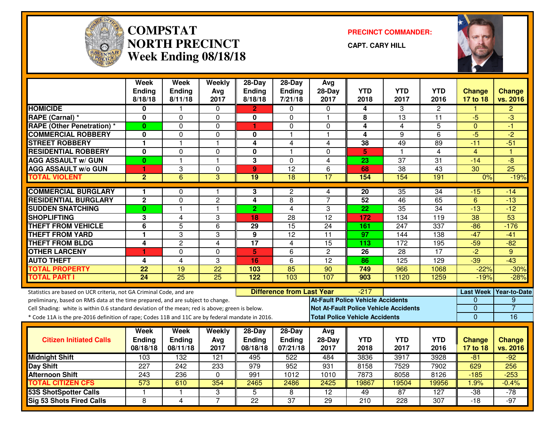

#### **COMPSTAT PRECINCT COMMANDER: NORTH PRECINCTWeek Ending 08/18/18**

**CAPT. CARY HILL**



|                                                                                                  | <b>Week</b><br><b>Ending</b><br>8/18/18 | <b>Week</b><br><b>Ending</b><br>8/11/18 | Weekly<br>Avg<br>2017 | $28-Day$<br><b>Ending</b><br>8/18/18 | $28-Day$<br>Ending<br>7/21/18    | Avg<br>$28-Day$<br>2017                      | <b>YTD</b><br>2018 | <b>YTD</b><br>2017 | YTD<br>2016      | <b>Change</b><br>17 to 18 | <b>Change</b><br>vs. 2016 |
|--------------------------------------------------------------------------------------------------|-----------------------------------------|-----------------------------------------|-----------------------|--------------------------------------|----------------------------------|----------------------------------------------|--------------------|--------------------|------------------|---------------------------|---------------------------|
| <b>HOMICIDE</b>                                                                                  | 0                                       |                                         | $\mathbf{0}$          | 2                                    | $\Omega$                         | $\Omega$                                     | 4                  | 3                  | 2                |                           | $\overline{2}$            |
| RAPE (Carnal) *                                                                                  | 0                                       | $\Omega$                                | 0                     | 0                                    | $\Omega$                         | $\mathbf{1}$                                 | 8                  | 13                 | 11               | $-5$                      | $-3$                      |
| <b>RAPE (Other Penetration) *</b>                                                                | $\mathbf{0}$                            | $\Omega$                                | $\mathbf 0$           | $\blacktriangleleft$                 | $\mathbf 0$                      | $\Omega$                                     | 4                  | 4                  | 5                | $\Omega$                  | $-1$                      |
| <b>COMMERCIAL ROBBERY</b>                                                                        | 0                                       | $\Omega$                                | 0                     | 0                                    | $\mathbf{1}$                     | $\mathbf{1}$                                 | 4                  | 9                  | 6                | $-5$                      | $\overline{2}$            |
| <b>STREET ROBBERY</b>                                                                            | $\mathbf{1}$                            | 1                                       | $\mathbf{1}$          | $\overline{4}$                       | $\overline{4}$                   | 4                                            | 38                 | 49                 | 89               | $-11$                     | $-51$                     |
| <b>RESIDENTIAL ROBBERY</b>                                                                       | 0                                       | $\Omega$                                | 0                     | $\mathbf{0}$                         | $\mathbf{1}$                     | $\Omega$                                     | 5                  | -1                 | 4                | $\overline{4}$            | -1                        |
| <b>AGG ASSAULT w/ GUN</b>                                                                        | $\bf{0}$                                | 1                                       | $\mathbf{1}$          | $\overline{\mathbf{3}}$              | $\Omega$                         | $\overline{4}$                               | 23                 | $\overline{37}$    | $\overline{31}$  | $-14$                     | $-8$                      |
| <b>AGG ASSAULT w/o GUN</b>                                                                       | 1                                       | 3                                       | 0                     | 9                                    | $\overline{12}$                  | 6                                            | 68                 | 38                 | 43               | 30                        | $\overline{25}$           |
| <b>TOTAL VIOLENT</b>                                                                             | $\overline{2}$                          | 6                                       | 3                     | $\overline{19}$                      | $\overline{18}$                  | $\overline{17}$                              | 154                | 154                | 191              | 0%                        | $-19%$                    |
| <b>COMMERCIAL BURGLARY</b>                                                                       | 1                                       | $\Omega$                                | 1                     | 3                                    | $\overline{2}$                   | 4                                            | 20                 | 35                 | $\overline{34}$  | $-15$                     | -14                       |
| <b>RESIDENTIAL BURGLARY</b>                                                                      | $\mathbf 2$                             | 0                                       | $\overline{c}$        | 4                                    | 8                                | $\overline{7}$                               | 52                 | 46                 | 65               | $6\phantom{1}6$           | $-13$                     |
| <b>SUDDEN SNATCHING</b>                                                                          | $\bf{0}$                                | 1                                       | 1                     | 2                                    | $\overline{4}$                   | 3                                            | 22                 | 35                 | 34               | $-13$                     | $-12$                     |
| <b>SHOPLIFTING</b>                                                                               | 3                                       | $\overline{4}$                          | 3                     | 18                                   | $\overline{28}$                  | $\overline{12}$                              | 172                | 134                | $\overline{119}$ | 38                        | 53                        |
| <b>THEFT FROM VEHICLE</b>                                                                        | 6                                       | 5                                       | 6                     | 29                                   | 15                               | 24                                           | 161                | 247                | 337              | $-86$                     | $-176$                    |
| <b>THEFT FROM YARD</b>                                                                           | $\mathbf{1}$                            | 3                                       | 3                     | $\overline{9}$                       | $\overline{12}$                  | $\overline{11}$                              | $\overline{97}$    | 144                | $\overline{138}$ | $-47$                     | $-41$                     |
| <b>THEFT FROM BLDG</b>                                                                           | 4                                       | $\overline{2}$                          | $\overline{4}$        | $\overline{17}$                      | $\overline{4}$                   | 15                                           | 113                | 172                | 195              | $-59$                     | $-82$                     |
| <b>OTHER LARCENY</b>                                                                             | 1                                       | 0                                       | $\mathbf 0$           | 5                                    | 6                                | $\overline{2}$                               | 26                 | 28                 | $\overline{17}$  | $-2$                      | 9                         |
| <b>AUTO THEFT</b>                                                                                | 4                                       | 4                                       | 3                     | 16                                   | 6                                | $\overline{12}$                              | 86                 | 125                | 129              | $-39$                     | $-43$                     |
| <b>TOTAL PROPERTY</b>                                                                            | 22                                      | 19                                      | 22                    | 103                                  | 85                               | 90                                           | 749                | 966                | 1068             | $-22%$                    | $-30%$                    |
| <b>TOTAL PART I</b>                                                                              | 24                                      | $\overline{25}$                         | $\overline{25}$       | 122                                  | 103                              | 107                                          | 903                | 1120               | 1259             | $-19%$                    | $-28%$                    |
| Statistics are based on UCR criteria, not GA Criminal Code, and are                              |                                         |                                         |                       |                                      | <b>Difference from Last Year</b> |                                              | $-217$             |                    |                  |                           | Last Week Year-to-Date    |
| preliminary, based on RMS data at the time prepared, and are subject to change.                  |                                         |                                         |                       |                                      |                                  | <b>At-Fault Police Vehicle Accidents</b>     |                    |                    |                  | $\Omega$                  | 9                         |
| Cell Shading: white is within 0.6 standard deviation of the mean; red is above; green is below.  |                                         |                                         |                       |                                      |                                  | <b>Not At-Fault Police Vehicle Accidents</b> |                    |                    |                  | $\mathbf{0}$              | $\overline{7}$            |
| * Code 11A is the pre-2016 definition of rape; Codes 11B and 11C are by federal mandate in 2016. |                                         |                                         |                       |                                      |                                  | <b>Total Police Vehicle Accidents</b>        |                    |                    |                  | $\Omega$                  | 16                        |
|                                                                                                  | Week                                    | Week                                    | Weekly                | 28-Day                               | 28-Day                           | Avg                                          |                    |                    |                  |                           |                           |
| <b>Citizen Initiated Calls</b>                                                                   | Ending                                  | <b>Ending</b>                           | Avg                   | <b>Ending</b>                        | Ending                           | 28-Day                                       | <b>YTD</b>         | <b>YTD</b>         | <b>YTD</b>       | <b>Change</b>             | <b>Change</b>             |
|                                                                                                  | 08/18/18                                | 08/11/18                                | 2017                  | 08/18/18                             | 07/21/18                         | 2017                                         | 2018               | 2017               | 2016             | 17 to 18                  | vs. 2016                  |
| <b>Midnight Shift</b>                                                                            | 103                                     | 132                                     | 121                   | 495                                  | 522                              | 484                                          | 3836               | 3917               | 3928             | $-81$                     | $-92$                     |
| Day Shift                                                                                        | $\overline{227}$                        | 242                                     | 233                   | 979                                  | 952                              | 931                                          | 8158               | 7529               | 7902             | 629                       | 256                       |
| <b>Afternoon Shift</b>                                                                           | 243                                     | 236                                     | 0                     | 991                                  | 1012                             | 1010                                         | 7873               | 8058               | 8126             | $-185$                    | $-253$                    |
| <b>TOTAL CITIZEN CFS</b>                                                                         | 573                                     | 610                                     | 354                   | 2465                                 | 2486                             | 2425                                         | 19867              | 19504              | 19956            | 1.9%                      | $-0.4%$                   |
| <b>53S ShotSpotter Calls</b>                                                                     | $\mathbf{1}$                            | 1                                       | 3                     | 5                                    | $\overline{\mathbf{8}}$          | $\overline{12}$                              | 49                 | 87                 | 127              | $-38$                     | $-78$                     |
| <b>Sig 53 Shots Fired Calls</b>                                                                  | 8                                       | 4                                       | $\overline{7}$        | $\overline{22}$                      | $\overline{37}$                  | $\overline{29}$                              | 210                | $\overline{228}$   | 307              | $-18$                     | $-97$                     |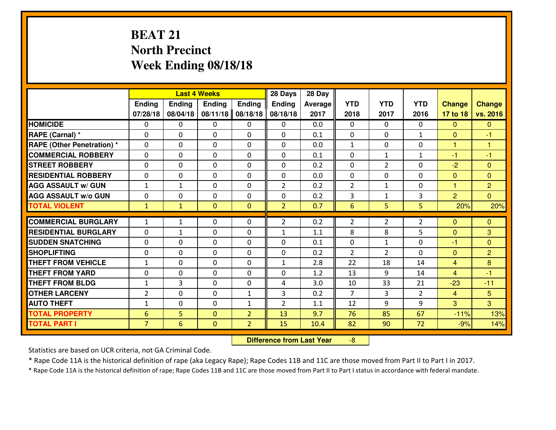# **BEAT 21 North PrecinctWeek Ending 08/18/18**

|                                  |                |               | <b>Last 4 Weeks</b> |                | 28 Days        | 28 Day         |                |                |                |                |                |
|----------------------------------|----------------|---------------|---------------------|----------------|----------------|----------------|----------------|----------------|----------------|----------------|----------------|
|                                  | <b>Ending</b>  | <b>Ending</b> | <b>Endina</b>       | <b>Ending</b>  | Ending         | <b>Average</b> | <b>YTD</b>     | <b>YTD</b>     | <b>YTD</b>     | <b>Change</b>  | <b>Change</b>  |
|                                  | 07/28/18       | 08/04/18      | 08/11/18            | 08/18/18       | 08/18/18       | 2017           | 2018           | 2017           | 2016           | 17 to 18       | vs. 2016       |
| <b>HOMICIDE</b>                  | $\Omega$       | 0             | $\Omega$            | $\Omega$       | 0              | 0.0            | $\Omega$       | 0              | 0              | $\Omega$       | $\Omega$       |
| RAPE (Carnal) *                  | $\Omega$       | 0             | $\mathbf{0}$        | $\Omega$       | $\Omega$       | 0.1            | $\Omega$       | $\Omega$       | $\mathbf{1}$   | $\mathbf{0}$   | $-1$           |
| <b>RAPE (Other Penetration)*</b> | $\Omega$       | $\Omega$      | $\mathbf 0$         | $\Omega$       | $\Omega$       | 0.0            | $\mathbf{1}$   | $\Omega$       | $\Omega$       | $\mathbf{1}$   | $\mathbf{1}$   |
| <b>COMMERCIAL ROBBERY</b>        | $\Omega$       | 0             | $\mathbf 0$         | 0              | 0              | 0.1            | $\mathbf 0$    | $\mathbf{1}$   | $\mathbf{1}$   | $-1$           | $-1$           |
| <b>STREET ROBBERY</b>            | $\Omega$       | $\Omega$      | $\mathbf 0$         | $\Omega$       | $\Omega$       | 0.2            | $\mathbf 0$    | $\overline{2}$ | $\Omega$       | $-2$           | $\overline{0}$ |
| <b>RESIDENTIAL ROBBERY</b>       | $\Omega$       | $\Omega$      | $\mathbf 0$         | $\Omega$       | $\Omega$       | 0.0            | $\mathbf 0$    | $\Omega$       | 0              | $\mathbf{0}$   | $\overline{0}$ |
| <b>AGG ASSAULT w/ GUN</b>        | $1\,$          | $\mathbf{1}$  | 0                   | $\Omega$       | $\overline{2}$ | 0.2            | $\overline{2}$ | $\mathbf{1}$   | 0              | 1              | $\overline{2}$ |
| <b>AGG ASSAULT w/o GUN</b>       | 0              | 0             | $\mathbf 0$         | 0              | 0              | 0.2            | 3              | $\mathbf{1}$   | 3              | $\overline{2}$ | $\Omega$       |
| <b>TOTAL VIOLENT</b>             | $\mathbf{1}$   | $\mathbf{1}$  | $\mathbf{0}$        | $\mathbf{0}$   | $\overline{2}$ | 0.7            | 6              | 5              | 5              | 20%            | 20%            |
| <b>COMMERCIAL BURGLARY</b>       | $\mathbf{1}$   | $\mathbf{1}$  | $\Omega$            | 0              | $\overline{2}$ | 0.2            | $\overline{2}$ | $\overline{2}$ | $\overline{2}$ | $\mathbf{0}$   | $\mathbf{0}$   |
| <b>RESIDENTIAL BURGLARY</b>      | 0              | $\mathbf{1}$  | $\mathbf 0$         | 0              | $\mathbf{1}$   | 1.1            | 8              | 8              | 5              | $\mathbf{0}$   | 3              |
| <b>SUDDEN SNATCHING</b>          | 0              | 0             | $\mathbf 0$         | 0              | 0              | 0.1            | $\mathbf 0$    | $\mathbf{1}$   | 0              | $-1$           | $\mathbf{0}$   |
| <b>SHOPLIFTING</b>               | 0              | 0             | $\mathbf 0$         | 0              | 0              | 0.2            | $\overline{2}$ | $\overline{2}$ | $\Omega$       | $\mathbf{0}$   | $\overline{2}$ |
| <b>THEFT FROM VEHICLE</b>        | $1\,$          | 0             | 0                   | $\Omega$       | $\mathbf{1}$   | 2.8            | 22             | 18             | 14             | $\overline{4}$ | 8              |
| <b>THEFT FROM YARD</b>           | $\mathbf 0$    | 0             | $\mathbf 0$         | 0              | 0              | 1.2            | 13             | 9              | 14             | $\overline{4}$ | $-1$           |
| <b>THEFT FROM BLDG</b>           | $\mathbf{1}$   | 3             | $\mathbf 0$         | 0              | 4              | 3.0            | 10             | 33             | 21             | $-23$          | $-11$          |
| <b>OTHER LARCENY</b>             | $\overline{2}$ | 0             | $\mathbf 0$         | $\mathbf{1}$   | 3              | 0.2            | $\overline{7}$ | 3              | $\overline{2}$ | $\overline{4}$ | 5 <sup>5</sup> |
| <b>AUTO THEFT</b>                | $\mathbf{1}$   | 0             | $\mathbf 0$         | $\mathbf{1}$   | $\overline{2}$ | 1.1            | 12             | 9              | 9              | 3              | 3              |
| <b>TOTAL PROPERTY</b>            | 6              | 5             | $\mathbf{0}$        | $\overline{2}$ | 13             | 9.7            | 76             | 85             | 67             | $-11%$         | 13%            |
| <b>TOTAL PART I</b>              | $\overline{7}$ | 6             | $\mathbf{0}$        | $\overline{2}$ | 15             | 10.4           | 82             | 90             | 72             | $-9%$          | 14%            |
|                                  |                |               |                     |                |                |                |                |                |                |                |                |

 **Difference from Last Year**-8

Statistics are based on UCR criteria, not GA Criminal Code.

\* Rape Code 11A is the historical definition of rape (aka Legacy Rape); Rape Codes 11B and 11C are those moved from Part II to Part I in 2017.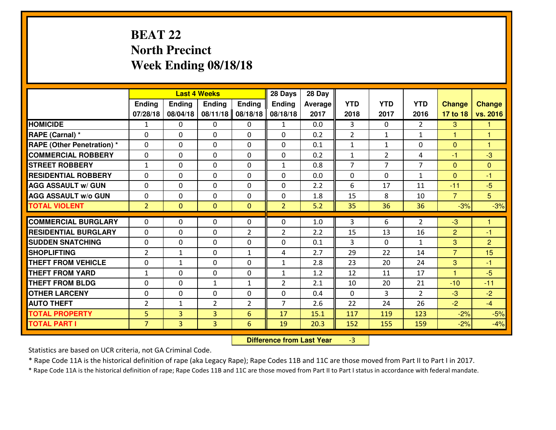# **BEAT 22 North PrecinctWeek Ending 08/18/18**

|                                  |                |                | <b>Last 4 Weeks</b> |                | 28 Days        | 28 Day  |                |                |                |                |                |
|----------------------------------|----------------|----------------|---------------------|----------------|----------------|---------|----------------|----------------|----------------|----------------|----------------|
|                                  | Ending         | <b>Ending</b>  | <b>Ending</b>       | <b>Ending</b>  | <b>Ending</b>  | Average | <b>YTD</b>     | <b>YTD</b>     | <b>YTD</b>     | <b>Change</b>  | <b>Change</b>  |
|                                  | 07/28/18       | 08/04/18       | 08/11/18            | 08/18/18       | 08/18/18       | 2017    | 2018           | 2017           | 2016           | 17 to 18       | vs. 2016       |
| <b>HOMICIDE</b>                  | 1              | 0              | 0                   | 0              | 1              | 0.0     | 3              | $\Omega$       | $\mathfrak{D}$ | 3              | 1              |
| RAPE (Carnal) *                  | $\Omega$       | 0              | $\Omega$            | $\Omega$       | $\Omega$       | 0.2     | 2              | $\mathbf{1}$   | $\mathbf{1}$   | $\mathbf{1}$   | -1             |
| <b>RAPE (Other Penetration)*</b> | 0              | 0              | $\mathbf 0$         | 0              | 0              | 0.1     | $\mathbf{1}$   | $\mathbf{1}$   | 0              | $\overline{0}$ | $\overline{1}$ |
| <b>COMMERCIAL ROBBERY</b>        | 0              | 0              | $\mathbf 0$         | 0              | 0              | 0.2     | $\mathbf{1}$   | $\overline{2}$ | 4              | $-1$           | $-3$           |
| <b>STREET ROBBERY</b>            | $\mathbf{1}$   | 0              | $\mathbf 0$         | 0              | $\mathbf{1}$   | 0.8     | $\overline{7}$ | $\overline{7}$ | $\overline{7}$ | $\mathbf{0}$   | $\mathbf{0}$   |
| <b>RESIDENTIAL ROBBERY</b>       | 0              | 0              | $\mathbf 0$         | 0              | 0              | 0.0     | $\mathbf 0$    | $\mathbf{0}$   | $\mathbf{1}$   | $\Omega$       | $-1$           |
| <b>AGG ASSAULT W/ GUN</b>        | 0              | 0              | $\mathbf 0$         | 0              | 0              | 2.2     | 6              | 17             | 11             | $-11$          | $-5$           |
| <b>AGG ASSAULT W/o GUN</b>       | 0              | 0              | 0                   | $\mathbf{0}$   | $\mathbf 0$    | 1.8     | 15             | 8              | 10             | $\overline{7}$ | 5              |
| <b>TOTAL VIOLENT</b>             | $\overline{2}$ | $\overline{0}$ | $\mathbf{O}$        | $\mathbf{0}$   | $\overline{2}$ | 5.2     | 35             | 36             | 36             | $-3%$          | $-3%$          |
| <b>COMMERCIAL BURGLARY</b>       | $\Omega$       | 0              | $\mathbf{0}$        | 0              | $\Omega$       | 1.0     | 3              | 6              | $\overline{2}$ | -3             | 1              |
| <b>RESIDENTIAL BURGLARY</b>      | $\mathbf{0}$   | 0              | 0                   | $\overline{2}$ | $\overline{2}$ | 2.2     | 15             | 13             | 16             | $\overline{2}$ | $-1$           |
| <b>SUDDEN SNATCHING</b>          | $\mathbf{0}$   | 0              | $\mathbf 0$         | 0              | 0              | 0.1     | 3              | $\mathbf{0}$   | $\mathbf{1}$   | 3              | $\overline{2}$ |
| <b>SHOPLIFTING</b>               | $\overline{2}$ | $\mathbf{1}$   | $\mathbf 0$         | $\mathbf{1}$   | 4              | 2.7     | 29             | 22             | 14             | $\overline{7}$ | 15             |
| <b>THEFT FROM VEHICLE</b>        | 0              | 1              | $\mathbf 0$         | 0              | $\mathbf{1}$   | 2.8     | 23             | 20             | 24             | 3              | $-1$           |
| <b>THEFT FROM YARD</b>           | $\mathbf{1}$   | 0              | $\mathbf 0$         | 0              | $\mathbf{1}$   | 1.2     | 12             | 11             | 17             | 1              | $-5$           |
| <b>THEFT FROM BLDG</b>           | 0              | 0              | $\mathbf{1}$        | $\mathbf{1}$   | $\overline{2}$ | 2.1     | 10             | 20             | 21             | $-10$          | $-11$          |
| <b>OTHER LARCENY</b>             | 0              | 0              | $\mathbf 0$         | 0              | 0              | 0.4     | $\mathbf 0$    | 3              | $\overline{2}$ | -3             | $-2$           |
| <b>AUTO THEFT</b>                | $\overline{2}$ | $\mathbf{1}$   | $\overline{2}$      | $\overline{2}$ | $\overline{7}$ | 2.6     | 22             | 24             | 26             | $-2$           | $-4$           |
| <b>TOTAL PROPERTY</b>            | 5              | 3              | 3                   | 6              | 17             | 15.1    | 117            | 119            | 123            | $-2%$          | $-5%$          |
| <b>TOTAL PART I</b>              | $\overline{7}$ | $\overline{3}$ | 3                   | 6              | 19             | 20.3    | 152            | 155            | 159            | $-2%$          | $-4%$          |
|                                  |                |                |                     |                |                |         |                |                |                |                |                |

 **Difference from Last Year**-3

Statistics are based on UCR criteria, not GA Criminal Code.

\* Rape Code 11A is the historical definition of rape (aka Legacy Rape); Rape Codes 11B and 11C are those moved from Part II to Part I in 2017.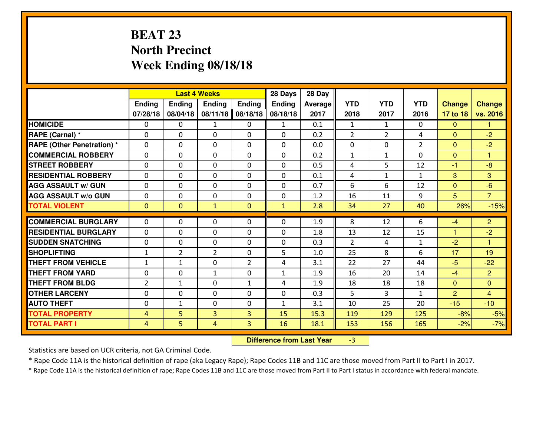# **BEAT 23 North PrecinctWeek Ending 08/18/18**

|                                  |                |                | <b>Last 4 Weeks</b> |                | 28 Days       | 28 Day  |                |                |                   |                |                      |
|----------------------------------|----------------|----------------|---------------------|----------------|---------------|---------|----------------|----------------|-------------------|----------------|----------------------|
|                                  | Ending         | <b>Ending</b>  | <b>Ending</b>       | <b>Ending</b>  | <b>Ending</b> | Average | <b>YTD</b>     | <b>YTD</b>     | <b>YTD</b>        | <b>Change</b>  | <b>Change</b>        |
|                                  | 07/28/18       | 08/04/18       | 08/11/18            | 08/18/18       | 08/18/18      | 2017    | 2018           | 2017           | 2016              | 17 to 18       | vs. 2016             |
| <b>HOMICIDE</b>                  | $\Omega$       | 0              | 1                   | 0              | $\mathbf{1}$  | 0.1     | 1              | $\mathbf{1}$   | 0                 | $\Omega$       | 1                    |
| RAPE (Carnal) *                  | $\Omega$       | 0              | $\Omega$            | $\Omega$       | $\Omega$      | 0.2     | $\overline{2}$ | $\overline{2}$ | 4                 | $\Omega$       | $-2$                 |
| <b>RAPE (Other Penetration)*</b> | 0              | 0              | $\mathbf 0$         | 0              | 0             | 0.0     | 0              | 0              | $\overline{2}$    | $\overline{0}$ | $-2$                 |
| <b>COMMERCIAL ROBBERY</b>        | 0              | 0              | $\mathbf 0$         | 0              | 0             | 0.2     | $\mathbf{1}$   | $\mathbf{1}$   | 0                 | $\mathbf{0}$   | $\blacktriangleleft$ |
| <b>STREET ROBBERY</b>            | 0              | 0              | $\mathbf 0$         | 0              | 0             | 0.5     | 4              | 5              | 12                | $-1$           | $-8$                 |
| <b>RESIDENTIAL ROBBERY</b>       | 0              | 0              | $\mathbf 0$         | $\mathbf{0}$   | 0             | 0.1     | 4              | $\mathbf{1}$   | $\mathbf{1}$      | 3              | 3                    |
| <b>AGG ASSAULT W/ GUN</b>        | 0              | 0              | $\mathbf 0$         | 0              | 0             | 0.7     | 6              | 6              | 12                | $\mathbf{0}$   | $-6$                 |
| <b>AGG ASSAULT W/o GUN</b>       | 0              | 0              | 0                   | $\mathbf{0}$   | $\mathbf 0$   | 1.2     | 16             | 11             | 9                 | 5              | $\overline{7}$       |
| <b>TOTAL VIOLENT</b>             | $\mathbf{0}$   | $\overline{0}$ | $\mathbf{1}$        | $\mathbf{0}$   | $\mathbf{1}$  | 2.8     | 34             | 27             | 40                | 26%            | $-15%$               |
| <b>COMMERCIAL BURGLARY</b>       | $\Omega$       | 0              | $\mathbf{0}$        | 0              | $\Omega$      | 1.9     | 8              | 12             | 6                 | $-4$           | $\overline{2}$       |
| <b>RESIDENTIAL BURGLARY</b>      | $\mathbf{0}$   | 0              |                     | 0              |               | 1.8     | 13             | 12             | 15                | $\mathbf{1}$   | $-2$                 |
| <b>SUDDEN SNATCHING</b>          | $\mathbf{0}$   | 0              | 0<br>$\mathbf 0$    | 0              | 0<br>0        | 0.3     | 2              |                |                   | $-2$           | $\blacktriangleleft$ |
| <b>SHOPLIFTING</b>               | $\mathbf{1}$   | $\overline{2}$ | $\overline{2}$      | 0              | 5             | 1.0     | 25             | 4<br>8         | $\mathbf{1}$<br>6 | 17             | 19                   |
| <b>THEFT FROM VEHICLE</b>        | $\mathbf{1}$   | 1              | $\mathbf 0$         | $\overline{2}$ | 4             | 3.1     | 22             | 27             | 44                | $-5$           | $-22$                |
| <b>THEFT FROM YARD</b>           | 0              | 0              | 1                   | 0              | $\mathbf{1}$  | 1.9     | 16             | 20             | 14                | $-4$           | $\overline{2}$       |
| <b>THEFT FROM BLDG</b>           | 2              | $\mathbf{1}$   | $\mathbf 0$         | $\mathbf{1}$   | 4             | 1.9     | 18             | 18             | 18                | $\Omega$       | $\overline{0}$       |
| <b>OTHER LARCENY</b>             | 0              | 0              | $\mathbf 0$         | 0              | 0             | 0.3     | 5              | 3              | $\mathbf{1}$      | $\overline{2}$ | $\overline{4}$       |
| <b>AUTO THEFT</b>                | 0              | $\mathbf{1}$   | $\mathbf 0$         | $\mathbf 0$    | $\mathbf{1}$  | 3.1     | 10             | 25             | 20                | $-15$          | $-10$                |
| <b>TOTAL PROPERTY</b>            |                | 5              | $\overline{3}$      |                |               |         |                |                |                   |                |                      |
|                                  | $\overline{4}$ |                |                     | 3              | 15            | 15.3    | 119            | 129            | 125               | $-8%$          | $-5%$                |
| <b>TOTAL PART I</b>              | $\overline{4}$ | 5              | 4                   | 3              | 16            | 18.1    | 153            | 156            | 165               | $-2%$          | $-7%$                |

 **Difference from Last Year**-3

Statistics are based on UCR criteria, not GA Criminal Code.

\* Rape Code 11A is the historical definition of rape (aka Legacy Rape); Rape Codes 11B and 11C are those moved from Part II to Part I in 2017.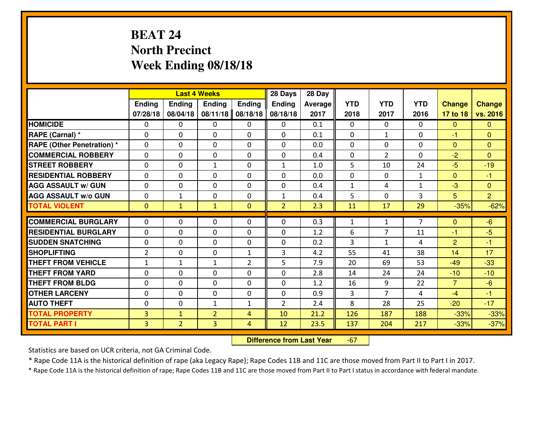# **BEAT 24 North PrecinctWeek Ending 08/18/18**

|                                  |                |                | <b>Last 4 Weeks</b> |                | 28 Days        | 28 Day  |                |                |                |                |                |
|----------------------------------|----------------|----------------|---------------------|----------------|----------------|---------|----------------|----------------|----------------|----------------|----------------|
|                                  | <b>Ending</b>  | <b>Ending</b>  | <b>Endina</b>       | <b>Ending</b>  | <b>Ending</b>  | Average | <b>YTD</b>     | <b>YTD</b>     | <b>YTD</b>     | <b>Change</b>  | <b>Change</b>  |
|                                  | 07/28/18       | 08/04/18       | 08/11/18            | 08/18/18       | 08/18/18       | 2017    | 2018           | 2017           | 2016           | 17 to 18       | vs. 2016       |
| <b>HOMICIDE</b>                  | $\Omega$       | 0              | 0                   | 0              | 0              | 0.1     | 0              | $\Omega$       | 0              | $\Omega$       | $\Omega$       |
| RAPE (Carnal) *                  | $\Omega$       | 0              | $\mathbf{0}$        | 0              | $\Omega$       | 0.1     | $\Omega$       | $\mathbf{1}$   | 0              | -1             | $\Omega$       |
| <b>RAPE (Other Penetration)*</b> | $\Omega$       | $\Omega$       | $\mathbf 0$         | $\Omega$       | $\Omega$       | 0.0     | $\Omega$       | 0              | $\Omega$       | $\Omega$       | $\Omega$       |
| <b>COMMERCIAL ROBBERY</b>        | $\Omega$       | 0              | $\mathbf 0$         | $\Omega$       | 0              | 0.4     | 0              | $\overline{2}$ | 0              | $-2$           | $\Omega$       |
| <b>STREET ROBBERY</b>            | $\Omega$       | $\Omega$       | $\mathbf{1}$        | $\Omega$       | $\mathbf{1}$   | 1.0     | 5              | 10             | 24             | $-5$           | $-19$          |
| <b>RESIDENTIAL ROBBERY</b>       | $\Omega$       | $\Omega$       | $\mathbf 0$         | $\Omega$       | 0              | 0.0     | 0              | $\Omega$       | $\mathbf{1}$   | $\Omega$       | $-1$           |
| <b>AGG ASSAULT w/ GUN</b>        | $\Omega$       | $\Omega$       | $\mathbf 0$         | $\Omega$       | 0              | 0.4     | $\mathbf 1$    | 4              | $\mathbf{1}$   | $-3$           | $\overline{0}$ |
| <b>AGG ASSAULT w/o GUN</b>       | 0              | $\mathbf{1}$   | $\mathbf 0$         | $\Omega$       | $\mathbf{1}$   | 0.4     | 5              | $\Omega$       | 3              | 5              | $\overline{2}$ |
| <b>TOTAL VIOLENT</b>             | $\mathbf{0}$   | $\mathbf{1}$   | $\mathbf{1}$        | $\mathbf{0}$   | $\overline{2}$ | 2.3     | 11             | 17             | 29             | $-35%$         | $-62%$         |
| <b>COMMERCIAL BURGLARY</b>       | $\Omega$       | 0              | 0                   | $\Omega$       | $\Omega$       | 0.3     | 1              | $\mathbf{1}$   | $\overline{7}$ | $\Omega$       | $-6$           |
| <b>RESIDENTIAL BURGLARY</b>      | 0              | 0              | $\mathbf 0$         | 0              | 0              | 1.2     | 6              | 7              | 11             | $-1$           | $-5$           |
| <b>SUDDEN SNATCHING</b>          | 0              | 0              | $\mathbf 0$         | 0              | 0              | 0.2     | $\overline{3}$ | $\mathbf{1}$   | 4              | $\overline{2}$ | $-1$           |
| <b>SHOPLIFTING</b>               | $\overline{2}$ | 0              | $\mathbf 0$         | $\mathbf{1}$   | 3              | 4.2     | 55             | 41             | 38             | 14             | 17             |
| <b>THEFT FROM VEHICLE</b>        | $\mathbf{1}$   | $\mathbf{1}$   | $\mathbf{1}$        | $\overline{2}$ | 5              | 7.9     | 20             | 69             | 53             | $-49$          | $-33$          |
| <b>THEFT FROM YARD</b>           | 0              | 0              | $\mathbf 0$         | 0              | 0              | 2.8     | 14             | 24             | 24             | $-10$          | $-10$          |
| <b>THEFT FROM BLDG</b>           | 0              | 0              | $\mathbf 0$         | $\mathbf 0$    | 0              | 1.2     | 16             | 9              | 22             | $\overline{7}$ | $-6$           |
| <b>OTHER LARCENY</b>             | 0              | 0              | $\mathbf 0$         | $\mathbf 0$    | 0              | 0.9     | 3              | $\overline{7}$ | 4              | $-4$           | $-1$           |
| <b>AUTO THEFT</b>                | 0              | 0              | $\mathbf{1}$        | $\mathbf{1}$   | $\overline{2}$ | 2.4     | 8              | 28             | 25             | $-20$          | $-17$          |
| <b>TOTAL PROPERTY</b>            | 3              | $\mathbf{1}$   | $\overline{2}$      | $\overline{4}$ | 10             | 21.2    | 126            | 187            | 188            | $-33%$         | $-33%$         |
| <b>TOTAL PART I</b>              | 3              | $\overline{2}$ | 3                   | $\overline{4}$ | 12             | 23.5    | 137            | 204            | 217            | $-33%$         | $-37%$         |
|                                  |                |                |                     |                |                |         |                |                |                |                |                |

 **Difference from Last Year**-67

Statistics are based on UCR criteria, not GA Criminal Code.

\* Rape Code 11A is the historical definition of rape (aka Legacy Rape); Rape Codes 11B and 11C are those moved from Part II to Part I in 2017.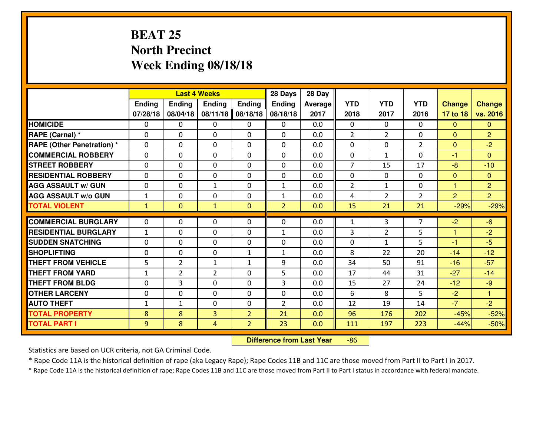# **BEAT 25 North PrecinctWeek Ending 08/18/18**

|                                  |              |                | <b>Last 4 Weeks</b> |                | 28 Days        | 28 Day  |                |                |                |                |                |
|----------------------------------|--------------|----------------|---------------------|----------------|----------------|---------|----------------|----------------|----------------|----------------|----------------|
|                                  | Ending       | Ending         | Ending              | <b>Ending</b>  | <b>Ending</b>  | Average | <b>YTD</b>     | <b>YTD</b>     | <b>YTD</b>     | <b>Change</b>  | <b>Change</b>  |
|                                  | 07/28/18     | 08/04/18       | 08/11/18            | 08/18/18       | 08/18/18       | 2017    | 2018           | 2017           | 2016           | 17 to 18       | vs. 2016       |
| <b>HOMICIDE</b>                  | 0            | 0              | 0                   | 0              | 0              | 0.0     | 0              | $\Omega$       | 0              | $\Omega$       | $\mathbf{0}$   |
| RAPE (Carnal) *                  | $\Omega$     | 0              | 0                   | $\Omega$       | 0              | 0.0     | $\overline{2}$ | $\overline{2}$ | 0              | $\Omega$       | $\overline{2}$ |
| <b>RAPE (Other Penetration)*</b> | $\Omega$     | $\Omega$       | $\mathbf 0$         | $\Omega$       | $\Omega$       | 0.0     | $\Omega$       | $\Omega$       | $\overline{2}$ | $\Omega$       | $-2$           |
| <b>COMMERCIAL ROBBERY</b>        | $\Omega$     | $\Omega$       | $\mathbf 0$         | $\Omega$       | $\Omega$       | 0.0     | 0              | $\mathbf{1}$   | $\Omega$       | $-1$           | $\Omega$       |
| <b>ISTREET ROBBERY</b>           | $\mathbf{0}$ | 0              | $\mathbf{0}$        | 0              | $\Omega$       | 0.0     | $\overline{7}$ | 15             | 17             | $-8$           | $-10$          |
| <b>RESIDENTIAL ROBBERY</b>       | 0            | 0              | $\mathbf 0$         | 0              | 0              | 0.0     | 0              | $\mathbf{0}$   | $\Omega$       | $\mathbf{0}$   | $\mathbf{0}$   |
| <b>AGG ASSAULT W/ GUN</b>        | 0            | 0              | $\mathbf{1}$        | 0              | $\mathbf{1}$   | 0.0     | $\overline{2}$ | $\mathbf{1}$   | 0              | $\mathbf{1}$   | $\overline{2}$ |
| <b>AGG ASSAULT W/o GUN</b>       | $\mathbf{1}$ | 0              | $\mathbf 0$         | 0              | $\mathbf{1}$   | 0.0     | 4              | $\overline{2}$ | $\overline{2}$ | $\overline{2}$ | $\overline{2}$ |
| <b>TOTAL VIOLENT</b>             | $\mathbf{1}$ | $\overline{0}$ | $\mathbf{1}$        | $\mathbf{0}$   | $\overline{2}$ | 0.0     | 15             | 21             | 21             | $-29%$         | $-29%$         |
| <b>COMMERCIAL BURGLARY</b>       | $\Omega$     | 0              | $\mathbf{0}$        | $\Omega$       | $\Omega$       | 0.0     | $\mathbf{1}$   | 3              | $\overline{7}$ | $-2$           | $-6$           |
| <b>RESIDENTIAL BURGLARY</b>      | $\mathbf{1}$ | $\Omega$       | $\mathbf 0$         | $\Omega$       | $\mathbf{1}$   | 0.0     | 3              | $\overline{2}$ | 5              | 1              | $-2$           |
| <b>SUDDEN SNATCHING</b>          | $\Omega$     | $\Omega$       | $\mathbf 0$         | $\Omega$       | 0              | 0.0     | 0              | $\mathbf{1}$   | 5              | $-1$           | $-5$           |
| <b>SHOPLIFTING</b>               | 0            | 0              | $\mathbf 0$         | $\mathbf{1}$   | $\mathbf{1}$   | 0.0     | 8              | 22             | 20             | $-14$          | $-12$          |
| <b>THEFT FROM VEHICLE</b>        | 5            | $\overline{2}$ | $\mathbf{1}$        | $\mathbf{1}$   | 9              | 0.0     | 34             | 50             | 91             | $-16$          | $-57$          |
| <b>THEFT FROM YARD</b>           | $\mathbf{1}$ | $\overline{2}$ | $\overline{2}$      | 0              | 5              | 0.0     | 17             | 44             | 31             | $-27$          | $-14$          |
| <b>THEFT FROM BLDG</b>           | $\mathbf{0}$ | 3              | 0                   | $\Omega$       | 3              | 0.0     | 15             | 27             | 24             | $-12$          | $-9$           |
| <b>OTHER LARCENY</b>             | 0            | 0              | $\mathbf 0$         | 0              | 0              | 0.0     | 6              | 8              | 5              | $-2$           | $\mathbf{1}$   |
| <b>AUTO THEFT</b>                | $\mathbf{1}$ | $\mathbf{1}$   | 0                   | 0              | $\overline{2}$ | 0.0     | 12             | 19             | 14             | $-7$           | $-2$           |
| <b>TOTAL PROPERTY</b>            | 8            | 8              | 3                   | $\overline{2}$ | 21             | 0.0     | 96             | 176            | 202            | $-45%$         | $-52%$         |
| <b>TOTAL PART I</b>              | 9            | 8              | 4                   | $\overline{2}$ | 23             | 0.0     | <u>111</u>     | 197            | 223            | $-44%$         | $-50%$         |

 **Difference from Last Year**-86

Statistics are based on UCR criteria, not GA Criminal Code.

\* Rape Code 11A is the historical definition of rape (aka Legacy Rape); Rape Codes 11B and 11C are those moved from Part II to Part I in 2017.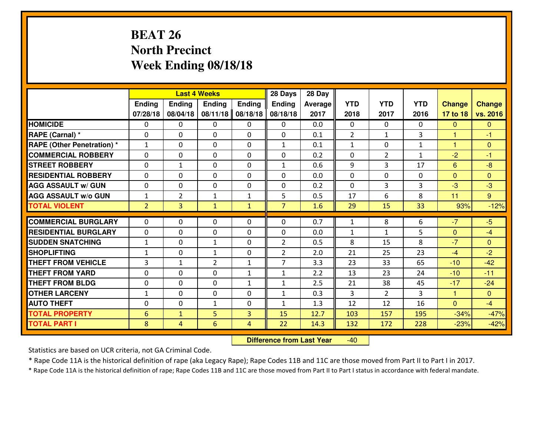# **BEAT 26 North PrecinctWeek Ending 08/18/18**

|                             |                |                | <b>Last 4 Weeks</b> |                | 28 Days        | 28 Day         |                |                |              |               |                |
|-----------------------------|----------------|----------------|---------------------|----------------|----------------|----------------|----------------|----------------|--------------|---------------|----------------|
|                             | <b>Ending</b>  | <b>Ending</b>  | <b>Endina</b>       | <b>Ending</b>  | <b>Ending</b>  | <b>Average</b> | <b>YTD</b>     | <b>YTD</b>     | <b>YTD</b>   | <b>Change</b> | <b>Change</b>  |
|                             | 07/28/18       | 08/04/18       | 08/11/18            | 08/18/18       | 08/18/18       | 2017           | 2018           | 2017           | 2016         | 17 to 18      | vs. 2016       |
| <b>HOMICIDE</b>             | $\Omega$       | 0              | $\mathbf{0}$        | $\Omega$       | 0              | 0.0            | $\Omega$       | 0              | $\Omega$     | $\mathbf{0}$  | $\Omega$       |
| RAPE (Carnal) *             | $\Omega$       | 0              | $\mathbf{0}$        | $\Omega$       | $\Omega$       | 0.1            | $\overline{2}$ | $\mathbf{1}$   | 3            | $\mathbf{1}$  | $-1$           |
| RAPE (Other Penetration) *  | $\mathbf{1}$   | 0              | $\mathbf{0}$        | 0              | $\mathbf{1}$   | 0.1            | 1              | $\Omega$       | $\mathbf{1}$ | $\mathbf{1}$  | $\mathbf{0}$   |
| <b>COMMERCIAL ROBBERY</b>   | 0              | 0              | 0                   | 0              | 0              | 0.2            | $\mathbf{0}$   | $\overline{2}$ | $\mathbf{1}$ | $-2$          | $-1$           |
| <b>STREET ROBBERY</b>       | 0              | 1              | $\mathbf 0$         | 0              | $\mathbf{1}$   | 0.6            | 9              | 3              | 17           | 6             | $-8$           |
| <b>RESIDENTIAL ROBBERY</b>  | $\Omega$       | 0              | $\mathbf 0$         | 0              | 0              | 0.0            | $\mathbf 0$    | $\Omega$       | 0            | $\mathbf{0}$  | $\overline{0}$ |
| <b>AGG ASSAULT w/ GUN</b>   | 0              | 0              | 0                   | 0              | 0              | 0.2            | $\mathbf 0$    | 3              | 3            | $-3$          | $-3$           |
| <b>AGG ASSAULT W/o GUN</b>  | $\mathbf{1}$   | $\overline{2}$ | $\mathbf{1}$        | $\mathbf{1}$   | 5              | 0.5            | 17             | 6              | 8            | 11            | 9 <sup>°</sup> |
| <b>TOTAL VIOLENT</b>        | $\overline{2}$ | $\overline{3}$ | $\mathbf{1}$        | $\mathbf{1}$   | $\overline{7}$ | 1.6            | 29             | 15             | 33           | 93%           | $-12%$         |
| <b>COMMERCIAL BURGLARY</b>  | $\Omega$       | 0              | $\mathbf{0}$        | $\Omega$       | $\Omega$       | 0.7            | 1              | 8              | 6            | $-7$          | $-5$           |
| <b>RESIDENTIAL BURGLARY</b> | 0              | 0              | $\mathbf 0$         | 0              | 0              | 0.0            | $\mathbf{1}$   | $\mathbf{1}$   | 5            | $\mathbf{0}$  | $-4$           |
| <b>SUDDEN SNATCHING</b>     | $\mathbf{1}$   | $\Omega$       | 1                   | $\Omega$       | $\overline{2}$ | 0.5            | 8              | 15             | 8            | $-7$          | $\Omega$       |
| <b>SHOPLIFTING</b>          | $\mathbf{1}$   | 0              | $\mathbf{1}$        | 0              | $\overline{2}$ | 2.0            | 21             | 25             | 23           | $-4$          | $-2$           |
| <b>THEFT FROM VEHICLE</b>   | 3              | $\mathbf{1}$   | $\overline{2}$      | $\mathbf{1}$   | $\overline{7}$ | 3.3            | 23             | 33             | 65           | $-10$         | $-42$          |
| <b>THEFT FROM YARD</b>      | 0              | 0              | $\mathbf 0$         | $\mathbf{1}$   | $\mathbf{1}$   | 2.2            | 13             | 23             | 24           | $-10$         | $-11$          |
| <b>THEFT FROM BLDG</b>      | 0              | 0              | $\mathbf 0$         | $\mathbf{1}$   | 1              | 2.5            | 21             | 38             | 45           | $-17$         | $-24$          |
| <b>OTHER LARCENY</b>        | $1\,$          | 0              | $\mathbf 0$         | 0              | 1              | 0.3            | 3              | $\overline{2}$ | 3            | $\mathbf{1}$  | $\overline{0}$ |
| <b>AUTO THEFT</b>           | $\mathbf{0}$   | 0              | $\mathbf{1}$        | $\Omega$       | $\mathbf{1}$   | 1.3            | 12             | 12             | 16           | $\Omega$      | $-4$           |
| <b>TOTAL PROPERTY</b>       | 6              | $\mathbf{1}$   | 5                   | 3              | 15             | 12.7           | 103            | 157            | 195          | $-34%$        | $-47%$         |
| <b>TOTAL PART I</b>         | 8              | $\overline{4}$ | 6                   | $\overline{4}$ | 22             | 14.3           | 132            | 172            | 228          | $-23%$        | $-42%$         |
|                             |                |                |                     |                |                |                |                |                |              |               |                |

 **Difference from Last Year**-40

Statistics are based on UCR criteria, not GA Criminal Code.

\* Rape Code 11A is the historical definition of rape (aka Legacy Rape); Rape Codes 11B and 11C are those moved from Part II to Part I in 2017.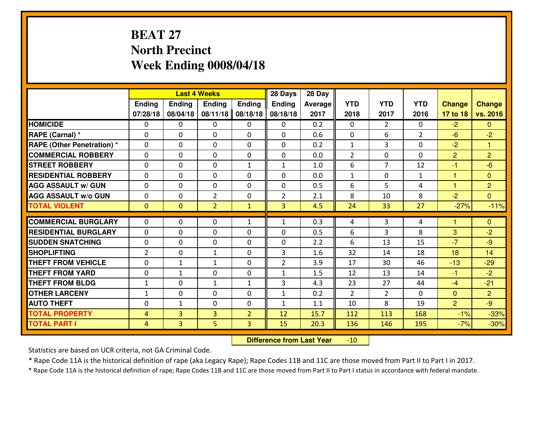# **BEAT 27 North PrecinctWeek Ending 0008/04/18**

|                                   |                | <b>Last 4 Weeks</b> |                |                | 28 Days        | 28 Day  |                |                |                |                |                |
|-----------------------------------|----------------|---------------------|----------------|----------------|----------------|---------|----------------|----------------|----------------|----------------|----------------|
|                                   | <b>Ending</b>  | Ending              | <b>Ending</b>  | <b>Ending</b>  | <b>Ending</b>  | Average | <b>YTD</b>     | <b>YTD</b>     | <b>YTD</b>     | <b>Change</b>  | <b>Change</b>  |
|                                   | 07/28/18       | 08/04/18            | 08/11/18       | 08/18/18       | 08/18/18       | 2017    | 2018           | 2017           | 2016           | 17 to 18       | vs. 2016       |
| <b>HOMICIDE</b>                   | $\Omega$       | 0                   | $\mathbf{0}$   | $\Omega$       | $\mathbf{0}$   | 0.2     | $\Omega$       | $\overline{2}$ | $\Omega$       | $-2$           | $\Omega$       |
| RAPE (Carnal) *                   | $\Omega$       | 0                   | $\Omega$       | $\Omega$       | 0              | 0.6     | $\Omega$       | 6              | $\overline{2}$ | $-6$           | $-2$           |
| <b>RAPE (Other Penetration) *</b> | $\Omega$       | 0                   | $\Omega$       | 0              | $\Omega$       | 0.2     | 1              | 3              | $\Omega$       | $-2$           | $\mathbf{1}$   |
| <b>COMMERCIAL ROBBERY</b>         | $\mathbf 0$    | 0                   | $\mathbf 0$    | 0              | 0              | 0.0     | $\overline{2}$ | $\Omega$       | 0              | $\overline{2}$ | $\overline{2}$ |
| <b>STREET ROBBERY</b>             | $\mathbf 0$    | 0                   | $\Omega$       | $\mathbf{1}$   | $\mathbf{1}$   | 1.0     | 6              | $\overline{7}$ | 12             | $-1$           | $-6$           |
| <b>RESIDENTIAL ROBBERY</b>        | $\mathbf 0$    | 0                   | $\mathbf 0$    | 0              | 0              | 0.0     | $\mathbf{1}$   | $\Omega$       | $\mathbf{1}$   | $\mathbf{1}$   | $\overline{0}$ |
| <b>AGG ASSAULT W/ GUN</b>         | $\mathbf 0$    | 0                   | $\mathbf 0$    | 0              | 0              | 0.5     | 6              | 5              | 4              | $\mathbf 1$    | $\overline{2}$ |
| <b>AGG ASSAULT W/o GUN</b>        | $\mathbf 0$    | 0                   | $\overline{2}$ | 0              | $\overline{2}$ | 2.1     | 8              | 10             | 8              | $-2$           | $\overline{0}$ |
| <b>TOTAL VIOLENT</b>              | $\overline{0}$ | $\mathbf{O}$        | $\overline{2}$ | $\mathbf{1}$   | $\overline{3}$ | 4.5     | 24             | 33             | 27             | $-27%$         | $-11%$         |
| <b>COMMERCIAL BURGLARY</b>        | $\Omega$       | 0                   | $\Omega$       | $\mathbf{1}$   | $\mathbf{1}$   | 0.3     | 4              | 3              | 4              | 1              | $\Omega$       |
| <b>RESIDENTIAL BURGLARY</b>       | $\mathbf{0}$   | 0                   | $\mathbf 0$    | $\mathbf 0$    | 0              | 0.5     | 6              | 3              | 8              | 3              | $-2$           |
| <b>SUDDEN SNATCHING</b>           | $\mathbf 0$    | 0                   | $\mathbf 0$    | 0              | 0              | 2.2     | 6              | 13             | 15             | $-7$           | $-9$           |
| <b>SHOPLIFTING</b>                | $\overline{2}$ | 0                   | $\mathbf{1}$   | $\Omega$       | 3              | 1.6     | 32             | 14             | 18             | 18             | 14             |
| <b>THEFT FROM VEHICLE</b>         | $\mathbf 0$    | $\mathbf{1}$        | $\mathbf{1}$   | 0              | $\overline{2}$ | 3.9     | 17             | 30             | 46             | $-13$          | $-29$          |
| <b>THEFT FROM YARD</b>            | $\mathbf 0$    | $\mathbf{1}$        | $\mathbf 0$    | $\mathbf 0$    | $\mathbf{1}$   | 1.5     | 12             | 13             | 14             | $-1$           | $-2$           |
| <b>THEFT FROM BLDG</b>            | $\mathbf{1}$   | 0                   | $\mathbf{1}$   | $\mathbf{1}$   | 3              | 4.3     | 23             | 27             | 44             | $-4$           | $-21$          |
| <b>OTHER LARCENY</b>              | $\mathbf{1}$   | 0                   | $\mathbf 0$    | 0              | $\mathbf{1}$   | 0.2     | 2              | $\overline{2}$ | $\Omega$       | $\overline{0}$ | $\overline{2}$ |
| <b>AUTO THEFT</b>                 | 0              | $\mathbf{1}$        | $\Omega$       | 0              | $\mathbf{1}$   | 1.1     | 10             | 8              | 19             | $\overline{2}$ | $-9$           |
| <b>TOTAL PROPERTY</b>             | 4              | 3                   | 3              | $\overline{2}$ | 12             | 15.7    | 112            | 113            | 168            | $-1%$          | $-33%$         |
| <b>TOTAL PART I</b>               | $\overline{4}$ | 3                   | 5              | $\overline{3}$ | 15             | 20.3    | 136            | 146            | 195            | $-7%$          | $-30%$         |
|                                   |                |                     |                |                |                |         |                |                |                |                |                |

 **Difference from Last Year**-10

Statistics are based on UCR criteria, not GA Criminal Code.

\* Rape Code 11A is the historical definition of rape (aka Legacy Rape); Rape Codes 11B and 11C are those moved from Part II to Part I in 2017.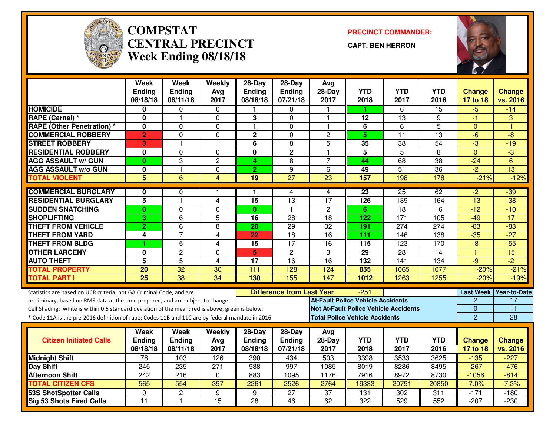

#### **COMPSTAT PRECINCT COMMANDER: CENTRAL PRECINCTWeek Ending 08/18/18**

**CAPT. BEN HERRON**



|                                                                                                  | <b>Week</b>             | <b>Week</b>     | Weekly                  | $28-Day$        | $28-Day$                         | Avg                                   |                 |                                              |                 |                  |                     |
|--------------------------------------------------------------------------------------------------|-------------------------|-----------------|-------------------------|-----------------|----------------------------------|---------------------------------------|-----------------|----------------------------------------------|-----------------|------------------|---------------------|
|                                                                                                  | <b>Ending</b>           | <b>Ending</b>   | Avg                     | <b>Ending</b>   | Ending                           | 28-Day                                | <b>YTD</b>      | <b>YTD</b>                                   | <b>YTD</b>      | <b>Change</b>    | <b>Change</b>       |
|                                                                                                  | 08/18/18                | 08/11/18        | 2017                    | 08/18/18        | 07/21/18                         | 2017                                  | 2018            | 2017                                         | 2016            | 17 to 18         | vs. 2016            |
| <b>HOMICIDE</b>                                                                                  | 0                       | 0               | 0                       | п.              | 0                                |                                       | 1.              | 6                                            | 15              | $-5$             | $-14$               |
| RAPE (Carnal) *                                                                                  | 0                       | 1               | $\Omega$                | 3               | $\mathbf 0$                      | 1                                     | 12              | 13                                           | 9               | $-1$             | 3                   |
| <b>RAPE (Other Penetration) *</b>                                                                | 0                       | $\Omega$        | $\Omega$                | $\mathbf{1}$    | $\overline{0}$                   | 1                                     | $\overline{6}$  | $\overline{6}$                               | $\overline{5}$  | $\mathbf{0}$     | $\overline{1}$      |
| <b>COMMERCIAL ROBBERY</b>                                                                        | $\overline{2}$          | 0               | $\Omega$                | $\overline{2}$  | $\mathbf 0$                      | $\overline{c}$                        | 5               | $\overline{11}$                              | 13              | -6               | $-8$                |
| <b>STREET ROBBERY</b>                                                                            | 3                       | 1               | $\overline{\mathbf{1}}$ | 6               | 8                                | 5                                     | 35              | 38                                           | $\overline{54}$ | $-3$             | $-19$               |
| <b>RESIDENTIAL ROBBERY</b>                                                                       | $\mathbf 0$             | 0               | $\Omega$                | $\mathbf 0$     | $\overline{c}$                   | $\mathbf{1}$                          | 5               | $\overline{5}$                               | 8               | $\overline{0}$   | $\overline{3}$      |
| <b>AGG ASSAULT w/ GUN</b>                                                                        | $\bf{0}$                | 3               | $\overline{2}$          | 4               | 8                                | $\overline{7}$                        | 44              | 68                                           | $\overline{38}$ | $-24$            | 6                   |
| <b>AGG ASSAULT w/o GUN</b>                                                                       | 0                       | $\mathbf{1}$    | 0                       | $\overline{2}$  | 9                                | 6                                     | 49              | 51                                           | $\overline{36}$ | $-2$             | 13                  |
| <b>TOTAL VIOLENT</b>                                                                             | $\overline{5}$          | $\overline{6}$  | $\overline{4}$          | 19              | $\overline{27}$                  | $\overline{23}$                       | 157             | 198                                          | 178             | $-21%$           | $-12%$              |
| <b>COMMERCIAL BURGLARY</b>                                                                       | 0                       | $\Omega$        | 1                       | 1               | 4                                | 4                                     | $\overline{23}$ | $\overline{25}$                              | 62              | $-2$             | $-39$               |
| <b>RESIDENTIAL BURGLARY</b>                                                                      | $\overline{5}$          | $\mathbf{1}$    | 4                       | $\overline{15}$ | $\overline{13}$                  | $\overline{17}$                       | 126             | 139                                          | 164             | $-13$            | $-38$               |
| <b>SUDDEN SNATCHING</b>                                                                          | $\bf{0}$                | 0               | 0                       | $\mathbf{0}$    | $\mathbf{1}$                     | $\overline{2}$                        | 6               | $\overline{18}$                              | $\overline{16}$ | $-12$            | $-10$               |
| <b>SHOPLIFTING</b>                                                                               | 3                       | 6               | 5                       | 16              | 28                               | 18                                    | 122             | 171                                          | 105             | $-49$            | 17                  |
| <b>THEFT FROM VEHICLE</b>                                                                        | $\overline{2}$          | $\overline{6}$  | 8                       | 20              | $\overline{29}$                  | $\overline{32}$                       | 191             | 274                                          | 274             | $-83$            | $-83$               |
| <b>THEFT FROM YARD</b>                                                                           | 4                       | $\overline{7}$  | $\overline{4}$          | 22              | $\overline{18}$                  | $\overline{16}$                       | 111             | 146                                          | 138             | $-35$            | $-27$               |
| <b>THEFT FROM BLDG</b>                                                                           | и                       | 5               | 4                       | 15              | 17                               | 16                                    | 115             | 123                                          | 170             | $-8$             | $-55$               |
| <b>OTHER LARCENY</b>                                                                             | 0                       | $\overline{2}$  | 0                       | 5               | $\overline{2}$                   | 3                                     | 29              | $\overline{28}$                              | 14              | $\mathbf{1}$     | 15                  |
| <b>AUTO THEFT</b>                                                                                | $\overline{\mathbf{5}}$ | 5               | 4                       | 17              | 16                               | 16                                    | 132             | 141                                          | 134             | $-9$             | $\overline{-2}$     |
| <b>TOTAL PROPERTY</b>                                                                            | 20                      | 32              | 30                      | 111             | 128                              | 124                                   | 855             | 1065                                         | 1077            | $-20%$           | $-21%$              |
| <b>TOTAL PART I</b>                                                                              | $\overline{25}$         | $\overline{38}$ | $\overline{34}$         | 130             | 155                              | 147                                   | 1012            | 1263                                         | 1255            | $-20%$           | $-19%$              |
|                                                                                                  |                         |                 |                         |                 |                                  |                                       |                 |                                              |                 |                  |                     |
| Statistics are based on UCR criteria, not GA Criminal Code, and are                              |                         |                 |                         |                 | <b>Difference from Last Year</b> |                                       | $-251$          |                                              |                 | <b>Last Week</b> | <b>Year-to-Date</b> |
| preliminary, based on RMS data at the time prepared, and are subject to change.                  |                         |                 |                         |                 |                                  | At-Fault Police Vehicle Accidents     |                 |                                              |                 | 2                | 17                  |
| Cell Shading: white is within 0.6 standard deviation of the mean; red is above; green is below.  |                         |                 |                         |                 |                                  |                                       |                 | <b>Not At-Fault Police Vehicle Accidents</b> |                 | 0                | $\overline{11}$     |
| * Code 11A is the pre-2016 definition of rape; Codes 11B and 11C are by federal mandate in 2016. |                         |                 |                         |                 |                                  | <b>Total Police Vehicle Accidents</b> |                 |                                              |                 | $\overline{2}$   | 28                  |
|                                                                                                  | Week                    | Week            | Weekly                  | $28$ -Day       | 28-Day                           | Avg                                   |                 |                                              |                 |                  |                     |
| <b>Citizen Initiated Calls</b>                                                                   | Ending                  | <b>Ending</b>   | Avg                     | <b>Ending</b>   | Ending                           | $28-Day$                              | <b>YTD</b>      | <b>YTD</b>                                   | <b>YTD</b>      | <b>Change</b>    | <b>Change</b>       |
|                                                                                                  | 08/18/18                | 08/11/18        | 2017                    | 08/18/18        | 07/21/18                         | 2017                                  | 2018            | 2017                                         | 2016            | 17 to 18         | vs. 2016            |
| <b>Midnight Shift</b>                                                                            | 78                      | 103             | 126                     | 390             | 434                              | 503                                   | 3398            | 3533                                         | 3625            | $-135$           | $-227$              |
| <b>Day Shift</b>                                                                                 | 245                     | 235             | $\overline{271}$        | 988             | 997                              | 1085                                  | 8019            | 8286                                         | 8495            | $-267$           | $-476$              |
| <b>Afternoon Shift</b>                                                                           | 242                     | 216             | $\Omega$                | 883             | 1095                             | 1176                                  | 7916            | 8972                                         | 8730            | $-1056$          | $-814$              |
| <b>TOTAL CITIZEN CFS</b>                                                                         | 565                     | 554             | 397                     | 2261            | 2526                             | 2764                                  | 19333           | 20791                                        | 20850           | $-7.0%$          | $-7.3%$             |
| <b>53S ShotSpotter Calls</b>                                                                     | $\Omega$                | $\overline{2}$  | 9                       | 9               | $\overline{27}$                  | $\overline{37}$                       | 131             | 302                                          | 311             | $-171$           | $-180$              |
| Sig 53 Shots Fired Calls                                                                         | $\overline{11}$         | $\mathbf{1}$    | 15                      | $\overline{28}$ | 46                               | 62                                    | 322             | 529                                          | 552             | $-207$           | $-230$              |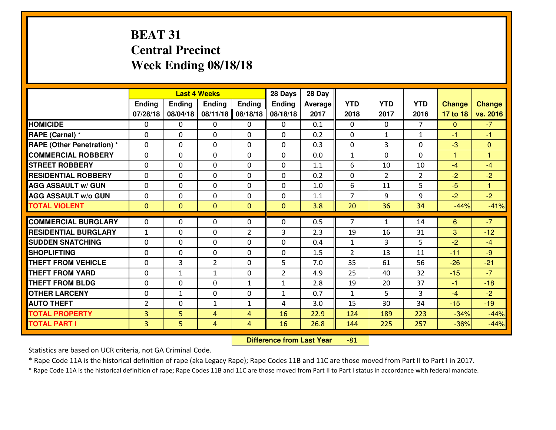# **BEAT 31 Central PrecinctWeek Ending 08/18/18**

|                                   |                              |                | <b>Last 4 Weeks</b> |                | 28 Days        | 28 Day         |                |                |                |               |                |
|-----------------------------------|------------------------------|----------------|---------------------|----------------|----------------|----------------|----------------|----------------|----------------|---------------|----------------|
|                                   | Ending                       | <b>Ending</b>  | <b>Ending</b>       | Ending         | <b>Ending</b>  | <b>Average</b> | <b>YTD</b>     | <b>YTD</b>     | <b>YTD</b>     | <b>Change</b> | <b>Change</b>  |
|                                   | 07/28/18                     | 08/04/18       | 08/11/18            | 08/18/18       | 08/18/18       | 2017           | 2018           | 2017           | 2016           | 17 to 18      | vs. 2016       |
| <b>HOMICIDE</b>                   | $\Omega$                     | 0              | $\Omega$            | $\Omega$       | 0              | 0.1            | $\Omega$       | $\Omega$       | $\overline{7}$ | $\mathbf{0}$  | $-7$           |
| RAPE (Carnal) *                   | $\Omega$                     | 0              | $\Omega$            | $\Omega$       | $\Omega$       | 0.2            | $\Omega$       | $\mathbf{1}$   | $\mathbf{1}$   | $-1$          | $-1$           |
| <b>RAPE (Other Penetration) *</b> | 0                            | 0              | $\mathbf 0$         | 0              | 0              | 0.3            | $\mathbf 0$    | 3              | $\Omega$       | $-3$          | $\overline{0}$ |
| <b>COMMERCIAL ROBBERY</b>         | 0                            | 0              | $\mathbf 0$         | 0              | 0              | 0.0            | $\mathbf{1}$   | $\Omega$       | 0              | $\mathbf{1}$  | 1              |
| <b>STREET ROBBERY</b>             | $\mathbf{0}$                 | 0              | $\mathbf 0$         | 0              | 0              | 1.1            | 6              | 10             | 10             | $-4$          | $-4$           |
| <b>RESIDENTIAL ROBBERY</b>        | $\Omega$                     | 0              | $\mathbf 0$         | 0              | 0              | 0.2            | $\mathbf 0$    | $\overline{2}$ | $\overline{2}$ | $-2$          | $-2$           |
| <b>AGG ASSAULT w/ GUN</b>         | 0                            | 0              | 0                   | 0              | 0              | 1.0            | 6              | 11             | 5              | $-5$          | $\mathbf{1}$   |
| <b>AGG ASSAULT W/o GUN</b>        | 0                            | 0              | 0                   | 0              | 0              | 1.1            | $\overline{7}$ | 9              | 9              | $-2$          | $-2$           |
| <b>TOTAL VIOLENT</b>              | $\mathbf{0}$                 | $\overline{0}$ | $\mathbf{0}$        | $\mathbf{0}$   | $\mathbf{0}$   | 3.8            | 20             | 36             | 34             | $-44%$        | $-41%$         |
| <b>COMMERCIAL BURGLARY</b>        | $\Omega$                     | 0              | $\mathbf{0}$        | $\mathbf{0}$   | $\Omega$       | 0.5            | 7              | $\mathbf{1}$   | 14             | 6             | $-7$           |
| <b>RESIDENTIAL BURGLARY</b>       |                              | 0              |                     |                | 3              | 2.3            | 19             | 16             | 31             | 3             | $-12$          |
| <b>SUDDEN SNATCHING</b>           | $\mathbf{1}$<br>$\mathbf{0}$ | 0              | 0                   | 2<br>0         | 0              | 0.4            | $\mathbf{1}$   | 3              | 5              | $-2$          | $-4$           |
| <b>SHOPLIFTING</b>                | 0                            | 0              | 0<br>$\mathbf 0$    | 0              | 0              | 1.5            | $\overline{2}$ | 13             | 11             | $-11$         | $-9$           |
| <b>THEFT FROM VEHICLE</b>         | 0                            | 3              | $\overline{2}$      | 0              | 5              | 7.0            | 35             | 61             | 56             | $-26$         | $-21$          |
| <b>THEFT FROM YARD</b>            | 0                            | $\mathbf{1}$   | 1                   | 0              | $\overline{2}$ | 4.9            | 25             | 40             | 32             | $-15$         | $-7$           |
| <b>THEFT FROM BLDG</b>            | 0                            | 0              | 0                   | $\mathbf{1}$   | $\mathbf{1}$   | 2.8            | 19             | 20             | 37             | $-1$          | $-18$          |
| <b>OTHER LARCENY</b>              | 0                            | $\mathbf{1}$   | 0                   | 0              | $\mathbf{1}$   | 0.7            | $\mathbf{1}$   | 5              | 3              | $-4$          | $-2$           |
| <b>AUTO THEFT</b>                 | $\overline{2}$               | 0              | $\mathbf{1}$        | $\mathbf{1}$   | 4              | 3.0            | 15             | 30             | 34             | $-15$         | $-19$          |
| <b>TOTAL PROPERTY</b>             | $\overline{3}$               | 5              |                     |                |                |                |                |                |                |               |                |
|                                   |                              |                | 4                   | $\overline{4}$ | 16             | 22.9           | 124            | 189            | 223            | $-34%$        | $-44%$         |
| <b>TOTAL PART I</b>               | $\overline{3}$               | 5              | 4                   | $\overline{4}$ | 16             | 26.8           | 144            | 225            | 257            | $-36%$        | $-44%$         |

 **Difference from Last Year**-81

Statistics are based on UCR criteria, not GA Criminal Code.

\* Rape Code 11A is the historical definition of rape (aka Legacy Rape); Rape Codes 11B and 11C are those moved from Part II to Part I in 2017.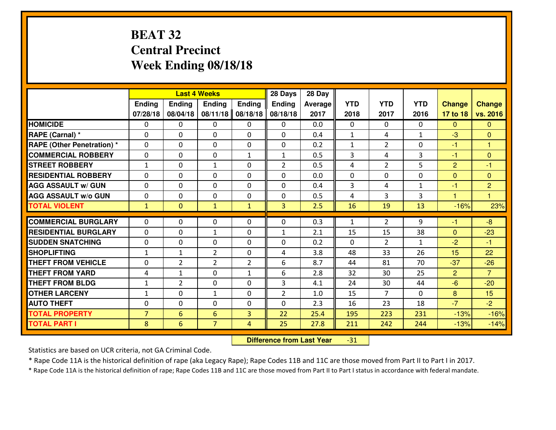# **BEAT 32 Central PrecinctWeek Ending 08/18/18**

|                                  |                |                | <b>Last 4 Weeks</b> |                | 28 Days        | 28 Day  |              |                |              |                |                |
|----------------------------------|----------------|----------------|---------------------|----------------|----------------|---------|--------------|----------------|--------------|----------------|----------------|
|                                  | Ending         | <b>Ending</b>  | <b>Ending</b>       | <b>Ending</b>  | <b>Ending</b>  | Average | <b>YTD</b>   | <b>YTD</b>     | <b>YTD</b>   | <b>Change</b>  | <b>Change</b>  |
|                                  | 07/28/18       | 08/04/18       | 08/11/18            | 08/18/18       | 08/18/18       | 2017    | 2018         | 2017           | 2016         | 17 to 18       | vs. 2016       |
| <b>HOMICIDE</b>                  | $\Omega$       | 0              | 0                   | 0              | 0              | 0.0     | 0            | $\Omega$       | 0            | $\Omega$       | $\Omega$       |
| RAPE (Carnal) *                  | $\Omega$       | 0              | $\Omega$            | $\Omega$       | $\Omega$       | 0.4     | $\mathbf{1}$ | 4              | $\mathbf{1}$ | $-3$           | $\Omega$       |
| <b>RAPE (Other Penetration)*</b> | 0              | 0              | $\mathbf 0$         | 0              | 0              | 0.2     | $\mathbf{1}$ | $\overline{2}$ | 0            | $-1$           | $\overline{1}$ |
| <b>COMMERCIAL ROBBERY</b>        | 0              | 0              | $\mathbf 0$         | $\mathbf{1}$   | $\mathbf{1}$   | 0.5     | 3            | 4              | 3            | $-1$           | $\mathbf{0}$   |
| <b>STREET ROBBERY</b>            | $\mathbf{1}$   | 0              | 1                   | 0              | $\overline{2}$ | 0.5     | 4            | $\overline{2}$ | 5            | $\overline{2}$ | $-1$           |
| <b>RESIDENTIAL ROBBERY</b>       | 0              | 0              | $\mathbf 0$         | 0              | 0              | 0.0     | 0            | $\mathbf{0}$   | 0            | $\mathbf{0}$   | $\mathbf{0}$   |
| <b>AGG ASSAULT w/ GUN</b>        | 0              | 0              | $\mathbf 0$         | 0              | 0              | 0.4     | 3            | 4              | $\mathbf{1}$ | $-1$           | $\overline{2}$ |
| <b>AGG ASSAULT W/o GUN</b>       | 0              | 0              | 0                   | 0              | $\mathbf 0$    | 0.5     | 4            | 3              | 3            | 1              | $\overline{1}$ |
| <b>TOTAL VIOLENT</b>             | $\mathbf{1}$   | $\overline{0}$ | $\mathbf{1}$        | $\mathbf{1}$   | $\overline{3}$ | 2.5     | 16           | 19             | 13           | $-16%$         | 23%            |
| <b>COMMERCIAL BURGLARY</b>       | $\Omega$       | 0              | $\mathbf{0}$        | 0              | $\Omega$       | 0.3     | $\mathbf{1}$ | $\overline{2}$ | 9            | $-1$           | $-8$           |
| <b>RESIDENTIAL BURGLARY</b>      | $\mathbf{0}$   | 0              | 1                   | 0              | $\mathbf{1}$   | 2.1     | 15           | 15             | 38           | $\mathbf{0}$   | $-23$          |
| <b>SUDDEN SNATCHING</b>          | $\mathbf{0}$   | 0              | $\mathbf 0$         | 0              | 0              | 0.2     | $\mathbf{0}$ | $\overline{2}$ | $\mathbf{1}$ | $-2$           | $-1$           |
| <b>SHOPLIFTING</b>               | $\mathbf{1}$   | $\mathbf{1}$   | $\overline{2}$      | 0              | 4              | 3.8     | 48           | 33             | 26           | 15             | 22             |
| <b>THEFT FROM VEHICLE</b>        | 0              | $\overline{2}$ | $\overline{2}$      | $\overline{2}$ | 6              | 8.7     | 44           | 81             | 70           | $-37$          | $-26$          |
| <b>THEFT FROM YARD</b>           | 4              | 1              | $\mathbf 0$         | $\mathbf{1}$   | 6              | 2.8     | 32           | 30             | 25           | $\overline{2}$ | $\overline{7}$ |
| <b>THEFT FROM BLDG</b>           | $\mathbf{1}$   | $\overline{2}$ | $\mathbf 0$         | $\mathbf{0}$   | 3              | 4.1     | 24           | 30             | 44           | $-6$           | $-20$          |
| <b>OTHER LARCENY</b>             | $1\,$          | 0              | $\mathbf{1}$        | 0              | $\overline{2}$ | 1.0     | 15           | $\overline{7}$ | 0            | 8              | 15             |
| <b>AUTO THEFT</b>                | 0              | 0              | $\mathbf 0$         | 0              | 0              | 2.3     | 16           | 23             | 18           | $-7$           | $-2$           |
| <b>TOTAL PROPERTY</b>            | $\overline{7}$ | 6              | 6                   | 3              | 22             | 25.4    | 195          | 223            | 231          | $-13%$         | $-16%$         |
| <b>TOTAL PART I</b>              | 8              | 6              | $\overline{7}$      | 4              | 25             | 27.8    | 211          | 242            | 244          | $-13%$         | $-14%$         |
|                                  |                |                |                     |                |                |         |              |                |              |                |                |

 **Difference from Last Year**-31

Statistics are based on UCR criteria, not GA Criminal Code.

\* Rape Code 11A is the historical definition of rape (aka Legacy Rape); Rape Codes 11B and 11C are those moved from Part II to Part I in 2017.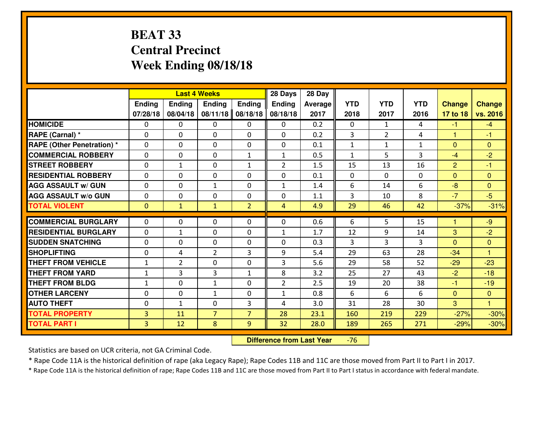# **BEAT 33 Central PrecinctWeek Ending 08/18/18**

|                                  |               |                | <b>Last 4 Weeks</b>           |                | 28 Days        | 28 Day         |                      |                |              |                |                              |
|----------------------------------|---------------|----------------|-------------------------------|----------------|----------------|----------------|----------------------|----------------|--------------|----------------|------------------------------|
|                                  | <b>Ending</b> | <b>Ending</b>  | <b>Endina</b>                 | <b>Ending</b>  | Ending         | <b>Average</b> | <b>YTD</b>           | <b>YTD</b>     | <b>YTD</b>   | <b>Change</b>  | <b>Change</b>                |
|                                  | 07/28/18      | 08/04/18       | 08/11/18                      | 08/18/18       | 08/18/18       | 2017           | 2018                 | 2017           | 2016         | 17 to 18       | vs. 2016                     |
| <b>HOMICIDE</b>                  | $\Omega$      | 0              | $\Omega$                      | $\Omega$       | 0              | 0.2            | $\Omega$             | $\mathbf{1}$   | 4            | $-1$           | $-4$                         |
| RAPE (Carnal) *                  | $\Omega$      | 0              | $\mathbf{0}$                  | $\Omega$       | $\Omega$       | 0.2            | 3                    | $\overline{2}$ | 4            | $\mathbf{1}$   | $-1$                         |
| <b>RAPE (Other Penetration)*</b> | $\Omega$      | $\Omega$       | 0                             | $\Omega$       | $\Omega$       | 0.1            | $\mathbf{1}$         | $\mathbf{1}$   | $\mathbf{1}$ | $\mathbf{0}$   | $\Omega$                     |
| <b>COMMERCIAL ROBBERY</b>        | $\Omega$      | 0              | $\mathbf 0$                   | $\mathbf{1}$   | $\mathbf{1}$   | 0.5            | $\mathbf{1}$         | 5              | 3            | $-4$           | $-2$                         |
| <b>ISTREET ROBBERY</b>           | $\Omega$      | $\mathbf{1}$   | $\mathbf 0$                   | $\mathbf{1}$   | $\overline{2}$ | 1.5            | 15                   | 13             | 16           | $\overline{2}$ | $-1$                         |
| <b>RESIDENTIAL ROBBERY</b>       | $\Omega$      | $\Omega$       | $\mathbf 0$                   | $\Omega$       | 0              | 0.1            | $\mathbf{0}$         | $\Omega$       | 0            | $\Omega$       | $\overline{0}$               |
| <b>AGG ASSAULT w/ GUN</b>        | $\Omega$      | 0              | $\mathbf{1}$                  | $\Omega$       | $\mathbf{1}$   | 1.4            | 6                    | 14             | 6            | $-8$           | $\Omega$                     |
| <b>AGG ASSAULT w/o GUN</b>       | 0             | 0              | 0                             | 0              | 0              | 1.1            | 3                    | 10             | 8            | $-7$           | $-5$                         |
| <b>TOTAL VIOLENT</b>             | $\mathbf{0}$  | $\mathbf{1}$   | $\mathbf{1}$                  | $\overline{2}$ | $\overline{4}$ | 4.9            | 29                   | 46             | 42           | $-37%$         | $-31%$                       |
| <b>COMMERCIAL BURGLARY</b>       | $\Omega$      | 0              | $\mathbf{0}$                  | 0              | 0              | 0.6            | 6                    | 5              | 15           | 1              | $-9$                         |
| <b>RESIDENTIAL BURGLARY</b>      |               |                |                               |                |                | 1.7            |                      |                |              |                | $-2$                         |
| <b>SUDDEN SNATCHING</b>          | 0             | $\mathbf{1}$   | $\mathbf 0$                   | 0              | $\mathbf{1}$   | 0.3            | 12<br>$\overline{3}$ | 9              | 14<br>3      | 3              |                              |
| <b>SHOPLIFTING</b>               | 0             | 0              | $\mathbf 0$<br>$\overline{2}$ | 0<br>3         | 0<br>9         | 5.4            | 29                   | 3<br>63        | 28           | $\Omega$       | $\mathbf{0}$<br>$\mathbf{1}$ |
|                                  | 0             | 4              |                               |                |                |                |                      |                |              | $-34$          |                              |
| <b>THEFT FROM VEHICLE</b>        | $\mathbf{1}$  | $\overline{2}$ | 0                             | $\Omega$       | 3              | 5.6            | 29                   | 58             | 52           | $-29$          | $-23$                        |
| <b>THEFT FROM YARD</b>           | $\mathbf{1}$  | 3              | 3                             | $\mathbf{1}$   | 8              | 3.2            | 25                   | 27             | 43           | $-2$           | $-18$                        |
| <b>THEFT FROM BLDG</b>           | $\mathbf{1}$  | 0              | $\mathbf{1}$                  | 0              | $\overline{2}$ | 2.5            | 19                   | 20             | 38           | $-1$           | $-19$                        |
| <b>OTHER LARCENY</b>             | 0             | 0              | $\mathbf{1}$                  | 0              | $\mathbf{1}$   | 0.8            | 6                    | 6              | 6            | $\mathbf{0}$   | $\overline{0}$               |
| <b>AUTO THEFT</b>                | 0             | 1              | $\mathbf 0$                   | 3              | 4              | 3.0            | 31                   | 28             | 30           | 3              | $\mathbf{1}$                 |
| <b>TOTAL PROPERTY</b>            | 3             | 11             | $\overline{7}$                | $\overline{7}$ | 28             | 23.1           | 160                  | 219            | 229          | $-27%$         | $-30%$                       |
| <b>TOTAL PART I</b>              | 3             | 12             | 8                             | 9              | 32             | 28.0           | 189                  | 265            | 271          | $-29%$         | $-30%$                       |

 **Difference from Last Year**-76

Statistics are based on UCR criteria, not GA Criminal Code.

\* Rape Code 11A is the historical definition of rape (aka Legacy Rape); Rape Codes 11B and 11C are those moved from Part II to Part I in 2017.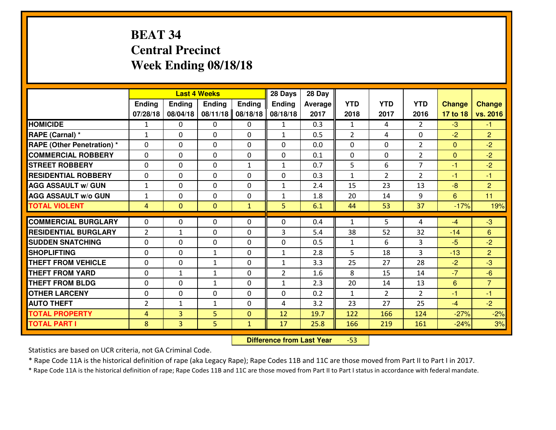# **BEAT 34 Central PrecinctWeek Ending 08/18/18**

|                                   |                |                | <b>Last 4 Weeks</b> |              | 28 Days        | 28 Day         |                |                |                |               |                |
|-----------------------------------|----------------|----------------|---------------------|--------------|----------------|----------------|----------------|----------------|----------------|---------------|----------------|
|                                   | Ending         | <b>Ending</b>  | <b>Ending</b>       | Ending       | <b>Ending</b>  | <b>Average</b> | <b>YTD</b>     | <b>YTD</b>     | <b>YTD</b>     | <b>Change</b> | <b>Change</b>  |
|                                   | 07/28/18       | 08/04/18       | 08/11/18            | 08/18/18     | 08/18/18       | 2017           | 2018           | 2017           | 2016           | 17 to 18      | vs. 2016       |
| <b>HOMICIDE</b>                   | 1              | 0              | $\Omega$            | $\Omega$     | $\mathbf{1}$   | 0.3            | 1              | 4              | $\mathcal{P}$  | $-3$          | $-1$           |
| RAPE (Carnal) *                   | $\mathbf{1}$   | 0              | $\mathbf{0}$        | 0            | $\mathbf{1}$   | 0.5            | $\overline{2}$ | 4              | $\Omega$       | $-2$          | $\overline{2}$ |
| <b>RAPE (Other Penetration) *</b> | $\Omega$       | 0              | $\mathbf{0}$        | $\Omega$     | $\Omega$       | 0.0            | $\Omega$       | $\Omega$       | $\overline{2}$ | $\mathbf{0}$  | $-2$           |
| <b>COMMERCIAL ROBBERY</b>         | 0              | 0              | 0                   | 0            | 0              | 0.1            | $\mathbf{0}$   | $\Omega$       | $\overline{2}$ | $\mathbf{0}$  | $-2$           |
| <b>STREET ROBBERY</b>             | 0              | 0              | $\mathbf 0$         | $\mathbf{1}$ | $\mathbf{1}$   | 0.7            | 5              | 6              | $\overline{7}$ | $-1$          | $-2$           |
| <b>RESIDENTIAL ROBBERY</b>        | $\Omega$       | $\Omega$       | $\mathbf 0$         | $\Omega$     | 0              | 0.3            | $\mathbf{1}$   | $\overline{2}$ | $\overline{2}$ | $-1$          | $-1$           |
| <b>AGG ASSAULT w/ GUN</b>         | $\mathbf{1}$   | 0              | $\mathbf 0$         | $\Omega$     | $\mathbf{1}$   | 2.4            | 15             | 23             | 13             | $-8$          | $\overline{2}$ |
| <b>AGG ASSAULT W/o GUN</b>        | $1\,$          | 0              | 0                   | 0            | $\mathbf{1}$   | 1.8            | 20             | 14             | 9              | 6             | 11             |
| <b>TOTAL VIOLENT</b>              | $\overline{4}$ | $\mathbf{0}$   | $\mathbf{0}$        | $\mathbf{1}$ | 5              | 6.1            | 44             | 53             | 37             | $-17%$        | 19%            |
| <b>COMMERCIAL BURGLARY</b>        | $\Omega$       | 0              | $\mathbf{0}$        | $\Omega$     | $\Omega$       | 0.4            | $\mathbf{1}$   | 5              | 4              | $-4$          | $-3$           |
| <b>RESIDENTIAL BURGLARY</b>       | $\overline{2}$ | 1              | $\mathbf{0}$        | 0            | 3              | 5.4            | 38             | 52             | 32             | $-14$         | 6              |
| <b>SUDDEN SNATCHING</b>           | 0              | 0              | $\mathbf 0$         | 0            | 0              | 0.5            | $\mathbf{1}$   | 6              | 3              | $-5$          | $-2$           |
| <b>SHOPLIFTING</b>                | 0              | 0              | $\mathbf{1}$        | 0            | $\mathbf{1}$   | 2.8            | 5              | 18             | 3              | $-13$         | $\overline{2}$ |
| <b>THEFT FROM VEHICLE</b>         | $\Omega$       | 0              | $\mathbf{1}$        | 0            | $\mathbf{1}$   | 3.3            | 25             | 27             | 28             | $-2$          | $-3$           |
| <b>THEFT FROM YARD</b>            | 0              | $\mathbf{1}$   | $\mathbf{1}$        | 0            | $\overline{2}$ | 1.6            | 8              | 15             | 14             | $-7$          | $-6$           |
| <b>THEFT FROM BLDG</b>            | 0              | 0              | $\mathbf{1}$        | 0            | $\mathbf{1}$   | 2.3            | 20             | 14             | 13             | 6             | $\overline{7}$ |
| <b>OTHER LARCENY</b>              | 0              | 0              | 0                   | 0            | 0              | 0.2            | $\mathbf{1}$   | $\overline{2}$ | $\overline{2}$ | $-1$          | $-1$           |
| <b>AUTO THEFT</b>                 | 2              | $\mathbf{1}$   | $\mathbf{1}$        | 0            | 4              | 3.2            | 23             | 27             | 25             | $-4$          | $-2$           |
| <b>TOTAL PROPERTY</b>             | $\overline{4}$ | 3              | 5                   | $\mathbf{0}$ | 12             | 19.7           | 122            | 166            | 124            | $-27%$        | $-2%$          |
| <b>TOTAL PART I</b>               | 8              | $\overline{3}$ | 5                   | $\mathbf{1}$ | 17             | 25.8           | 166            | 219            | 161            | $-24%$        | 3%             |

 **Difference from Last Year**-53

Statistics are based on UCR criteria, not GA Criminal Code.

\* Rape Code 11A is the historical definition of rape (aka Legacy Rape); Rape Codes 11B and 11C are those moved from Part II to Part I in 2017.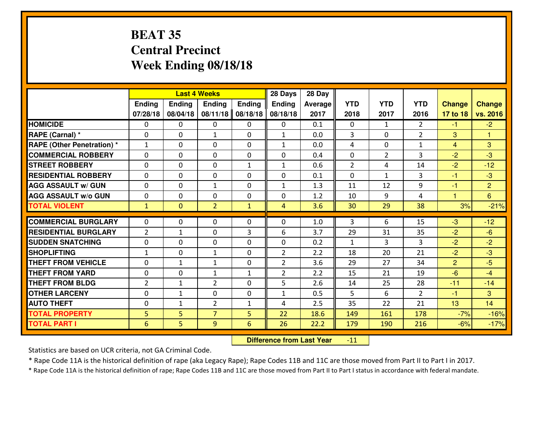# **BEAT 35 Central PrecinctWeek Ending 08/18/18**

|                                  |                |                | <b>Last 4 Weeks</b> |                | 28 Days        | 28 Day         |                |                |                |                      |                |
|----------------------------------|----------------|----------------|---------------------|----------------|----------------|----------------|----------------|----------------|----------------|----------------------|----------------|
|                                  | Ending         | <b>Ending</b>  | <b>Ending</b>       | Ending         | <b>Ending</b>  | <b>Average</b> | <b>YTD</b>     | <b>YTD</b>     | <b>YTD</b>     | <b>Change</b>        | <b>Change</b>  |
|                                  | 07/28/18       | 08/04/18       | 08/11/18            | 08/18/18       | 08/18/18       | 2017           | 2018           | 2017           | 2016           | 17 to 18             | vs. 2016       |
| <b>HOMICIDE</b>                  | $\Omega$       | 0              | $\Omega$            | $\Omega$       | 0              | 0.1            | $\Omega$       | $\mathbf{1}$   | $\overline{2}$ | $-1$                 | $-2$           |
| RAPE (Carnal) *                  | $\Omega$       | 0              | $\mathbf{1}$        | $\Omega$       | $\mathbf{1}$   | 0.0            | 3              | $\Omega$       | $\overline{2}$ | 3                    | $\mathbf{1}$   |
| <b>RAPE (Other Penetration)*</b> | $\mathbf{1}$   | 0              | 0                   | 0              | $\mathbf{1}$   | 0.0            | 4              | $\Omega$       | $\mathbf{1}$   | $\overline{4}$       | 3              |
| <b>COMMERCIAL ROBBERY</b>        | 0              | 0              | $\mathbf 0$         | 0              | 0              | 0.4            | $\mathbf 0$    | $\overline{2}$ | 3              | $-2$                 | $-3$           |
| <b>STREET ROBBERY</b>            | $\mathbf{0}$   | 0              | $\mathbf 0$         | $\mathbf{1}$   | $\mathbf{1}$   | 0.6            | $\overline{2}$ | 4              | 14             | $-2$                 | $-12$          |
| <b>RESIDENTIAL ROBBERY</b>       | $\Omega$       | 0              | $\mathbf 0$         | 0              | 0              | 0.1            | $\mathbf{0}$   | $\mathbf{1}$   | 3              | $-1$                 | $-3$           |
| <b>AGG ASSAULT w/ GUN</b>        | 0              | 0              | $\mathbf{1}$        | 0              | $\mathbf{1}$   | 1.3            | 11             | 12             | 9              | $-1$                 | $\overline{2}$ |
| <b>AGG ASSAULT W/o GUN</b>       | 0              | 0              | 0                   | 0              | 0              | 1.2            | 10             | 9              | 4              | $\blacktriangleleft$ | 6              |
| <b>TOTAL VIOLENT</b>             | $\mathbf{1}$   | $\overline{0}$ | $\overline{2}$      | $\mathbf{1}$   | 4              | 3.6            | 30             | 29             | 38             | 3%                   | $-21%$         |
| <b>COMMERCIAL BURGLARY</b>       | $\mathbf{0}$   | 0              | $\mathbf{0}$        | 0              | $\Omega$       | 1.0            | 3              | 6              | 15             | $-3$                 | $-12$          |
| <b>RESIDENTIAL BURGLARY</b>      | $\overline{2}$ | 1              | 0                   | 3              | 6              | 3.7            | 29             | 31             | 35             | $-2$                 | $-6$           |
| <b>SUDDEN SNATCHING</b>          | $\mathbf{0}$   | 0              | 0                   | 0              | 0              | 0.2            | $\mathbf{1}$   | 3              | 3              | $-2$                 | $-2$           |
| <b>SHOPLIFTING</b>               | $\mathbf{1}$   | 0              | $\mathbf{1}$        | 0              | $\overline{2}$ | 2.2            | 18             | 20             | 21             | $-2$                 | $-3$           |
| <b>THEFT FROM VEHICLE</b>        | 0              | 1              | $\mathbf{1}$        | 0              | $\overline{2}$ | 3.6            | 29             | 27             | 34             | $\overline{2}$       | $-5$           |
| <b>THEFT FROM YARD</b>           | 0              | 0              | 1                   | $\mathbf{1}$   | $\overline{2}$ | 2.2            | 15             | 21             | 19             | $-6$                 | $-4$           |
| <b>THEFT FROM BLDG</b>           | 2              | $\mathbf{1}$   | $\overline{2}$      | 0              | 5              | 2.6            | 14             | 25             | 28             | $-11$                | $-14$          |
| <b>OTHER LARCENY</b>             | 0              | $\mathbf{1}$   | 0                   | 0              | $\mathbf{1}$   | 0.5            | 5              | 6              | $\overline{2}$ | $-1$                 | 3              |
| <b>AUTO THEFT</b>                | 0              | $\mathbf{1}$   | $\overline{2}$      | $\mathbf{1}$   | 4              | 2.5            | 35             | 22             | 21             | 13                   | 14             |
| <b>TOTAL PROPERTY</b>            | 5              | 5              | $\overline{7}$      | 5              | 22             | 18.6           | 149            | 161            | 178            | $-7%$                | $-16%$         |
| <b>TOTAL PART I</b>              | 6              | 5              | 9                   | $6\phantom{1}$ | 26             | 22.2           | 179            | 190            | 216            | $-6%$                | $-17%$         |

 **Difference from Last Year** $-11$ 

Statistics are based on UCR criteria, not GA Criminal Code.

\* Rape Code 11A is the historical definition of rape (aka Legacy Rape); Rape Codes 11B and 11C are those moved from Part II to Part I in 2017.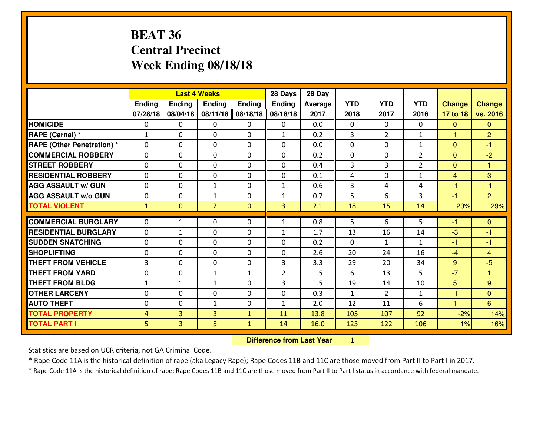# **BEAT 36 Central PrecinctWeek Ending 08/18/18**

|                                  |                |                                  | <b>Last 4 Weeks</b> |              | 28 Days        | 28 Day  |                |                |                |                      |                |
|----------------------------------|----------------|----------------------------------|---------------------|--------------|----------------|---------|----------------|----------------|----------------|----------------------|----------------|
|                                  | Ending         | Ending                           | Ending              | Ending       | <b>Ending</b>  | Average | <b>YTD</b>     | <b>YTD</b>     | <b>YTD</b>     | <b>Change</b>        | <b>Change</b>  |
|                                  | 07/28/18       | 08/04/18                         | 08/11/18            | 08/18/18     | 08/18/18       | 2017    | 2018           | 2017           | 2016           | 17 to 18             | vs. 2016       |
| <b>HOMICIDE</b>                  | 0              | 0                                | 0                   | 0            | 0              | 0.0     | $\Omega$       | $\mathbf{0}$   | 0              | $\mathbf{0}$         | $\overline{0}$ |
| RAPE (Carnal) *                  | $\mathbf{1}$   | 0                                | 0                   | 0            | $\mathbf{1}$   | 0.2     | 3              | $\overline{2}$ | $\mathbf{1}$   | 1                    | 2 <sup>1</sup> |
| <b>RAPE (Other Penetration)*</b> | $\mathbf 0$    | 0                                | $\mathbf 0$         | 0            | 0              | 0.0     | $\mathbf 0$    | 0              | $\mathbf{1}$   | $\mathbf{0}$         | $-1$           |
| <b>COMMERCIAL ROBBERY</b>        | $\mathbf 0$    | 0                                | $\mathbf 0$         | 0            | 0              | 0.2     | $\mathbf 0$    | 0              | $\overline{2}$ | $\mathbf{0}$         | $-2$           |
| <b>ISTREET ROBBERY</b>           | $\Omega$       | 0                                | $\mathbf 0$         | $\Omega$     | 0              | 0.4     | 3              | 3              | $\overline{2}$ | $\Omega$             | 1              |
| <b>RESIDENTIAL ROBBERY</b>       | 0              | 0                                | $\mathbf{0}$        | $\mathbf{0}$ | 0              | 0.1     | 4              | 0              | $\mathbf{1}$   | $\overline{4}$       | 3              |
| <b>AGG ASSAULT w/ GUN</b>        | 0              | 0                                | $\mathbf{1}$        | 0            | $\mathbf 1$    | 0.6     | $\overline{3}$ | 4              | 4              | $-1$                 | -1             |
| <b>AGG ASSAULT w/o GUN</b>       | 0              | 0                                | $\mathbf{1}$        | $\mathbf 0$  | 1              | 0.7     | 5              | 6              | 3              | $-1$                 | $\overline{2}$ |
| <b>TOTAL VIOLENT</b>             | $\mathbf{1}$   | $\overline{0}$                   | $\overline{2}$      | $\mathbf{0}$ | $\overline{3}$ | 2.1     | 18             | 15             | 14             | 20%                  | 29%            |
| <b>COMMERCIAL BURGLARY</b>       | $\Omega$       | $\mathbf{1}$                     | 0                   | 0            | $\mathbf{1}$   | 0.8     | 5              | 6              | 5              | -1                   | $\mathbf{0}$   |
| <b>RESIDENTIAL BURGLARY</b>      | $\Omega$       | $\mathbf{1}$                     | $\mathbf 0$         | $\Omega$     | $\mathbf{1}$   | 1.7     | 13             | 16             | 14             | $-3$                 | $-1$           |
| <b>ISUDDEN SNATCHING</b>         | $\mathbf{0}$   | 0                                | $\mathbf{0}$        | $\Omega$     | $\Omega$       | 0.2     | 0              | $\mathbf{1}$   | $\mathbf{1}$   | -1                   | -1             |
| <b>SHOPLIFTING</b>               | $\mathbf{0}$   | 0                                | $\mathbf 0$         | 0            | 0              | 2.6     | 20             | 24             | 16             | $-4$                 | $\overline{4}$ |
| <b>THEFT FROM VEHICLE</b>        | 3              | 0                                | $\mathbf 0$         | 0            | 3              | 3.3     | 29             | 20             | 34             | 9                    | $-5$           |
| <b>THEFT FROM YARD</b>           | $\mathbf{0}$   | 0                                | 1                   | $\mathbf{1}$ | $\overline{2}$ | 1.5     | 6              | 13             | 5              | $-7$                 | 1              |
| <b>THEFT FROM BLDG</b>           | $\mathbf{1}$   | 1                                | 1                   | 0            | 3              | 1.5     | 19             | 14             | 10             | 5                    | 9              |
| <b>OTHER LARCENY</b>             | 0              | 0                                | $\mathbf 0$         | 0            | 0              | 0.3     | $\mathbf{1}$   | $\overline{2}$ | $\mathbf{1}$   | $-1$                 | $\overline{0}$ |
| <b>AUTO THEFT</b>                | 0              | 0                                | 1                   | 0            | 1              | 2.0     | 12             | 11             | 6              | $\blacktriangleleft$ | 6 <sup>°</sup> |
| <b>TOTAL PROPERTY</b>            | $\overline{4}$ | 3                                | 3                   | $\mathbf{1}$ | 11             | 13.8    | 105            | 107            | 92             | $-2%$                | 14%            |
| <b>TOTAL PART I</b>              | 5 <sup>1</sup> | $\overline{3}$                   | 5                   | $\mathbf{1}$ | 14             | 16.0    | 123            | 122            | 106            | 1%                   | 16%            |
|                                  |                | <b>Difference from Last Year</b> |                     | $\mathbf{1}$ |                |         |                |                |                |                      |                |

 **Difference from Last Year**

Statistics are based on UCR criteria, not GA Criminal Code.

\* Rape Code 11A is the historical definition of rape (aka Legacy Rape); Rape Codes 11B and 11C are those moved from Part II to Part I in 2017.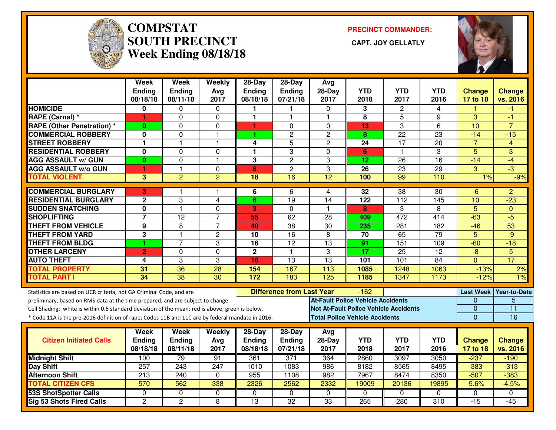

#### **COMPSTAT PRECINCT COMMANDER: SOUTH PRECINCT CAPT. JOY GELLATLYWeek Ending 08/18/18**



|                                                                                                  | Week<br>Ending<br>08/18/18 | Week<br><b>Ending</b><br>08/11/18 | Weekly<br>Avg<br>2017   | 28-Day<br><b>Ending</b><br>08/18/18 | $28-Day$<br>Ending<br>07/21/18   | Avg<br>$28-Day$<br>2017 | <b>YTD</b><br>2018                       | <b>YTD</b><br>2017                           | <b>YTD</b><br>2016     | <b>Change</b><br>17 to 18      | <b>Change</b><br>vs. 2016 |
|--------------------------------------------------------------------------------------------------|----------------------------|-----------------------------------|-------------------------|-------------------------------------|----------------------------------|-------------------------|------------------------------------------|----------------------------------------------|------------------------|--------------------------------|---------------------------|
| <b>HOMICIDE</b>                                                                                  | 0                          | 0                                 | $\mathbf{0}$            |                                     |                                  | 0                       | 3                                        |                                              | 4                      |                                | -1                        |
| RAPE (Carnal) *                                                                                  | 1                          | 0                                 | $\mathbf 0$             | $\mathbf{1}$                        | $\mathbf{1}$                     | $\overline{1}$          | 8                                        | 2<br>5                                       | 9                      | 3                              | $-1$                      |
| <b>RAPE (Other Penetration) *</b>                                                                | $\bf{0}$                   | 0                                 | 0                       | 1                                   | $\Omega$                         | $\Omega$                | 13                                       | 3                                            | 6                      | 10                             | $\overline{7}$            |
| <b>COMMERCIAL ROBBERY</b>                                                                        | 0                          | 0                                 | $\mathbf{1}$            | 1                                   | $\overline{c}$                   | $\overline{2}$          | 8                                        | $\overline{22}$                              | $\overline{23}$        | $-14$                          | $-15$                     |
| <b>STREET ROBBERY</b>                                                                            | 1                          | $\mathbf{1}$                      | $\mathbf{1}$            | 4                                   | 5                                | $\mathbf{2}$            | 24                                       | 17                                           | 20                     | $\overline{7}$                 | 4                         |
| <b>RESIDENTIAL ROBBERY</b>                                                                       | 0                          | 0                                 | $\Omega$                | 1                                   | 3                                | $\Omega$                | 6                                        | $\mathbf{1}$                                 | 3                      | 5                              | 3                         |
| <b>AGG ASSAULT w/ GUN</b>                                                                        | $\bf{0}$                   | 0                                 | $\mathbf{1}$            | 3                                   | $\overline{c}$                   | 3                       | 12                                       | 26                                           | 16                     | $-14$                          | $-4$                      |
| <b>AGG ASSAULT w/o GUN</b>                                                                       | 1                          | $\mathbf{1}$                      | $\mathbf 0$             | $6\phantom{1}$                      | $\overline{c}$                   | 3                       | 26                                       | 23                                           | 29                     | 3                              | $-3$                      |
| <b>TOTAL VIOLENT</b>                                                                             | 3                          | $\overline{2}$                    | $\overline{2}$          | $\overline{18}$                     | $\overline{16}$                  | $\overline{12}$         | 100                                      | 99                                           | 110                    | 1%                             | $-9%$                     |
|                                                                                                  |                            |                                   |                         |                                     |                                  |                         |                                          |                                              |                        |                                |                           |
| <b>COMMERCIAL BURGLARY</b>                                                                       | 3                          |                                   |                         | 6                                   | 6                                | 4                       | 32                                       | 38                                           | 30                     | -6                             | $\overline{2}$            |
| <b>RESIDENTIAL BURGLARY</b>                                                                      | $\mathbf 2$                | 3<br>$\mathbf{1}$                 | $\overline{\mathbf{4}}$ | 6                                   | 19                               | 14                      | 122                                      | 112                                          | 145                    | 10                             | $-23$                     |
| <b>SUDDEN SNATCHING</b>                                                                          | $\overline{\mathbf{0}}$    |                                   | 0                       | 3                                   | 0                                | $\overline{\mathbf{1}}$ | 8                                        | 3                                            | 8                      | $\overline{5}$                 | $\mathbf{0}$              |
| <b>SHOPLIFTING</b>                                                                               | $\overline{\mathbf{7}}$    | 12                                | $\overline{7}$          | 55                                  | 62                               | 28                      | 409                                      | $\overline{472}$                             | 414                    | $-63$                          | $-5$                      |
| <b>THEFT FROM VEHICLE</b>                                                                        | 9                          | 8<br>$\overline{1}$               | $\overline{7}$          | 40                                  | 38                               | 30                      | 235                                      | 281                                          | 182                    | $-46$                          | 53                        |
| <b>THEFT FROM YARD</b>                                                                           | 3                          | $\overline{7}$                    | $\overline{2}$          | 10                                  | $\overline{16}$                  | $\overline{8}$          | 70                                       | 65                                           | 79                     | $\overline{5}$                 | $-9$                      |
| <b>THEFT FROM BLDG</b><br><b>OTHER LARCENY</b>                                                   |                            |                                   | 3                       | $\overline{16}$<br>$\overline{2}$   | $\overline{12}$<br>$\mathbf{1}$  | $\overline{13}$<br>3    | 91<br>$\overline{17}$                    | 151<br>$\overline{25}$                       | 109<br>$\overline{12}$ | $-60$<br>$-\frac{1}{\sqrt{2}}$ | $-18$<br>$\overline{5}$   |
| <b>AUTO THEFT</b>                                                                                | $\overline{2}$             | 0                                 | $\mathbf 0$             |                                     |                                  | $\overline{13}$         |                                          |                                              | $\overline{84}$        |                                | 17                        |
|                                                                                                  | 4                          | 3<br>36                           | 3                       | 16                                  | 13                               |                         | 101                                      | 101                                          |                        | $\Omega$                       |                           |
| <b>TOTAL PROPERTY</b>                                                                            | 31<br>$\overline{34}$      | $\overline{38}$                   | 28<br>$\overline{30}$   | 154<br>$\frac{1}{172}$              | 167<br>183                       | 113<br>125              | 1085<br>1185                             | 1248<br>1347                                 | 1063<br>1173           | $-13%$<br>$-12%$               | 2%<br>1%                  |
| <b>TOTAL PART I</b>                                                                              |                            |                                   |                         |                                     |                                  |                         |                                          |                                              |                        |                                |                           |
| Statistics are based on UCR criteria, not GA Criminal Code, and are                              |                            |                                   |                         |                                     | <b>Difference from Last Year</b> |                         | $-162$                                   |                                              |                        |                                | Last Week Year-to-Date    |
| preliminary, based on RMS data at the time prepared, and are subject to change.                  |                            |                                   |                         |                                     |                                  |                         | <b>At-Fault Police Vehicle Accidents</b> |                                              |                        | $\mathbf{0}$                   | 5                         |
| Cell Shading: white is within 0.6 standard deviation of the mean; red is above; green is below.  |                            |                                   |                         |                                     |                                  |                         |                                          | <b>Not At-Fault Police Vehicle Accidents</b> |                        | $\overline{0}$                 | $\overline{11}$           |
| * Code 11A is the pre-2016 definition of rape; Codes 11B and 11C are by federal mandate in 2016. |                            |                                   |                         |                                     |                                  |                         | <b>Total Police Vehicle Accidents</b>    |                                              |                        | $\overline{0}$                 | 16                        |
|                                                                                                  | Week                       | Week                              | <b>Weekly</b>           | $28-Day$                            | $28-Day$                         | Avg                     |                                          |                                              |                        |                                |                           |
| <b>Citizen Initiated Calls</b>                                                                   | <b>Ending</b>              | <b>Ending</b>                     | Avg                     | <b>Ending</b>                       | Ending                           | 28-Day                  | <b>YTD</b>                               | <b>YTD</b>                                   | <b>YTD</b>             | <b>Change</b>                  | <b>Change</b>             |
|                                                                                                  | 08/18/18                   | 08/11/18                          | 2017                    | 08/18/18                            | 07/21/18                         | 2017                    | 2018                                     | 2017                                         | 2016                   | 17 to 18                       | vs. 2016                  |
| <b>Midnight Shift</b>                                                                            | 100                        | 79                                | 91                      | 361                                 | 371                              | 364                     | 2860                                     | 3097                                         | 3050                   | $-237$                         | $-190$                    |
| <b>Day Shift</b>                                                                                 | 257                        | 243                               | 247                     | 1010                                | 1083                             | 986                     | 8182                                     | 8565                                         | 8495                   | $-383$                         | $-313$                    |
| <b>Afternoon Shift</b>                                                                           | 213                        | 240                               | $\mathbf{0}$            | 955                                 | 1108                             | 982                     | 7967                                     | 8474                                         | 8350                   | $-507$                         | $-383$                    |
| <b>TOTAL CITIZEN CFS</b>                                                                         | 570                        | 562                               | 338                     | 2326                                | 2562                             | 2332                    | 19009                                    | 20136                                        | 19895                  | $-5.6%$                        | $-4.5%$                   |
| <b>53S ShotSpotter Calls</b>                                                                     | $\Omega$                   | 0                                 | $\mathbf{0}$            | $\Omega$                            | $\mathbf{0}$                     | $\Omega$                | $\Omega$                                 | $\Omega$                                     | $\Omega$               | $\Omega$                       | 0                         |
| <b>Sig 53 Shots Fired Calls</b>                                                                  | $\overline{2}$             | 2                                 | 8                       | $\overline{13}$                     | $\overline{32}$                  | $\overline{33}$         | $\overline{265}$                         | 280                                          | 310                    | $-15$                          | $-45$                     |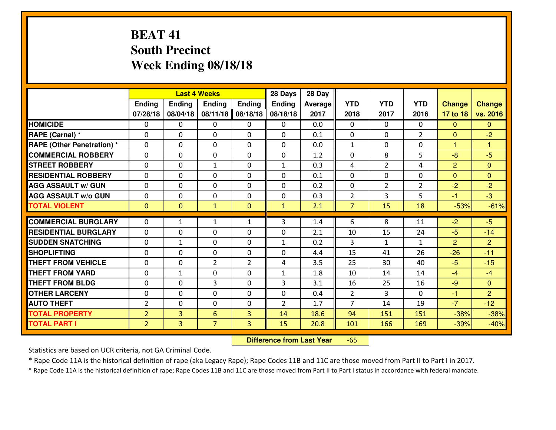# **BEAT 41 South PrecinctWeek Ending 08/18/18**

|                                   |                |                | <b>Last 4 Weeks</b> |                | 28 Days        | 28 Day  |                |                |                |                |                |
|-----------------------------------|----------------|----------------|---------------------|----------------|----------------|---------|----------------|----------------|----------------|----------------|----------------|
|                                   | <b>Ending</b>  | Ending         | <b>Endina</b>       | <b>Ending</b>  | <b>Ending</b>  | Average | <b>YTD</b>     | <b>YTD</b>     | <b>YTD</b>     | <b>Change</b>  | <b>Change</b>  |
|                                   | 07/28/18       | 08/04/18       | 08/11/18            | 08/18/18       | 08/18/18       | 2017    | 2018           | 2017           | 2016           | 17 to 18       | vs. 2016       |
| <b>HOMICIDE</b>                   | $\Omega$       | 0              | $\mathbf{0}$        | 0              | 0              | 0.0     | $\Omega$       | $\Omega$       | 0              | $\Omega$       | $\Omega$       |
| RAPE (Carnal) *                   | $\Omega$       | 0              | $\mathbf{0}$        | 0              | $\Omega$       | 0.1     | $\mathbf{0}$   | 0              | $\overline{2}$ | $\Omega$       | $-2$           |
| <b>RAPE (Other Penetration) *</b> | $\Omega$       | 0              | $\mathbf 0$         | $\Omega$       | 0              | 0.0     | $\mathbf{1}$   | $\Omega$       | 0              | $\mathbf{1}$   | 1              |
| <b>COMMERCIAL ROBBERY</b>         | 0              | 0              | $\mathbf 0$         | 0              | 0              | 1.2     | 0              | 8              | 5              | $-8$           | $-5$           |
| <b>STREET ROBBERY</b>             | 0              | 0              | 1                   | 0              | $\mathbf{1}$   | 0.3     | 4              | $\overline{2}$ | 4              | $\overline{2}$ | $\overline{0}$ |
| <b>RESIDENTIAL ROBBERY</b>        | 0              | 0              | $\mathbf 0$         | $\Omega$       | 0              | 0.1     | $\mathbf 0$    | $\Omega$       | 0              | $\Omega$       | $\mathbf{0}$   |
| <b>AGG ASSAULT w/ GUN</b>         | 0              | 0              | $\mathbf 0$         | 0              | 0              | 0.2     | 0              | $\overline{2}$ | $\overline{2}$ | $-2$           | $-2$           |
| <b>AGG ASSAULT W/o GUN</b>        | 0              | 0              | $\mathbf 0$         | $\mathbf{0}$   | 0              | 0.3     | $\overline{2}$ | 3              | 5              | $-1$           | $-3$           |
| <b>TOTAL VIOLENT</b>              | $\mathbf{0}$   | $\overline{0}$ | $\mathbf{1}$        | $\mathbf{0}$   | $\mathbf{1}$   | 2.1     | $\overline{7}$ | 15             | 18             | $-53%$         | $-61%$         |
| <b>COMMERCIAL BURGLARY</b>        | $\Omega$       | $\mathbf{1}$   | 1                   | $\mathbf{1}$   | 3              | 1.4     | 6              | 8              | 11             | $-2$           | $-5$           |
| <b>RESIDENTIAL BURGLARY</b>       | 0              | 0              | $\mathbf 0$         | 0              | 0              | 2.1     | 10             | 15             | 24             | $-5$           | $-14$          |
| <b>SUDDEN SNATCHING</b>           | 0              | $\mathbf{1}$   | $\mathbf 0$         | $\Omega$       | $\mathbf{1}$   | 0.2     | 3              | $\mathbf{1}$   | $\mathbf{1}$   | 2              | $\overline{2}$ |
| <b>SHOPLIFTING</b>                | $\Omega$       | $\Omega$       | $\mathbf 0$         | $\Omega$       | 0              | 4.4     | 15             | 41             | 26             | $-26$          | $-11$          |
| <b>THEFT FROM VEHICLE</b>         | 0              | 0              | $\overline{2}$      | $\overline{2}$ | 4              | 3.5     | 25             | 30             | 40             | $-5$           | $-15$          |
| <b>THEFT FROM YARD</b>            | $\mathbf 0$    | 1              | $\mathbf 0$         | 0              | 1              | 1.8     | 10             | 14             | 14             | $-4$           | $-4$           |
| <b>THEFT FROM BLDG</b>            | 0              | 0              | 3                   | $\mathbf 0$    | 3              | 3.1     | 16             | 25             | 16             | $-9$           | $\overline{0}$ |
| <b>OTHER LARCENY</b>              | 0              | 0              | $\mathbf 0$         | $\Omega$       | 0              | 0.4     | $\overline{2}$ | 3              | $\Omega$       | $-1$           | $\overline{2}$ |
| <b>AUTO THEFT</b>                 | $\overline{2}$ | $\Omega$       | $\mathbf 0$         | $\Omega$       | $\overline{2}$ | 1.7     | $\overline{7}$ | 14             | 19             | $-7$           | $-12$          |
| <b>TOTAL PROPERTY</b>             | $\overline{2}$ | 3              | 6                   | 3              | 14             | 18.6    | 94             | 151            | 151            | $-38%$         | $-38%$         |
| <b>TOTAL PART I</b>               | $\overline{2}$ | 3 <sup>1</sup> | $\overline{7}$      | $\overline{3}$ | 15             | 20.8    | 101            | 166            | 169            | $-39%$         | $-40%$         |
|                                   |                |                |                     |                |                |         |                |                |                |                |                |

 **Difference from Last Year**-65

Statistics are based on UCR criteria, not GA Criminal Code.

\* Rape Code 11A is the historical definition of rape (aka Legacy Rape); Rape Codes 11B and 11C are those moved from Part II to Part I in 2017.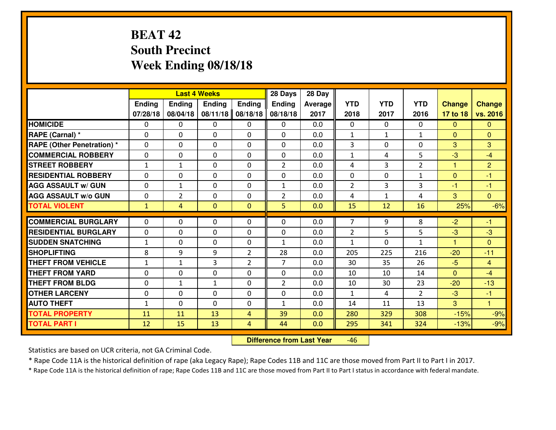# **BEAT 42 South PrecinctWeek Ending 08/18/18**

|                                              |              |                | <b>Last 4 Weeks</b> |                | 28 Days        | 28 Day  |                |              |                |                |                         |
|----------------------------------------------|--------------|----------------|---------------------|----------------|----------------|---------|----------------|--------------|----------------|----------------|-------------------------|
|                                              | Ending       | <b>Ending</b>  | <b>Ending</b>       | <b>Ending</b>  | <b>Ending</b>  | Average | <b>YTD</b>     | <b>YTD</b>   | <b>YTD</b>     | <b>Change</b>  | <b>Change</b>           |
|                                              | 07/28/18     | 08/04/18       | 08/11/18            | 08/18/18       | 08/18/18       | 2017    | 2018           | 2017         | 2016           | 17 to 18       | vs. 2016                |
| <b>HOMICIDE</b>                              | $\Omega$     | 0              | 0                   | 0              | $\Omega$       | 0.0     | 0              | $\Omega$     | 0              | $\Omega$       | $\Omega$                |
| RAPE (Carnal) *                              | $\mathbf{0}$ | 0              | $\mathbf{0}$        | 0              | $\Omega$       | 0.0     | $\mathbf{1}$   | $\mathbf{1}$ | $\mathbf{1}$   | $\Omega$       | $\mathbf{0}$            |
| RAPE (Other Penetration) *                   | $\Omega$     | 0              | $\mathbf{0}$        | $\Omega$       | $\Omega$       | 0.0     | 3              | 0            | 0              | 3              | 3                       |
| <b>COMMERCIAL ROBBERY</b>                    | $\mathbf{0}$ | 0              | 0                   | 0              | $\Omega$       | 0.0     | $\mathbf{1}$   | 4            | 5              | $-3$           | $-4$                    |
| <b>STREET ROBBERY</b>                        | $\mathbf{1}$ | $\mathbf{1}$   | $\mathbf 0$         | 0              | $\overline{2}$ | 0.0     | 4              | 3            | $\overline{2}$ | 1              | $\overline{2}$          |
| <b>RESIDENTIAL ROBBERY</b>                   | $\Omega$     | 0              | $\mathbf 0$         | $\Omega$       | 0              | 0.0     | 0              | $\Omega$     | $\mathbf{1}$   | $\mathbf{0}$   | $-1$                    |
| <b>AGG ASSAULT w/ GUN</b>                    | 0            | $\mathbf{1}$   | $\mathbf 0$         | 0              | $\mathbf{1}$   | 0.0     | $\overline{2}$ | 3            | 3              | $-1$           | $-1$                    |
| <b>AGG ASSAULT W/o GUN</b>                   | 0            | $\overline{2}$ | $\mathbf 0$         | 0              | $\overline{2}$ | 0.0     | 4              | $\mathbf{1}$ | 4              | 3              | $\overline{0}$          |
| <b>TOTAL VIOLENT</b>                         | $\mathbf{1}$ | $\overline{4}$ | $\overline{0}$      | $\mathbf{0}$   | 5              | 0.0     | 15             | 12           | 16             | 25%            | $-6%$                   |
| <b>ICOMMERCIAL BURGLARY</b>                  | $\Omega$     | 0              | $\mathbf{0}$        | $\Omega$       | $\Omega$       | 0.0     | $\overline{7}$ | 9            | 8              | $-2$           | $-1$                    |
| <b>RESIDENTIAL BURGLARY</b>                  | 0            | 0              | 0                   | 0              | 0              | 0.0     | $\overline{2}$ | 5            | 5              | $-3$           | $-3$                    |
| <b>SUDDEN SNATCHING</b>                      | $\mathbf{1}$ | 0              | 0                   | 0              | $\mathbf{1}$   | 0.0     | $\mathbf{1}$   | $\Omega$     | $\mathbf{1}$   | $\overline{1}$ | $\overline{0}$          |
| <b>SHOPLIFTING</b>                           | 8            | 9              | 9                   | $\overline{2}$ | 28             | 0.0     | 205            | 225          | 216            | $-20$          | $-11$                   |
| <b>THEFT FROM VEHICLE</b>                    | $\mathbf{1}$ | $\mathbf{1}$   | 3                   | $\overline{2}$ | $\overline{7}$ | 0.0     | 30             | 35           | 26             | $-5$           | $\overline{4}$          |
| <b>THEFT FROM YARD</b>                       | 0            | 0              | $\mathbf 0$         | 0              | 0              | 0.0     | 10             | 10           | 14             | $\overline{0}$ | $-4$                    |
| <b>THEFT FROM BLDG</b>                       | 0            | $\mathbf{1}$   | 1                   | 0              | $\overline{2}$ | 0.0     | 10             | 30           | 23             | $-20$          | $-13$                   |
| <b>OTHER LARCENY</b>                         | 0            | 0              | $\mathbf 0$         | 0              | 0              | 0.0     | $\mathbf{1}$   | 4            | $\overline{2}$ | $-3$           | $-1$                    |
| <b>AUTO THEFT</b>                            | $\mathbf{1}$ | 0              | $\mathbf{0}$        | 0              | $\mathbf{1}$   | 0.0     | 14             | 11           | 13             | 3              | $\overline{\mathbf{1}}$ |
|                                              |              | 11             | 13                  | 4              | 39             | 0.0     | 280            | 329          | 308            | $-15%$         | $-9%$                   |
|                                              |              |                |                     |                |                |         |                |              |                |                |                         |
| <b>TOTAL PROPERTY</b><br><b>TOTAL PART I</b> | 11<br>12     | 15             | 13                  | 4              | 44             | 0.0     | 295            | 341          | 324            | $-13%$         | $-9%$                   |

 **Difference from Last Year**-46

Statistics are based on UCR criteria, not GA Criminal Code.

\* Rape Code 11A is the historical definition of rape (aka Legacy Rape); Rape Codes 11B and 11C are those moved from Part II to Part I in 2017.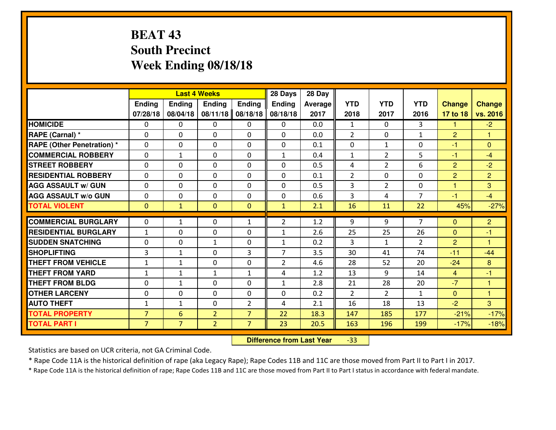# **BEAT 43 South PrecinctWeek Ending 08/18/18**

|                             |                |                | <b>Last 4 Weeks</b> |                | 28 Days        | 28 Day  |                |                |                |                |                |
|-----------------------------|----------------|----------------|---------------------|----------------|----------------|---------|----------------|----------------|----------------|----------------|----------------|
|                             | Ending         | <b>Ending</b>  | <b>Ending</b>       | <b>Ending</b>  | Ending         | Average | <b>YTD</b>     | <b>YTD</b>     | <b>YTD</b>     | <b>Change</b>  | <b>Change</b>  |
|                             | 07/28/18       | 08/04/18       | 08/11/18            | 08/18/18       | 08/18/18       | 2017    | 2018           | 2017           | 2016           | 17 to 18       | vs. 2016       |
| <b>HOMICIDE</b>             | $\Omega$       | 0              | 0                   | 0              | $\Omega$       | 0.0     | 1              | $\Omega$       | 3              | 1              | $-2$           |
| RAPE (Carnal) *             | $\mathbf{0}$   | 0              | $\mathbf{0}$        | 0              | $\Omega$       | 0.0     | 2              | $\mathbf{0}$   | $\mathbf{1}$   | 2              | 1              |
| RAPE (Other Penetration) *  | $\Omega$       | 0              | $\mathbf{0}$        | $\Omega$       | $\Omega$       | 0.1     | $\mathbf{0}$   | $\mathbf{1}$   | 0              | $-1$           | $\mathbf{0}$   |
| <b>COMMERCIAL ROBBERY</b>   | $\mathbf{0}$   | $\mathbf{1}$   | 0                   | 0              | $\mathbf{1}$   | 0.4     | $\mathbf{1}$   | $\overline{2}$ | 5              | $-1$           | $-4$           |
| <b>STREET ROBBERY</b>       | 0              | 0              | $\mathbf 0$         | 0              | 0              | 0.5     | 4              | $\overline{2}$ | 6              | $\overline{2}$ | $-2$           |
| <b>RESIDENTIAL ROBBERY</b>  | $\Omega$       | $\Omega$       | $\mathbf 0$         | $\Omega$       | 0              | 0.1     | $\overline{2}$ | $\Omega$       | 0              | $\overline{2}$ | $\overline{2}$ |
| <b>AGG ASSAULT w/ GUN</b>   | 0              | 0              | $\mathbf 0$         | $\Omega$       | 0              | 0.5     | 3              | $\overline{2}$ | 0              | $\mathbf{1}$   | 3              |
| <b>AGG ASSAULT W/o GUN</b>  | 0              | 0              | $\mathbf 0$         | $\mathbf 0$    | 0              | 0.6     | 3              | 4              | $\overline{7}$ | $-1$           | $-4$           |
| <b>TOTAL VIOLENT</b>        | $\mathbf{0}$   | $\mathbf{1}$   | $\overline{0}$      | $\mathbf{0}$   | $\mathbf{1}$   | 2.1     | 16             | 11             | 22             | 45%            | $-27%$         |
| <b>COMMERCIAL BURGLARY</b>  | $\Omega$       | $\mathbf{1}$   | $\mathbf{0}$        | $\mathbf{1}$   | $\overline{2}$ | 1.2     | 9              | 9              | $\overline{7}$ | $\Omega$       | $\overline{2}$ |
| <b>RESIDENTIAL BURGLARY</b> | $\mathbf{1}$   | 0              | 0                   | 0              | 1              | 2.6     | 25             | 25             | 26             | $\Omega$       | $-1$           |
| <b>SUDDEN SNATCHING</b>     | 0              | 0              | $\mathbf{1}$        | 0              | $\mathbf{1}$   | 0.2     | 3              | $\mathbf{1}$   | $\overline{2}$ | 2              | $\overline{1}$ |
| <b>SHOPLIFTING</b>          | $\overline{3}$ | 1              | $\mathbf 0$         | 3              | $\overline{7}$ | 3.5     | 30             | 41             | 74             | $-11$          | $-44$          |
| <b>THEFT FROM VEHICLE</b>   | $\mathbf{1}$   | 1              | $\mathbf 0$         | 0              | $\overline{2}$ | 4.6     | 28             | 52             | 20             | $-24$          | 8              |
| <b>THEFT FROM YARD</b>      | $1\,$          | $\mathbf{1}$   | $\mathbf{1}$        | $\mathbf{1}$   | 4              | 1.2     | 13             | 9              | 14             | $\overline{4}$ | $-1$           |
| <b>THEFT FROM BLDG</b>      | 0              | $\mathbf{1}$   | $\mathbf 0$         | 0              | $\mathbf{1}$   | 2.8     | 21             | 28             | 20             | $-7$           | 1              |
| <b>OTHER LARCENY</b>        | 0              | 0              | $\mathbf 0$         | 0              | 0              | 0.2     | 2              | $\overline{2}$ | $\mathbf{1}$   | $\mathbf{0}$   | $\overline{1}$ |
| <b>AUTO THEFT</b>           | $\mathbf{1}$   | $\mathbf{1}$   | $\mathbf{0}$        | 2              | 4              | 2.1     | 16             | 18             | 13             | $-2$           | 3              |
| <b>TOTAL PROPERTY</b>       | $\overline{7}$ | 6              | $\overline{2}$      | $\overline{7}$ | 22             | 18.3    | 147            | 185            | 177            | $-21%$         | $-17%$         |
| <b>TOTAL PART I</b>         | $\overline{7}$ | $\overline{7}$ | $\overline{2}$      | $\overline{7}$ | 23             | 20.5    | 163            | 196            | 199            | $-17%$         | $-18%$         |

 **Difference from Last Year**-33

Statistics are based on UCR criteria, not GA Criminal Code.

\* Rape Code 11A is the historical definition of rape (aka Legacy Rape); Rape Codes 11B and 11C are those moved from Part II to Part I in 2017.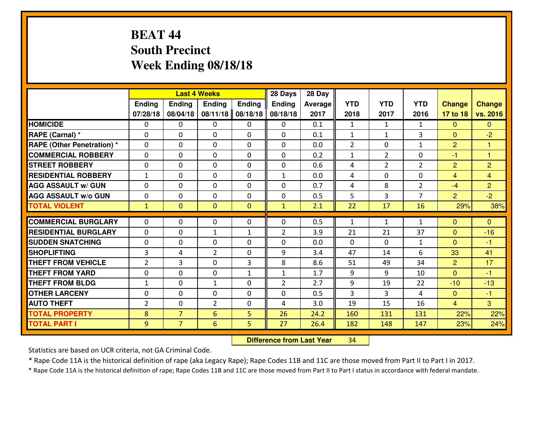# **BEAT 44 South PrecinctWeek Ending 08/18/18**

|                                  |                |                | <b>Last 4 Weeks</b> |               | 28 Days        | 28 Day  |              |                |                |                |                |
|----------------------------------|----------------|----------------|---------------------|---------------|----------------|---------|--------------|----------------|----------------|----------------|----------------|
|                                  | <b>Ending</b>  | <b>Ending</b>  | <b>Endina</b>       | <b>Ending</b> | <b>Ending</b>  | Average | <b>YTD</b>   | <b>YTD</b>     | <b>YTD</b>     | <b>Change</b>  | <b>Change</b>  |
|                                  | 07/28/18       | 08/04/18       | 08/11/18            | 08/18/18      | 08/18/18       | 2017    | 2018         | 2017           | 2016           | 17 to 18       | vs. 2016       |
| <b>HOMICIDE</b>                  | $\Omega$       | 0              | 0                   | 0             | 0              | 0.1     | 1            | $\mathbf{1}$   | $\mathbf{1}$   | $\Omega$       | $\Omega$       |
| RAPE (Carnal) *                  | $\Omega$       | 0              | $\mathbf{0}$        | 0             | $\Omega$       | 0.1     | $\mathbf{1}$ | $\mathbf{1}$   | 3              | $\Omega$       | $-2$           |
| <b>RAPE (Other Penetration)*</b> | $\Omega$       | $\Omega$       | $\mathbf 0$         | $\Omega$      | $\Omega$       | 0.0     | 2            | 0              | $\mathbf{1}$   | $\overline{2}$ | 1              |
| <b>COMMERCIAL ROBBERY</b>        | $\Omega$       | 0              | $\mathbf 0$         | $\Omega$      | 0              | 0.2     | $\mathbf{1}$ | $\overline{2}$ | 0              | $-1$           | $\overline{1}$ |
| <b>STREET ROBBERY</b>            | 0              | $\Omega$       | $\mathbf 0$         | $\Omega$      | 0              | 0.6     | 4            | $\overline{2}$ | $\overline{2}$ | $\overline{2}$ | $\overline{2}$ |
| <b>RESIDENTIAL ROBBERY</b>       | $\mathbf{1}$   | $\Omega$       | $\mathbf 0$         | $\Omega$      | $\mathbf{1}$   | 0.0     | 4            | $\Omega$       | 0              | $\overline{4}$ | $\overline{4}$ |
| <b>AGG ASSAULT w/ GUN</b>        | $\Omega$       | $\Omega$       | $\mathbf 0$         | $\Omega$      | $\Omega$       | 0.7     | 4            | 8              | $\overline{2}$ | $-4$           | $\overline{2}$ |
| <b>AGG ASSAULT w/o GUN</b>       | 0              | 0              | $\mathbf 0$         | $\Omega$      | 0              | 0.5     | 5            | 3              | $\overline{7}$ | 2              | $-2$           |
| <b>TOTAL VIOLENT</b>             | $\mathbf{1}$   | $\mathbf{0}$   | $\mathbf{0}$        | $\mathbf{0}$  | $\mathbf{1}$   | 2.1     | 22           | 17             | 16             | 29%            | 38%            |
| <b>COMMERCIAL BURGLARY</b>       | $\Omega$       | 0              | 0                   | 0             | $\Omega$       | 0.5     | 1            | $\mathbf{1}$   | $\mathbf{1}$   | $\Omega$       | $\Omega$       |
| <b>RESIDENTIAL BURGLARY</b>      | 0              | 0              | 1                   | $\mathbf{1}$  | $\overline{2}$ | 3.9     | 21           | 21             | 37             | $\Omega$       | $-16$          |
| <b>SUDDEN SNATCHING</b>          | 0              | 0              | $\mathbf 0$         | $\Omega$      | 0              | 0.0     | $\mathbf{0}$ | $\Omega$       | $\mathbf{1}$   | $\Omega$       | $-1$           |
| <b>SHOPLIFTING</b>               | $\overline{3}$ | 4              | $\overline{2}$      | 0             | 9              | 3.4     | 47           | 14             | 6              | 33             | 41             |
| <b>THEFT FROM VEHICLE</b>        | $\overline{2}$ | 3              | $\mathbf 0$         | 3             | 8              | 8.6     | 51           | 49             | 34             | $\overline{2}$ | 17             |
| <b>THEFT FROM YARD</b>           | 0              | 0              | $\mathbf 0$         | $\mathbf{1}$  | $\mathbf{1}$   | 1.7     | 9            | 9              | 10             | $\overline{0}$ | $-1$           |
| <b>THEFT FROM BLDG</b>           | $\mathbf{1}$   | 0              | $\mathbf{1}$        | 0             | $\overline{2}$ | 2.7     | 9            | 19             | 22             | $-10$          | $-13$          |
| <b>OTHER LARCENY</b>             | 0              | 0              | $\mathbf 0$         | $\mathbf 0$   | 0              | 0.5     | 3            | 3              | 4              | $\mathbf{0}$   | $-1$           |
| <b>AUTO THEFT</b>                | $\overline{2}$ | 0              | $\overline{2}$      | 0             | 4              | 3.0     | 19           | 15             | 16             | $\overline{4}$ | $\overline{3}$ |
| <b>TOTAL PROPERTY</b>            | 8              | $\overline{7}$ | 6                   | 5             | 26             | 24.2    | 160          | 131            | 131            | 22%            | 22%            |
| <b>TOTAL PART I</b>              | 9              | $\overline{7}$ | 6                   | 5             | 27             | 26.4    | 182          | 148            | 147            | 23%            | 24%            |
|                                  |                |                |                     |               |                |         |              |                |                |                |                |

 **Difference from Last Year**<sup>34</sup>

Statistics are based on UCR criteria, not GA Criminal Code.

\* Rape Code 11A is the historical definition of rape (aka Legacy Rape); Rape Codes 11B and 11C are those moved from Part II to Part I in 2017.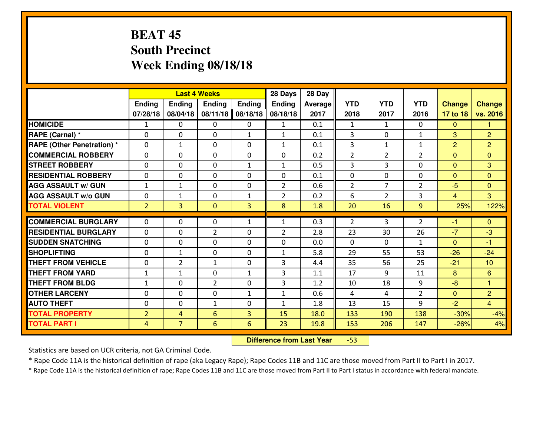# **BEAT 45 South PrecinctWeek Ending 08/18/18**

|                                  |                |                | <b>Last 4 Weeks</b> |               | 28 Days        | 28 Day  |                |                |                |                |                |
|----------------------------------|----------------|----------------|---------------------|---------------|----------------|---------|----------------|----------------|----------------|----------------|----------------|
|                                  | Ending         | <b>Ending</b>  | <b>Ending</b>       | <b>Ending</b> | <b>Ending</b>  | Average | <b>YTD</b>     | <b>YTD</b>     | <b>YTD</b>     | <b>Change</b>  | <b>Change</b>  |
|                                  | 07/28/18       | 08/04/18       | 08/11/18            | 08/18/18      | 08/18/18       | 2017    | 2018           | 2017           | 2016           | 17 to 18       | vs. 2016       |
| <b>HOMICIDE</b>                  | 1              | 0              | 0                   | 0             | $\mathbf{1}$   | 0.1     | 1              | $\mathbf{1}$   | 0              | $\Omega$       | 1              |
| RAPE (Carnal) *                  | $\Omega$       | 0              | $\mathbf{0}$        | $\mathbf{1}$  | $\mathbf{1}$   | 0.1     | 3              | $\Omega$       | $\mathbf{1}$   | 3              | $\overline{2}$ |
| <b>RAPE (Other Penetration)*</b> | 0              | $\mathbf{1}$   | $\mathbf 0$         | 0             | $\mathbf{1}$   | 0.1     | 3              | $\mathbf{1}$   | $\mathbf{1}$   | 2              | $\overline{2}$ |
| <b>COMMERCIAL ROBBERY</b>        | 0              | 0              | $\mathbf 0$         | 0             | 0              | 0.2     | $\overline{2}$ | $\overline{2}$ | $\overline{2}$ | $\mathbf{0}$   | $\overline{0}$ |
| <b>STREET ROBBERY</b>            | 0              | 0              | $\mathbf 0$         | $\mathbf{1}$  | $\mathbf{1}$   | 0.5     | 3              | 3              | 0              | $\mathbf{0}$   | 3              |
| <b>RESIDENTIAL ROBBERY</b>       | 0              | 0              | $\mathbf 0$         | 0             | 0              | 0.1     | 0              | 0              | 0              | $\mathbf{0}$   | $\mathbf{0}$   |
| <b>AGG ASSAULT w/ GUN</b>        | $1\,$          | $\mathbf{1}$   | $\mathbf 0$         | 0             | $\overline{2}$ | 0.6     | $\overline{2}$ | $\overline{7}$ | $\overline{2}$ | $-5$           | $\overline{0}$ |
| <b>AGG ASSAULT W/o GUN</b>       | 0              | 1              | 0                   | 1             | $\overline{2}$ | 0.2     | 6              | $\overline{2}$ | 3              | $\overline{4}$ | 3              |
| <b>TOTAL VIOLENT</b>             | $\overline{2}$ | 3              | $\mathbf{O}$        | 3             | 8              | 1.8     | 20             | 16             | 9              | 25%            | 122%           |
| <b>COMMERCIAL BURGLARY</b>       | $\Omega$       | 0              | $\mathbf{0}$        | $\mathbf{1}$  | $\mathbf{1}$   | 0.3     | 2              | 3              | $\overline{2}$ | $-1$           | $\mathbf{0}$   |
| <b>RESIDENTIAL BURGLARY</b>      | $\mathbf{0}$   | 0              | $\overline{2}$      | 0             | $\overline{2}$ | 2.8     | 23             | 30             | 26             | $-7$           | $-3$           |
| <b>SUDDEN SNATCHING</b>          | $\mathbf{0}$   | 0              | $\mathbf 0$         | 0             | 0              | 0.0     | $\mathbf{0}$   | $\mathbf{0}$   | $\mathbf{1}$   | $\Omega$       | $-1$           |
| <b>SHOPLIFTING</b>               | 0              | $\mathbf{1}$   | $\mathbf 0$         | 0             | $\mathbf{1}$   | 5.8     | 29             | 55             | 53             | $-26$          | $-24$          |
| <b>THEFT FROM VEHICLE</b>        | 0              | $\overline{2}$ | 1                   | 0             | 3              | 4.4     | 35             | 56             | 25             | $-21$          | 10             |
| <b>THEFT FROM YARD</b>           | $\mathbf{1}$   | 1              | $\mathbf 0$         | $\mathbf{1}$  | 3              | 1.1     | 17             | 9              | 11             | 8              | 6              |
| <b>THEFT FROM BLDG</b>           | $\mathbf{1}$   | 0              | $\overline{2}$      | $\mathbf{0}$  | 3              | 1.2     | 10             | 18             | 9              | $-8$           | $\overline{1}$ |
| <b>OTHER LARCENY</b>             | 0              | 0              | $\mathbf 0$         | $\mathbf 1$   | $\mathbf{1}$   | 0.6     | $\overline{4}$ | 4              | $\overline{2}$ | $\mathbf{0}$   | $\overline{2}$ |
| <b>AUTO THEFT</b>                | 0              | 0              | $\mathbf{1}$        | 0             | $\mathbf{1}$   | 1.8     | 13             | 15             | 9              | $-2$           | $\overline{4}$ |
| <b>TOTAL PROPERTY</b>            | $\overline{2}$ | 4              | 6                   | 3             | 15             | 18.0    | 133            | 190            | 138            | $-30%$         | $-4%$          |
| <b>TOTAL PART I</b>              | $\overline{4}$ | $\overline{7}$ | $6\overline{6}$     | 6             | 23             | 19.8    | 153            | 206            | 147            | $-26%$         | 4%             |

 **Difference from Last Year**-53

Statistics are based on UCR criteria, not GA Criminal Code.

\* Rape Code 11A is the historical definition of rape (aka Legacy Rape); Rape Codes 11B and 11C are those moved from Part II to Part I in 2017.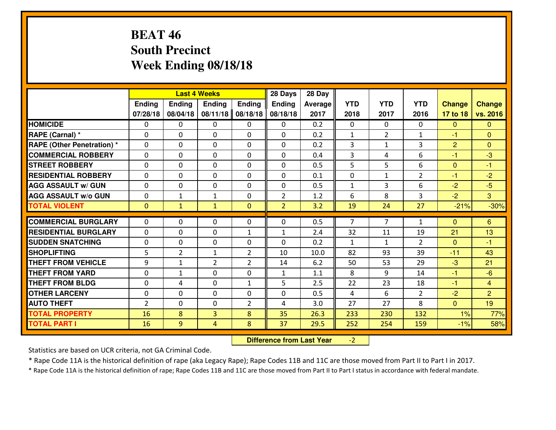# **BEAT 46 South PrecinctWeek Ending 08/18/18**

|                             |               |                | <b>Last 4 Weeks</b> |                | 28 Days        | 28 Day         |                |                |                |                |                |
|-----------------------------|---------------|----------------|---------------------|----------------|----------------|----------------|----------------|----------------|----------------|----------------|----------------|
|                             | <b>Ending</b> | <b>Ending</b>  | <b>Endina</b>       | <b>Ending</b>  | Ending         | <b>Average</b> | <b>YTD</b>     | <b>YTD</b>     | <b>YTD</b>     | <b>Change</b>  | <b>Change</b>  |
|                             | 07/28/18      | 08/04/18       | 08/11/18            | 08/18/18       | 08/18/18       | 2017           | 2018           | 2017           | 2016           | 17 to 18       | vs. 2016       |
| <b>HOMICIDE</b>             | $\Omega$      | 0              | $\mathbf{0}$        | $\Omega$       | 0              | 0.2            | $\Omega$       | 0              | $\Omega$       | $\mathbf{0}$   | $\Omega$       |
| RAPE (Carnal) *             | $\Omega$      | 0              | $\mathbf{0}$        | $\Omega$       | $\Omega$       | 0.2            | 1              | $\overline{2}$ | $\mathbf{1}$   | $-1$           | $\Omega$       |
| RAPE (Other Penetration) *  | $\Omega$      | 0              | $\mathbf{0}$        | 0              | $\Omega$       | 0.2            | 3              | $\mathbf{1}$   | 3              | $\overline{2}$ | $\mathbf{0}$   |
| <b>COMMERCIAL ROBBERY</b>   | $\mathbf{0}$  | 0              | 0                   | 0              | 0              | 0.4            | 3              | 4              | 6              | $-1$           | $-3$           |
| <b>STREET ROBBERY</b>       | 0             | 0              | $\mathbf 0$         | 0              | $\Omega$       | 0.5            | 5              | 5              | 6              | $\mathbf 0$    | $-1$           |
| <b>RESIDENTIAL ROBBERY</b>  | $\Omega$      | 0              | $\mathbf 0$         | 0              | 0              | 0.1            | $\mathbf{0}$   | $\mathbf{1}$   | $\overline{2}$ | $-1$           | $-2$           |
| <b>AGG ASSAULT w/ GUN</b>   | 0             | 0              | 0                   | 0              | 0              | 0.5            | $\mathbf{1}$   | 3              | 6              | $-2$           | $-5$           |
| <b>AGG ASSAULT W/o GUN</b>  | 0             | 1              | 1                   | 0              | $\overline{2}$ | 1.2            | 6              | 8              | 3              | $-2$           | 3              |
| <b>TOTAL VIOLENT</b>        | $\mathbf{0}$  | $\mathbf{1}$   | $\mathbf{1}$        | $\mathbf{0}$   | $\overline{2}$ | 3.2            | 19             | 24             | 27             | $-21%$         | $-30%$         |
| <b>COMMERCIAL BURGLARY</b>  | $\Omega$      | 0              | $\mathbf{0}$        | 0              | $\Omega$       | 0.5            | $\overline{7}$ | $\overline{7}$ | 1              | $\Omega$       | 6              |
| <b>RESIDENTIAL BURGLARY</b> | $\mathbf 0$   | 0              | $\mathbf 0$         | $\mathbf{1}$   | $\mathbf{1}$   | 2.4            | 32             | 11             | 19             | 21             | 13             |
| <b>SUDDEN SNATCHING</b>     | 0             | $\Omega$       | 0                   | $\Omega$       | $\Omega$       | 0.2            | $\mathbf{1}$   | $\mathbf{1}$   | $\overline{2}$ | $\Omega$       | $-1$           |
| <b>SHOPLIFTING</b>          | 5             | $\overline{2}$ | $\mathbf{1}$        | $\overline{2}$ | 10             | 10.0           | 82             | 93             | 39             | $-11$          | 43             |
| <b>THEFT FROM VEHICLE</b>   | 9             | $\mathbf{1}$   | $\overline{2}$      | $\overline{2}$ | 14             | 6.2            | 50             | 53             | 29             | $-3$           | 21             |
| <b>THEFT FROM YARD</b>      | 0             | $\mathbf{1}$   | $\mathbf 0$         | 0              | $\mathbf{1}$   | 1.1            | 8              | 9              | 14             | $-1$           | $-6$           |
| <b>THEFT FROM BLDG</b>      | 0             | 4              | $\mathbf 0$         | $\mathbf{1}$   | 5              | 2.5            | 22             | 23             | 18             | $-1$           | $\overline{4}$ |
| <b>OTHER LARCENY</b>        | 0             | 0              | $\mathbf 0$         | 0              | 0              | 0.5            | 4              | 6              | $\overline{2}$ | $-2$           | $\overline{2}$ |
| <b>AUTO THEFT</b>           | 2             | $\Omega$       | $\mathbf{0}$        | $\overline{2}$ | 4              | 3.0            | 27             | 27             | 8              | $\Omega$       | 19             |
| <b>TOTAL PROPERTY</b>       | 16            | 8              | 3                   | 8              | 35             | 26.3           | 233            | 230            | 132            | 1%             | 77%            |
| <b>TOTAL PART I</b>         | 16            | 9              | $\overline{4}$      | 8              | 37             | 29.5           | 252            | 254            | 159            | $-1%$          | 58%            |
|                             |               |                |                     |                |                |                |                |                |                |                |                |

 **Difference from Last Year**-2

Statistics are based on UCR criteria, not GA Criminal Code.

\* Rape Code 11A is the historical definition of rape (aka Legacy Rape); Rape Codes 11B and 11C are those moved from Part II to Part I in 2017.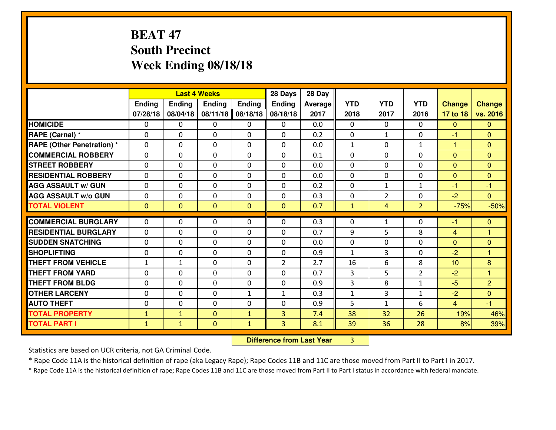# **BEAT 47 South PrecinctWeek Ending 08/18/18**

|                                  |              |                | <b>Last 4 Weeks</b>         |                | 28 Days        | 28 Day  |                     |                |                |                  |                         |
|----------------------------------|--------------|----------------|-----------------------------|----------------|----------------|---------|---------------------|----------------|----------------|------------------|-------------------------|
|                                  | Ending       | Ending         | <b>Ending</b>               | <b>Ending</b>  | <b>Ending</b>  | Average | <b>YTD</b>          | <b>YTD</b>     | <b>YTD</b>     | <b>Change</b>    | <b>Change</b>           |
|                                  | 07/28/18     | 08/04/18       | 08/11/18                    | 08/18/18       | 08/18/18       | 2017    | 2018                | 2017           | 2016           | 17 to 18         | vs. 2016                |
| <b>HOMICIDE</b>                  | 0            | 0              | $\mathbf{0}$                | 0              | 0              | 0.0     | $\mathbf{0}$        | $\Omega$       | $\Omega$       | $\Omega$         | $\Omega$                |
| RAPE (Carnal) *                  | 0            | 0              | $\mathbf{0}$                | 0              | $\Omega$       | 0.2     | $\mathbf{0}$        | $\mathbf{1}$   | 0              | -1               | $\mathbf{0}$            |
| <b>RAPE (Other Penetration)*</b> | $\Omega$     | 0              | $\mathbf 0$                 | $\Omega$       | $\Omega$       | 0.0     | 1                   | 0              | $\mathbf{1}$   | 1                | $\Omega$                |
| <b>COMMERCIAL ROBBERY</b>        | $\Omega$     | $\Omega$       | $\mathbf 0$                 | $\Omega$       | 0              | 0.1     | $\Omega$            | $\Omega$       | 0              | $\mathbf{0}$     | $\Omega$                |
| <b>ISTREET ROBBERY</b>           | 0            | 0              | $\mathbf 0$                 | 0              | 0              | 0.0     | 0                   | 0              | 0              | $\overline{0}$   | $\mathbf{0}$            |
| <b>RESIDENTIAL ROBBERY</b>       | 0            | 0              | $\mathbf 0$                 | 0              | 0              | 0.0     | $\mathbf{0}$        | $\mathbf{0}$   | 0              | $\mathbf{0}$     | $\mathbf{0}$            |
| <b>AGG ASSAULT W/ GUN</b>        | 0            | 0              | $\mathbf 0$                 | 0              | 0              | 0.2     | 0                   | $\mathbf{1}$   | $\mathbf{1}$   | $-1$             | $-1$                    |
| <b>AGG ASSAULT W/o GUN</b>       | 0            | 0              | $\mathbf 0$                 | 0              | 0              | 0.3     | 0                   | $\overline{2}$ | 0              | $-2$             | $\overline{0}$          |
| <b>TOTAL VIOLENT</b>             | $\mathbf{0}$ | $\overline{0}$ | $\overline{0}$              | $\overline{0}$ | $\mathbf{0}$   | 0.7     | $\mathbf{1}$        | 4              | $\overline{2}$ | $-75%$           | $-50%$                  |
| <b>COMMERCIAL BURGLARY</b>       | $\Omega$     | 0              | $\mathbf{0}$                | 0              | $\Omega$       | 0.3     | $\Omega$            | $\mathbf{1}$   | 0              | -1               | $\mathbf{0}$            |
| <b>RESIDENTIAL BURGLARY</b>      | $\Omega$     | 0              | $\mathbf{0}$                | $\Omega$       | $\Omega$       | 0.7     | 9                   | 5.             | 8              |                  | 1                       |
| <b>SUDDEN SNATCHING</b>          | $\Omega$     | 0              |                             | $\Omega$       | $\Omega$       | 0.0     | $\Omega$            | 0              | $\Omega$       | $\overline{4}$   | $\Omega$                |
| <b>SHOPLIFTING</b>               | $\mathbf{0}$ | 0              | $\mathbf 0$<br>$\mathbf{0}$ | $\Omega$       | $\Omega$       | 0.9     | $\mathbf{1}$        | 3              | 0              | $\Omega$<br>$-2$ | $\overline{\mathbf{1}}$ |
| <b>THEFT FROM VEHICLE</b>        |              |                |                             | 0              | $\overline{2}$ | 2.7     | 16                  | 6              | 8              | 10               | 8                       |
| <b>THEFT FROM YARD</b>           | 1            | 1              | 0                           |                |                | 0.7     |                     | 5              | $\overline{2}$ |                  | $\overline{1}$          |
| <b>THEFT FROM BLDG</b>           | 0            | 0              | $\mathbf 0$                 | 0              | 0              |         | 3<br>$\overline{3}$ |                |                | $-2$<br>$-5$     |                         |
|                                  | 0            | 0              | $\mathbf 0$                 | 0              | 0              | 0.9     |                     | 8              | $\mathbf{1}$   |                  | $\overline{2}$          |
| <b>OTHER LARCENY</b>             | 0            | 0              | $\mathbf 0$                 | $\mathbf{1}$   | $\mathbf{1}$   | 0.3     | $\mathbf{1}$        | 3              | $\mathbf{1}$   | $-2$             | $\overline{0}$          |
| <b>AUTO THEFT</b>                | 0            | 0              | 0                           | 0              | $\Omega$       | 0.9     | 5                   | $\mathbf{1}$   | 6              | $\overline{4}$   | $-1$                    |
| <b>TOTAL PROPERTY</b>            | $\mathbf{1}$ | $\mathbf{1}$   | $\mathbf{O}$                | $\mathbf{1}$   | 3              | 7.4     | 38                  | 32             | 26             | 19%              | 46%                     |
| <b>TOTAL PART I</b>              | $\mathbf{1}$ | $\mathbf{1}$   | $\mathbf{0}$                | $\mathbf{1}$   | 3              | 8.1     | 39                  | 36             | 28             | 8%               | 39%                     |

 **Difference from Last Year**<sup>3</sup>

Statistics are based on UCR criteria, not GA Criminal Code.

\* Rape Code 11A is the historical definition of rape (aka Legacy Rape); Rape Codes 11B and 11C are those moved from Part II to Part I in 2017.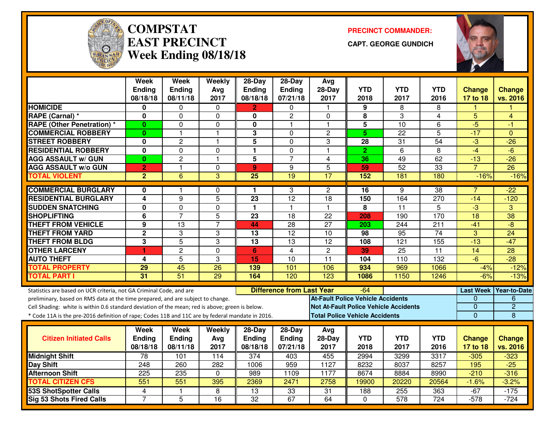

#### **COMPSTATEAST PRECINCTWeek Ending 08/18/18**

**PRECINCT COMMANDER:**

**CAPT. GEORGE GUNDICH**



|                                                                                                  | <b>Week</b><br><b>Ending</b> | <b>Week</b><br>Ending | Weekly<br>Avg  | 28-Day<br>Ending | $28$ -Day<br>Ending              | Avg<br>$28-Day$                              | <b>YTD</b>     | <b>YTD</b>      | <b>YTD</b>       | <b>Change</b>   | <b>Change</b>          |
|--------------------------------------------------------------------------------------------------|------------------------------|-----------------------|----------------|------------------|----------------------------------|----------------------------------------------|----------------|-----------------|------------------|-----------------|------------------------|
|                                                                                                  | 08/18/18                     | 08/11/18              | 2017           | 08/18/18         | 07/21/18                         | 2017                                         | 2018           | 2017            | 2016             | 17 to 18        | vs. 2016               |
| <b>HOMICIDE</b>                                                                                  | 0                            | 0                     | $\Omega$       | 2                | $\Omega$                         | $\mathbf 1$                                  | 9              | 8               | 8                |                 |                        |
| RAPE (Carnal) *                                                                                  | $\bf{0}$                     | $\Omega$              | $\Omega$       | $\bf{0}$         | $\overline{c}$                   | $\Omega$                                     | 8              | 3               | 4                | 5               | $\overline{4}$         |
| <b>RAPE (Other Penetration) *</b>                                                                | $\bf{0}$                     | 0                     | 0              | 0                | 1                                | $\mathbf{1}$                                 | 5              | $\overline{10}$ | 6                | $-5$            | -1                     |
| <b>COMMERCIAL ROBBERY</b>                                                                        | $\bf{0}$                     | $\mathbf{1}$          | -1             | 3                | $\Omega$                         | $\overline{c}$                               | 5 <sup>5</sup> | 22              | $\overline{5}$   | $-17$           | $\Omega$               |
| <b>STREET ROBBERY</b>                                                                            | 0                            | $\overline{c}$        | $\mathbf{1}$   | 5                | $\mathbf 0$                      | 3                                            | 28             | 31              | 54               | $-3$            | $-26$                  |
| <b>RESIDENTIAL ROBBERY</b>                                                                       | 0                            | 0                     | $\Omega$       | $\mathbf{1}$     | $\Omega$                         | $\mathbf{1}$                                 | $\overline{2}$ | 6               | 8                | $-4$            | $-6$                   |
| <b>AGG ASSAULT w/ GUN</b>                                                                        | $\bf{0}$                     | $\overline{c}$        | $\overline{1}$ | 5                | $\overline{7}$                   | $\overline{4}$                               | 36             | 49              | 62               | $-13$           | $-26$                  |
| <b>AGG ASSAULT w/o GUN</b>                                                                       | $\overline{2}$               | 1                     | 0              | $\mathbf{9}$     | 9                                | 5                                            | 59             | 52              | 33               | $\overline{7}$  | $\overline{26}$        |
| <b>TOTAL VIOLENT</b>                                                                             | $\overline{2}$               | 6                     | $\overline{3}$ | $\overline{25}$  | 19                               | 17                                           | 152            | 181             | 180              | $-16%$          | $-16%$                 |
| <b>COMMERCIAL BURGLARY</b>                                                                       | 0                            |                       | $\Omega$       | 1.               | 3                                | $\mathbf{2}$                                 | 16             | 9               | $\overline{38}$  |                 | $-22$                  |
| <b>RESIDENTIAL BURGLARY</b>                                                                      | $\overline{4}$               | $\overline{9}$        | $\overline{5}$ | $\overline{23}$  | $\overline{12}$                  | $\overline{18}$                              | 150            | 164             | 270              | $-14$           | $-120$                 |
| <b>SUDDEN SNATCHING</b>                                                                          | $\mathbf 0$                  | 0                     | 0              | 1                | $\mathbf{1}$                     | $\mathbf{1}$                                 | 8              | $\overline{11}$ | 5                | $\overline{3}$  | 3                      |
| <b>SHOPLIFTING</b>                                                                               | 6                            | $\overline{7}$        | 5              | 23               | 18                               | 22                                           | 208            | 190             | 170              | 18              | $\overline{38}$        |
| <b>THEFT FROM VEHICLE</b>                                                                        | 9                            | 13                    | $\overline{7}$ | 44               | $\overline{28}$                  | $\overline{27}$                              | 203            | 244             | $\overline{211}$ | $-41$           | $\overline{-8}$        |
| <b>THEFT FROM YARD</b>                                                                           | $\overline{2}$               | 3                     | 3              | $\overline{13}$  | $\overline{12}$                  | $\overline{10}$                              | 98             | $\overline{95}$ | $\overline{74}$  | 3               | $\overline{24}$        |
| <b>THEFT FROM BLDG</b>                                                                           | 3                            | $\overline{5}$        | 3              | $\overline{13}$  | 13                               | $\overline{12}$                              | 108            | 121             | 155              | $-13$           | $-47$                  |
| <b>OTHER LARCENY</b>                                                                             | 1                            | $\overline{2}$        | $\mathbf 0$    | 6                | $\overline{4}$                   | $\overline{2}$                               | 39             | $\overline{25}$ | $\overline{11}$  | $\overline{14}$ | $\overline{28}$        |
| <b>AUTO THEFT</b>                                                                                | 4                            | 5                     | 3              | 15               | 10                               | 11                                           | 104            | 110             | 132              | $-6$            | $-28$                  |
| <b>TOTAL PROPERTY</b>                                                                            | 29                           | 45                    | 26             | 139              | 101                              | 106                                          | 934            | 969             | 1066             | $-4%$           | $-12%$                 |
| <b>TOTAL PART I</b>                                                                              | $\overline{31}$              | $\overline{51}$       | 29             | 164              | 120                              | 123                                          | 1086           | 1150            | 1246             | $-6%$           | $-13%$                 |
| Statistics are based on UCR criteria, not GA Criminal Code, and are                              |                              |                       |                |                  | <b>Difference from Last Year</b> |                                              | -64            |                 |                  |                 | Last Week Year-to-Date |
| preliminary, based on RMS data at the time prepared, and are subject to change.                  |                              |                       |                |                  |                                  | <b>At-Fault Police Vehicle Accidents</b>     |                |                 |                  | 0               | 6                      |
| Cell Shading: white is within 0.6 standard deviation of the mean; red is above; green is below.  |                              |                       |                |                  |                                  | <b>Not At-Fault Police Vehicle Accidents</b> |                |                 |                  | 0               | $\overline{2}$         |
| * Code 11A is the pre-2016 definition of rape; Codes 11B and 11C are by federal mandate in 2016. |                              |                       |                |                  |                                  | <b>Total Police Vehicle Accidents</b>        |                |                 |                  | $\overline{0}$  | 8                      |
|                                                                                                  | Week                         | Week                  | Weekly         | $28$ -Day        | $28-Day$                         | Avg                                          |                |                 |                  |                 |                        |
| <b>Citizen Initiated Calls</b>                                                                   | Ending                       | <b>Ending</b>         | Avg            | <b>Ending</b>    | Ending                           | 28-Day                                       | <b>YTD</b>     | <b>YTD</b>      | <b>YTD</b>       | <b>Change</b>   | <b>Change</b>          |
|                                                                                                  | 08/18/18                     | 08/11/18              | 2017           | 08/18/18         | 07/21/18                         | 2017                                         | 2018           | 2017            | 2016             | 17 to 18        | vs. 2016               |
| <b>Midnight Shift</b>                                                                            | 78                           | 101                   | 114            | 374              | 403                              | 455                                          | 2994           | 3299            | 3317             | $-305$          | $-323$                 |
| Day Shift                                                                                        | 248                          | 260                   | 282            | 1006             | 959                              | 1127                                         | 8232           | 8037            | 8257             | 195             | $-25$                  |
| <b>Afternoon Shift</b>                                                                           | 225                          | 235                   | $\Omega$       | 989              | 1109                             | 1177                                         | 8674           | 8884            | 8990             | $-210$          | $-316$                 |
| <b>TOTAL CITIZEN CFS</b>                                                                         | $\overline{551}$             | 551                   | 395            | 2369             | 2471                             | 2758                                         | 19900          | 20220           | 20564            | $-1.6%$         | $-3.2%$                |
| <b>53S ShotSpotter Calls</b>                                                                     | 4                            |                       | 8              | $\overline{13}$  | $\overline{33}$                  | $\overline{31}$                              | 188            | 255             | 363              | $-67$           | $-175$                 |
| <b>Sig 53 Shots Fired Calls</b>                                                                  | $\overline{7}$               | 5                     | 16             | $\overline{32}$  | 67                               | 64                                           | $\mathbf 0$    | 578             | 724              | $-578$          | $-724$                 |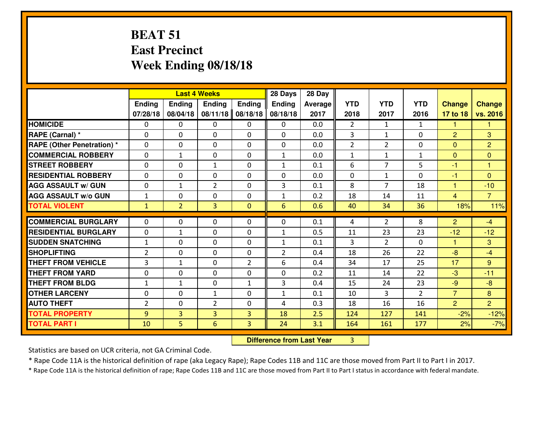### **BEAT 51 East PrecinctWeek Ending 08/18/18**

|                             | <b>Last 4 Weeks</b> |                |                |                | 28 Days        | 28 Day  |                |                |                |                |                |
|-----------------------------|---------------------|----------------|----------------|----------------|----------------|---------|----------------|----------------|----------------|----------------|----------------|
|                             | Ending              | <b>Ending</b>  | <b>Ending</b>  | <b>Ending</b>  | <b>Ending</b>  | Average | <b>YTD</b>     | <b>YTD</b>     | <b>YTD</b>     | <b>Change</b>  | <b>Change</b>  |
|                             | 07/28/18            | 08/04/18       | 08/11/18       | 08/18/18       | 08/18/18       | 2017    | 2018           | 2017           | 2016           | 17 to 18       | vs. 2016       |
| <b>HOMICIDE</b>             | $\Omega$            | 0              | 0              | 0              | $\Omega$       | 0.0     | $\overline{2}$ | $\mathbf{1}$   | $\mathbf{1}$   | 1              | 1              |
| RAPE (Carnal) *             | $\mathbf{0}$        | 0              | $\mathbf{0}$   | 0              | $\Omega$       | 0.0     | 3              | $\mathbf{1}$   | 0              | 2              | 3              |
| RAPE (Other Penetration) *  | $\Omega$            | 0              | $\mathbf{0}$   | $\Omega$       | $\Omega$       | 0.0     | $\overline{2}$ | $\overline{2}$ | 0              | $\Omega$       | $\overline{2}$ |
| <b>COMMERCIAL ROBBERY</b>   | $\mathbf{0}$        | $\mathbf{1}$   | 0              | 0              | $\mathbf{1}$   | 0.0     | $\mathbf{1}$   | $\mathbf{1}$   | $\mathbf{1}$   | $\mathbf{0}$   | $\mathbf{0}$   |
| <b>STREET ROBBERY</b>       | 0                   | 0              | 1              | 0              | $\mathbf{1}$   | 0.1     | 6              | $\overline{7}$ | 5              | $-1$           | $\overline{1}$ |
| <b>RESIDENTIAL ROBBERY</b>  | $\Omega$            | $\Omega$       | $\mathbf 0$    | $\Omega$       | 0              | 0.0     | 0              | $\mathbf{1}$   | $\Omega$       | $-1$           | $\Omega$       |
| <b>AGG ASSAULT w/ GUN</b>   | 0                   | $\mathbf{1}$   | $\overline{2}$ | 0              | 3              | 0.1     | 8              | $\overline{7}$ | 18             | $\mathbf{1}$   | $-10$          |
| <b>AGG ASSAULT W/o GUN</b>  | $1\,$               | 0              | $\mathbf 0$    | 0              | $\mathbf{1}$   | 0.2     | 18             | 14             | 11             | $\overline{4}$ | $\overline{7}$ |
| <b>TOTAL VIOLENT</b>        | $\mathbf{1}$        | $\overline{2}$ | 3              | $\mathbf{0}$   | 6              | 0.6     | 40             | 34             | 36             | 18%            | 11%            |
| <b>COMMERCIAL BURGLARY</b>  | $\Omega$            | 0              | $\mathbf{0}$   | $\Omega$       | $\Omega$       | 0.1     | 4              | $\overline{2}$ | 8              | $\overline{2}$ | $-4$           |
| <b>RESIDENTIAL BURGLARY</b> | 0                   | $\mathbf{1}$   | $\mathbf 0$    | 0              | $\mathbf{1}$   | 0.5     | 11             | 23             | 23             | $-12$          | $-12$          |
| <b>SUDDEN SNATCHING</b>     | $\mathbf{1}$        | 0              | 0              | 0              | $\mathbf{1}$   | 0.1     | 3              | $\overline{2}$ | 0              | $\mathbf{1}$   | 3              |
| <b>SHOPLIFTING</b>          | $\overline{2}$      | 0              | $\mathbf 0$    | 0              | $\overline{2}$ | 0.4     | 18             | 26             | 22             | $-8$           | $-4$           |
| <b>THEFT FROM VEHICLE</b>   | $\overline{3}$      | $\mathbf{1}$   | $\mathbf 0$    | $\overline{2}$ | 6              | 0.4     | 34             | 17             | 25             | 17             | 9              |
| <b>THEFT FROM YARD</b>      | 0                   | 0              | $\mathbf 0$    | 0              | 0              | 0.2     | 11             | 14             | 22             | $-3$           | $-11$          |
| <b>THEFT FROM BLDG</b>      | $\mathbf{1}$        | $\mathbf{1}$   | $\mathbf 0$    | $\mathbf{1}$   | 3              | 0.4     | 15             | 24             | 23             | $-9$           | $-8$           |
| <b>OTHER LARCENY</b>        | 0                   | 0              | $\mathbf{1}$   | 0              | $\mathbf{1}$   | 0.1     | 10             | 3              | $\overline{2}$ | $\overline{7}$ | 8              |
| <b>AUTO THEFT</b>           | 2                   | 0              | $\overline{2}$ | 0              | 4              | 0.3     | 18             | 16             | 16             | $\overline{2}$ | $\overline{2}$ |
| <b>TOTAL PROPERTY</b>       | 9                   | 3              | $\overline{3}$ | 3              | 18             | 2.5     | 124            | 127            | 141            | $-2%$          | $-12%$         |
| <b>TOTAL PART I</b>         | 10                  | 5              | 6              | 3              | 24             | 3.1     | 164            | 161            | 177            | 2%             | $-7%$          |

 **Difference from Last Year**<sup>3</sup>

Statistics are based on UCR criteria, not GA Criminal Code.

\* Rape Code 11A is the historical definition of rape (aka Legacy Rape); Rape Codes 11B and 11C are those moved from Part II to Part I in 2017.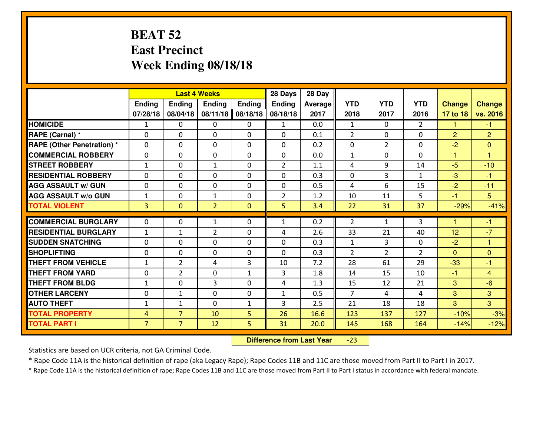### **BEAT 52 East PrecinctWeek Ending 08/18/18**

|                                  | <b>Last 4 Weeks</b> |                |                |               | 28 Days        | 28 Day  |                |                |                |                      |                      |
|----------------------------------|---------------------|----------------|----------------|---------------|----------------|---------|----------------|----------------|----------------|----------------------|----------------------|
|                                  | <b>Ending</b>       | <b>Ending</b>  | <b>Endina</b>  | <b>Ending</b> | <b>Ending</b>  | Average | <b>YTD</b>     | <b>YTD</b>     | <b>YTD</b>     | <b>Change</b>        | <b>Change</b>        |
|                                  | 07/28/18            | 08/04/18       | 08/11/18       | 08/18/18      | 08/18/18       | 2017    | 2018           | 2017           | 2016           | 17 to 18             | vs. 2016             |
| <b>HOMICIDE</b>                  | 1                   | 0              | 0              | 0             | $\mathbf{1}$   | 0.0     | 1              | $\Omega$       | $\mathfrak{D}$ | 1                    | -1                   |
| RAPE (Carnal) *                  | $\Omega$            | 0              | $\mathbf{0}$   | 0             | $\Omega$       | 0.1     | $\overline{2}$ | $\Omega$       | 0              | $\overline{2}$       | $\overline{2}$       |
| <b>RAPE (Other Penetration)*</b> | $\Omega$            | $\Omega$       | $\mathbf 0$    | $\Omega$      | $\Omega$       | 0.2     | 0              | $\overline{2}$ | $\Omega$       | $-2$                 | $\Omega$             |
| <b>COMMERCIAL ROBBERY</b>        | $\Omega$            | 0              | $\mathbf 0$    | $\Omega$      | 0              | 0.0     | $\mathbf{1}$   | $\Omega$       | 0              | $\mathbf{1}$         | $\blacktriangleleft$ |
| <b>STREET ROBBERY</b>            | $\mathbf{1}$        | $\Omega$       | $\mathbf{1}$   | $\Omega$      | $\overline{2}$ | 1.1     | 4              | 9              | 14             | $-5$                 | $-10$                |
| <b>RESIDENTIAL ROBBERY</b>       | $\Omega$            | $\Omega$       | $\mathbf 0$    | $\Omega$      | 0              | 0.3     | 0              | 3              | $\mathbf{1}$   | $-3$                 | $-1$                 |
| <b>AGG ASSAULT w/ GUN</b>        | 0                   | 0              | $\mathbf 0$    | $\Omega$      | 0              | 0.5     | 4              | 6              | 15             | $-2$                 | $-11$                |
| <b>AGG ASSAULT w/o GUN</b>       | $\mathbf{1}$        | 0              | $\mathbf{1}$   | 0             | $\overline{2}$ | 1.2     | 10             | 11             | 5              | $-1$                 | $5\overline{)}$      |
| <b>TOTAL VIOLENT</b>             | $\overline{3}$      | $\mathbf{0}$   | $\overline{2}$ | $\mathbf{0}$  | 5              | 3.4     | 22             | 31             | 37             | $-29%$               | $-41%$               |
| <b>COMMERCIAL BURGLARY</b>       | $\Omega$            | 0              | 1              | 0             | $\mathbf{1}$   | 0.2     | $\overline{2}$ | $\mathbf{1}$   | 3              | $\blacktriangleleft$ | $-1$                 |
| <b>RESIDENTIAL BURGLARY</b>      | $\mathbf{1}$        | $\mathbf{1}$   | $\overline{2}$ | 0             | 4              | 2.6     | 33             | 21             | 40             | 12                   | $-7$                 |
| <b>SUDDEN SNATCHING</b>          | 0                   | 0              | $\mathbf 0$    | $\Omega$      | 0              | 0.3     | $\mathbf{1}$   | 3              | 0              | $-2$                 | $\overline{1}$       |
| <b>SHOPLIFTING</b>               | 0                   | 0              | $\mathbf 0$    | 0             | $\Omega$       | 0.3     | $\overline{2}$ | $\overline{2}$ | $\overline{2}$ | $\overline{0}$       | $\overline{0}$       |
| <b>THEFT FROM VEHICLE</b>        | $\mathbf{1}$        | $\overline{2}$ | 4              | 3             | 10             | 7.2     | 28             | 61             | 29             | $-33$                | $-1$                 |
| <b>THEFT FROM YARD</b>           | 0                   | $\overline{2}$ | $\mathbf 0$    | $\mathbf{1}$  | 3              | 1.8     | 14             | 15             | 10             | $-1$                 | $\overline{4}$       |
| <b>THEFT FROM BLDG</b>           | $\mathbf{1}$        | 0              | 3              | 0             | 4              | 1.3     | 15             | 12             | 21             | 3                    | $-6$                 |
| <b>OTHER LARCENY</b>             | 0                   | $\mathbf{1}$   | $\mathbf 0$    | $\mathbf 0$   | $\mathbf{1}$   | 0.5     | $\overline{7}$ | 4              | 4              | 3                    | 3                    |
| <b>AUTO THEFT</b>                | $1\,$               | $\mathbf{1}$   | $\mathbf 0$    | $\mathbf{1}$  | 3              | 2.5     | 21             | 18             | 18             | 3                    | $\overline{3}$       |
| <b>TOTAL PROPERTY</b>            | $\overline{4}$      | $\overline{7}$ | 10             | 5             | 26             | 16.6    | 123            | 137            | 127            | $-10%$               | $-3%$                |
| <b>TOTAL PART I</b>              | $\overline{7}$      | $\overline{7}$ | 12             | 5             | 31             | 20.0    | 145            | 168            | 164            | $-14%$               | $-12%$               |
|                                  |                     |                |                |               |                |         |                |                |                |                      |                      |

 **Difference from Last Year**-23

Statistics are based on UCR criteria, not GA Criminal Code.

\* Rape Code 11A is the historical definition of rape (aka Legacy Rape); Rape Codes 11B and 11C are those moved from Part II to Part I in 2017.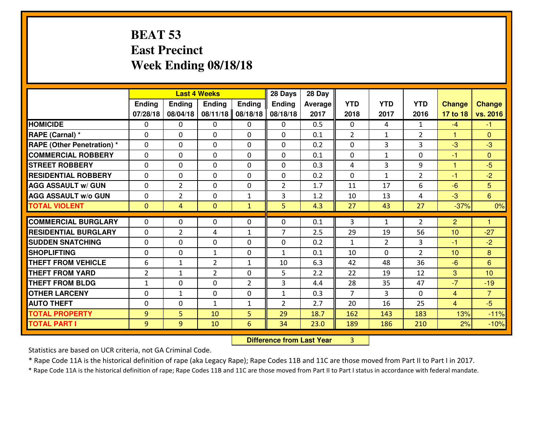### **BEAT 53 East PrecinctWeek Ending 08/18/18**

|                                              |                |                |                | <b>Last 4 Weeks</b> |                |              |                |               |                |                |                  |
|----------------------------------------------|----------------|----------------|----------------|---------------------|----------------|--------------|----------------|---------------|----------------|----------------|------------------|
|                                              | Ending         | Ending         | <b>Ending</b>  | <b>Ending</b>       | <b>Ending</b>  | Average      | <b>YTD</b>     | <b>YTD</b>    | <b>YTD</b>     | <b>Change</b>  | <b>Change</b>    |
|                                              | 07/28/18       | 08/04/18       | 08/11/18       | 08/18/18            | 08/18/18       | 2017         | 2018           | 2017          | 2016           | 17 to 18       | vs. 2016         |
| <b>HOMICIDE</b>                              | 0              | 0              | $\mathbf{0}$   | 0                   | 0              | 0.5          | $\mathbf{0}$   | 4             | $\mathbf{1}$   | $-4$           | $-1$             |
| RAPE (Carnal) *                              | 0              | 0              | $\mathbf{0}$   | 0                   | $\Omega$       | 0.1          | 2              | $\mathbf{1}$  | $\overline{2}$ | $\mathbf{1}$   | $\mathbf{0}$     |
| <b>RAPE (Other Penetration)*</b>             | $\Omega$       | 0              | $\mathbf{0}$   | $\Omega$            | $\Omega$       | 0.2          | $\Omega$       | 3             | 3              | -3             | $-3$             |
| <b>COMMERCIAL ROBBERY</b>                    | $\Omega$       | 0              | $\mathbf 0$    | $\Omega$            | 0              | 0.1          | $\Omega$       | $\mathbf{1}$  | $\Omega$       | $-1$           | $\Omega$         |
| <b>ISTREET ROBBERY</b>                       | 0              | 0              | $\mathbf 0$    | 0                   | 0              | 0.3          | 4              | 3             | 9              | $\mathbf{1}$   | $-5$             |
| <b>RESIDENTIAL ROBBERY</b>                   | $\Omega$       | 0              | $\mathbf 0$    | 0                   | 0              | 0.2          | $\mathbf{0}$   | $\mathbf{1}$  | $\overline{2}$ | $-1$           | $-2$             |
| <b>AGG ASSAULT W/ GUN</b>                    | 0              | $\overline{2}$ | $\mathbf 0$    | 0                   | $\overline{2}$ | 1.7          | 11             | 17            | 6              | $-6$           | 5                |
| <b>AGG ASSAULT W/o GUN</b>                   | 0              | $\overline{2}$ | $\mathbf 0$    | $\mathbf{1}$        | 3              | 1.2          | 10             | 13            | 4              | $-3$           | 6                |
| <b>TOTAL VIOLENT</b>                         | $\mathbf{0}$   | $\overline{4}$ | $\mathbf{0}$   | $\mathbf{1}$        | 5              | 4.3          | 27             | 43            | 27             | $-37%$         | 0%               |
| <b>COMMERCIAL BURGLARY</b>                   | $\Omega$       | 0              | $\mathbf{0}$   | 0                   | $\Omega$       | 0.1          | 3              | $\mathbf{1}$  | $\overline{2}$ | $\overline{2}$ | 1                |
| <b>RESIDENTIAL BURGLARY</b>                  | $\Omega$       | $\overline{2}$ | 4              | $\mathbf{1}$        | $\overline{7}$ | 2.5          | 29             | 19            | 56             | 10             | $-27$            |
|                                              |                |                |                |                     |                |              |                |               |                |                |                  |
|                                              |                |                |                |                     |                |              |                |               |                |                |                  |
| <b>SUDDEN SNATCHING</b>                      | $\Omega$       | 0              | $\mathbf 0$    | $\Omega$            | 0              | 0.2          | $\mathbf{1}$   | $\mathcal{L}$ | 3              | -1             | $-2$             |
| <b>SHOPLIFTING</b>                           | $\Omega$       | 0              | $\mathbf{1}$   | $\Omega$            | $\mathbf{1}$   | 0.1          | 10             | $\Omega$      | $\overline{2}$ | 10             | 8                |
| <b>THEFT FROM VEHICLE</b>                    | 6              | 1              | $\overline{2}$ | $\mathbf{1}$        | 10             | 6.3          | 42             | 48            | 36             | $-6$           | 6                |
| <b>THEFT FROM YARD</b>                       | $\overline{2}$ | $\mathbf{1}$   | $\overline{2}$ | 0                   | 5              | 2.2          | 22             | 19            | 12             | 3              | 10               |
| <b>THEFT FROM BLDG</b>                       | $\mathbf{1}$   | 0              | $\mathbf 0$    | $\overline{2}$      | 3              | 4.4          | 28             | 35            | 47             | $-7$           | $-19$            |
| <b>OTHER LARCENY</b>                         | 0              | $\mathbf{1}$   | $\mathbf 0$    | 0                   | $\mathbf{1}$   | 0.3          | $\overline{7}$ | 3             | 0              | $\overline{4}$ | $\overline{7}$   |
| <b>AUTO THEFT</b>                            | $\mathbf{0}$   | 0              | 1              | $\mathbf{1}$        | $\overline{2}$ | 2.7          | 20             | 16            | 25             | $\overline{4}$ | $-5$             |
| <b>TOTAL PROPERTY</b><br><b>TOTAL PART I</b> | 9<br>9         | 5<br>9         | 10<br>10       | 5<br>$6\phantom{1}$ | 29<br>34       | 18.7<br>23.0 | 162<br>189     | 143<br>186    | 183<br>210     | 13%<br>2%      | $-11%$<br>$-10%$ |

 **Difference from Last Year**<sup>3</sup>

Statistics are based on UCR criteria, not GA Criminal Code.

\* Rape Code 11A is the historical definition of rape (aka Legacy Rape); Rape Codes 11B and 11C are those moved from Part II to Part I in 2017.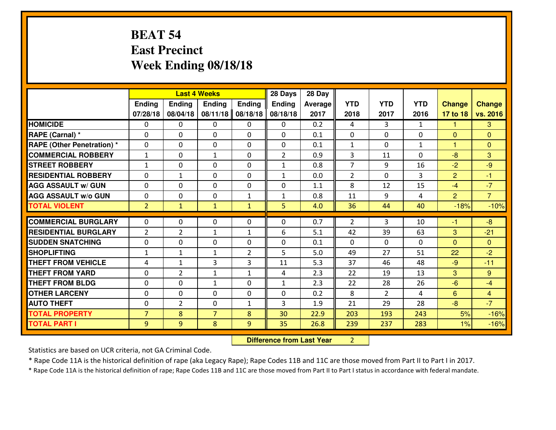### **BEAT 54 East PrecinctWeek Ending 08/18/18**

|                                   |                | <b>Last 4 Weeks</b> |                |                |                | 28 Day         |                |                |              |                      |                |
|-----------------------------------|----------------|---------------------|----------------|----------------|----------------|----------------|----------------|----------------|--------------|----------------------|----------------|
|                                   | Ending         | Ending              | <b>Ending</b>  | Ending         | Ending         | <b>Average</b> | <b>YTD</b>     | <b>YTD</b>     | <b>YTD</b>   | <b>Change</b>        | <b>Change</b>  |
|                                   | 07/28/18       | 08/04/18            | 08/11/18       | 08/18/18       | 08/18/18       | 2017           | 2018           | 2017           | 2016         | 17 to 18             | vs. 2016       |
| <b>HOMICIDE</b>                   | $\Omega$       | 0                   | $\Omega$       | 0              | $\Omega$       | 0.2            | 4              | 3              | $\mathbf{1}$ | 1                    | 3              |
| RAPE (Carnal) *                   | $\Omega$       | 0                   | $\mathbf{0}$   | $\Omega$       | 0              | 0.1            | $\mathbf{0}$   | $\Omega$       | $\Omega$     | $\mathbf{0}$         | $\mathbf{0}$   |
| <b>RAPE (Other Penetration) *</b> | $\Omega$       | 0                   | $\mathbf{0}$   | $\Omega$       | 0              | 0.1            | $\mathbf{1}$   | $\Omega$       | $\mathbf{1}$ | $\blacktriangleleft$ | $\mathbf{0}$   |
| <b>COMMERCIAL ROBBERY</b>         | $\mathbf{1}$   | 0                   | $\mathbf{1}$   | $\Omega$       | $\overline{2}$ | 0.9            | 3              | 11             | 0            | $-8$                 | 3              |
| <b>STREET ROBBERY</b>             | $\mathbf{1}$   | 0                   | $\mathbf 0$    | 0              | $\mathbf{1}$   | 0.8            | $\overline{7}$ | 9              | 16           | $-2$                 | $-9$           |
| <b>RESIDENTIAL ROBBERY</b>        | $\Omega$       | $\mathbf{1}$        | $\Omega$       | 0              | $\mathbf{1}$   | 0.0            | $\overline{2}$ | $\Omega$       | 3            | $\overline{2}$       | $-1$           |
| <b>AGG ASSAULT w/ GUN</b>         | $\mathbf{0}$   | 0                   | $\Omega$       | 0              | 0              | 1.1            | 8              | 12             | 15           | $-4$                 | $-7$           |
| <b>AGG ASSAULT W/o GUN</b>        | $\mathbf 0$    | 0                   | $\mathbf 0$    | $\mathbf{1}$   | $\mathbf{1}$   | 0.8            | 11             | 9              | 4            | $\overline{2}$       | $\overline{7}$ |
| <b>TOTAL VIOLENT</b>              | 2 <sup>1</sup> | $\mathbf{1}$        | $\mathbf{1}$   | $\mathbf{1}$   | 5              | 4.0            | 36             | 44             | 40           | $-18%$               | $-10%$         |
| <b>COMMERCIAL BURGLARY</b>        | $\Omega$       | 0                   | $\Omega$       | $\Omega$       | 0              | 0.7            | $\mathcal{P}$  | 3              | 10           | -1                   | $-8$           |
| <b>RESIDENTIAL BURGLARY</b>       | $\overline{2}$ | $\overline{2}$      | $\mathbf{1}$   | $\mathbf{1}$   | 6              | 5.1            | 42             | 39             | 63           | 3                    | $-21$          |
| <b>SUDDEN SNATCHING</b>           | $\mathbf 0$    | 0                   | $\mathbf 0$    | 0              | 0              | 0.1            | $\mathbf 0$    | 0              | 0            | $\mathbf{0}$         | $\overline{0}$ |
| <b>SHOPLIFTING</b>                | $\mathbf{1}$   | 1                   | $\mathbf{1}$   | $\overline{2}$ | 5              | 5.0            | 49             | 27             | 51           | 22                   | $-2$           |
| <b>THEFT FROM VEHICLE</b>         | 4              | $\mathbf{1}$        | 3              | 3              | 11             | 5.3            | 37             | 46             | 48           | $-9$                 | $-11$          |
| <b>THEFT FROM YARD</b>            | $\mathbf 0$    | $\overline{2}$      | $\mathbf{1}$   | $\mathbf{1}$   | 4              | 2.3            | 22             | 19             | 13           | 3                    | 9 <sup>°</sup> |
| <b>THEFT FROM BLDG</b>            | $\mathbf 0$    | 0                   | $\mathbf{1}$   | 0              | $\mathbf{1}$   | 2.3            | 22             | 28             | 26           | $-6$                 | $-4$           |
| <b>OTHER LARCENY</b>              | $\mathbf 0$    | 0                   | $\mathbf 0$    | 0              | 0              | 0.2            | 8              | $\overline{2}$ | 4            | 6                    | $\overline{4}$ |
| <b>AUTO THEFT</b>                 | $\mathbf{0}$   | $\overline{2}$      | $\mathbf{0}$   | $\mathbf{1}$   | 3              | 1.9            | 21             | 29             | 28           | $-8$                 | $-7$           |
| <b>TOTAL PROPERTY</b>             | $\overline{7}$ | 8                   | $\overline{7}$ | 8              | 30             | 22.9           | 203            | 193            | 243          | 5%                   | $-16%$         |
| <b>TOTAL PART I</b>               | 9              | 9                   | 8              | 9              | 35             | 26.8           | 239            | 237            | 283          | 1%                   | $-16%$         |
|                                   |                |                     |                |                |                |                |                |                |              |                      |                |

 **Difference from Last Year**<sup>2</sup>

Statistics are based on UCR criteria, not GA Criminal Code.

\* Rape Code 11A is the historical definition of rape (aka Legacy Rape); Rape Codes 11B and 11C are those moved from Part II to Part I in 2017.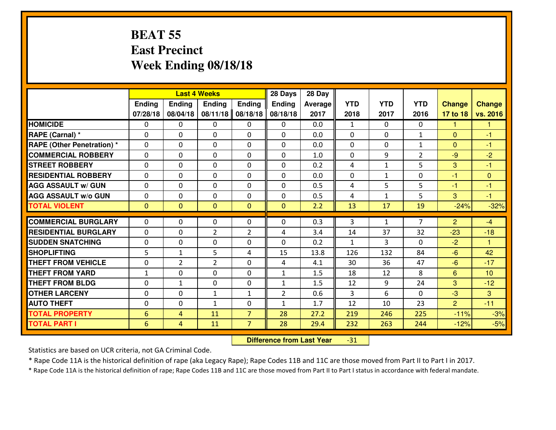#### **BEAT 55 East PrecinctWeek Ending 08/18/18**

|                                  | <b>Last 4 Weeks</b> |                |                |                | 28 Days        | 28 Day  |              |              |                |                |                      |
|----------------------------------|---------------------|----------------|----------------|----------------|----------------|---------|--------------|--------------|----------------|----------------|----------------------|
|                                  | Ending              | <b>Ending</b>  | <b>Ending</b>  | <b>Ending</b>  | <b>Ending</b>  | Average | <b>YTD</b>   | <b>YTD</b>   | <b>YTD</b>     | <b>Change</b>  | <b>Change</b>        |
|                                  | 07/28/18            | 08/04/18       | 08/11/18       | 08/18/18       | 08/18/18       | 2017    | 2018         | 2017         | 2016           | 17 to 18       | vs. 2016             |
| <b>HOMICIDE</b>                  | $\Omega$            | 0              | 0              | 0              | 0              | 0.0     | 1            | $\Omega$     | 0              | 1              | 1                    |
| RAPE (Carnal) *                  | $\Omega$            | 0              | $\Omega$       | $\Omega$       | $\Omega$       | 0.0     | $\Omega$     | $\Omega$     | $\mathbf{1}$   | $\Omega$       | -1                   |
| <b>RAPE (Other Penetration)*</b> | 0                   | 0              | $\mathbf 0$    | 0              | 0              | 0.0     | 0            | 0            | $\mathbf{1}$   | $\overline{0}$ | $-1$                 |
| <b>COMMERCIAL ROBBERY</b>        | 0                   | 0              | $\mathbf 0$    | 0              | 0              | 1.0     | 0            | 9            | $\overline{2}$ | $-9$           | $-2$                 |
| <b>STREET ROBBERY</b>            | 0                   | 0              | $\mathbf 0$    | 0              | 0              | 0.2     | 4            | $\mathbf{1}$ | 5              | 3              | $-1$                 |
| <b>RESIDENTIAL ROBBERY</b>       | 0                   | 0              | $\mathbf 0$    | 0              | 0              | 0.0     | 0            | $\mathbf{1}$ | 0              | $-1$           | $\mathbf{0}$         |
| <b>AGG ASSAULT w/ GUN</b>        | 0                   | 0              | $\mathbf 0$    | 0              | 0              | 0.5     | 4            | 5            | 5              | $-1$           | $-1$                 |
| <b>AGG ASSAULT W/o GUN</b>       | 0                   | 0              | 0              | 0              | $\mathbf 0$    | 0.5     | 4            | $\mathbf{1}$ | 5              | 3              | $-1$                 |
| <b>TOTAL VIOLENT</b>             | $\mathbf{0}$        | $\overline{0}$ | $\overline{0}$ | $\mathbf{0}$   | $\mathbf{0}$   | 2.2     | 13           | 17           | 19             | $-24%$         | $-32%$               |
| <b>COMMERCIAL BURGLARY</b>       | $\Omega$            | 0              | $\mathbf{0}$   | 0              | $\Omega$       | 0.3     | 3            | $\mathbf{1}$ | 7              | 2              | $-4$                 |
| <b>RESIDENTIAL BURGLARY</b>      | $\mathbf{0}$        | 0              | $\overline{2}$ | $\overline{2}$ | 4              | 3.4     | 14           | 37           | 32             | $-23$          | $-18$                |
| <b>SUDDEN SNATCHING</b>          | $\mathbf{0}$        | 0              | $\mathbf 0$    | 0              | 0              | 0.2     | $\mathbf{1}$ | 3            | 0              | $-2$           | $\blacktriangleleft$ |
| <b>SHOPLIFTING</b>               | 5                   | $\mathbf{1}$   | 5              | 4              | 15             | 13.8    | 126          | 132          | 84             | $-6$           | 42                   |
| <b>THEFT FROM VEHICLE</b>        | 0                   | $\overline{2}$ | $\overline{2}$ | 0              | 4              | 4.1     | 30           | 36           | 47             | $-6$           | $-17$                |
| <b>THEFT FROM YARD</b>           | $\mathbf{1}$        | 0              | $\mathbf 0$    | 0              | $\mathbf{1}$   | 1.5     | 18           | 12           | 8              | $6\phantom{1}$ | 10                   |
| <b>THEFT FROM BLDG</b>           | 0                   | $\mathbf{1}$   | $\mathbf 0$    | $\mathbf{0}$   | $\mathbf{1}$   | 1.5     | 12           | 9            | 24             | 3              | $-12$                |
| <b>OTHER LARCENY</b>             | 0                   | 0              | $\mathbf{1}$   | $\mathbf 1$    | $\overline{2}$ | 0.6     | 3            | 6            | 0              | $-3$           | 3                    |
| <b>AUTO THEFT</b>                | 0                   | 0              | $\mathbf{1}$   | 0              | $\mathbf{1}$   | 1.7     | 12           | 10           | 23             | $\overline{2}$ | $-11$                |
| <b>TOTAL PROPERTY</b>            | 6                   | 4              | 11             | $\overline{7}$ | 28             | 27.2    | 219          | 246          | 225            | $-11%$         | $-3%$                |
| <b>TOTAL PART I</b>              | 6                   | 4              | 11             | $\overline{7}$ | 28             | 29.4    | 232          | 263          | 244            | $-12%$         | $-5%$                |

 **Difference from Last Year**-31

Statistics are based on UCR criteria, not GA Criminal Code.

\* Rape Code 11A is the historical definition of rape (aka Legacy Rape); Rape Codes 11B and 11C are those moved from Part II to Part I in 2017.